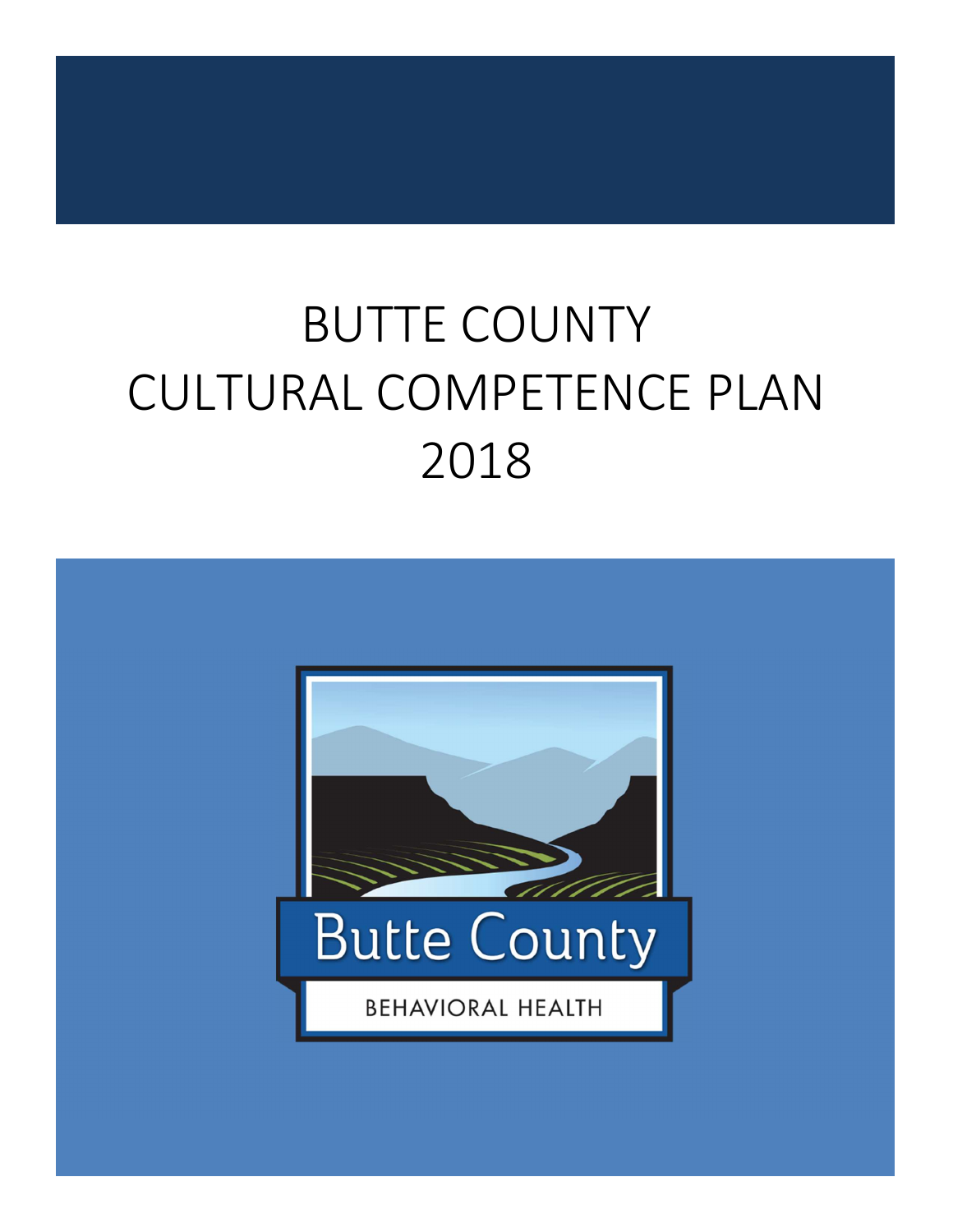# BUTTE COUNTY CULTURAL COMPETENCE PLAN 2018

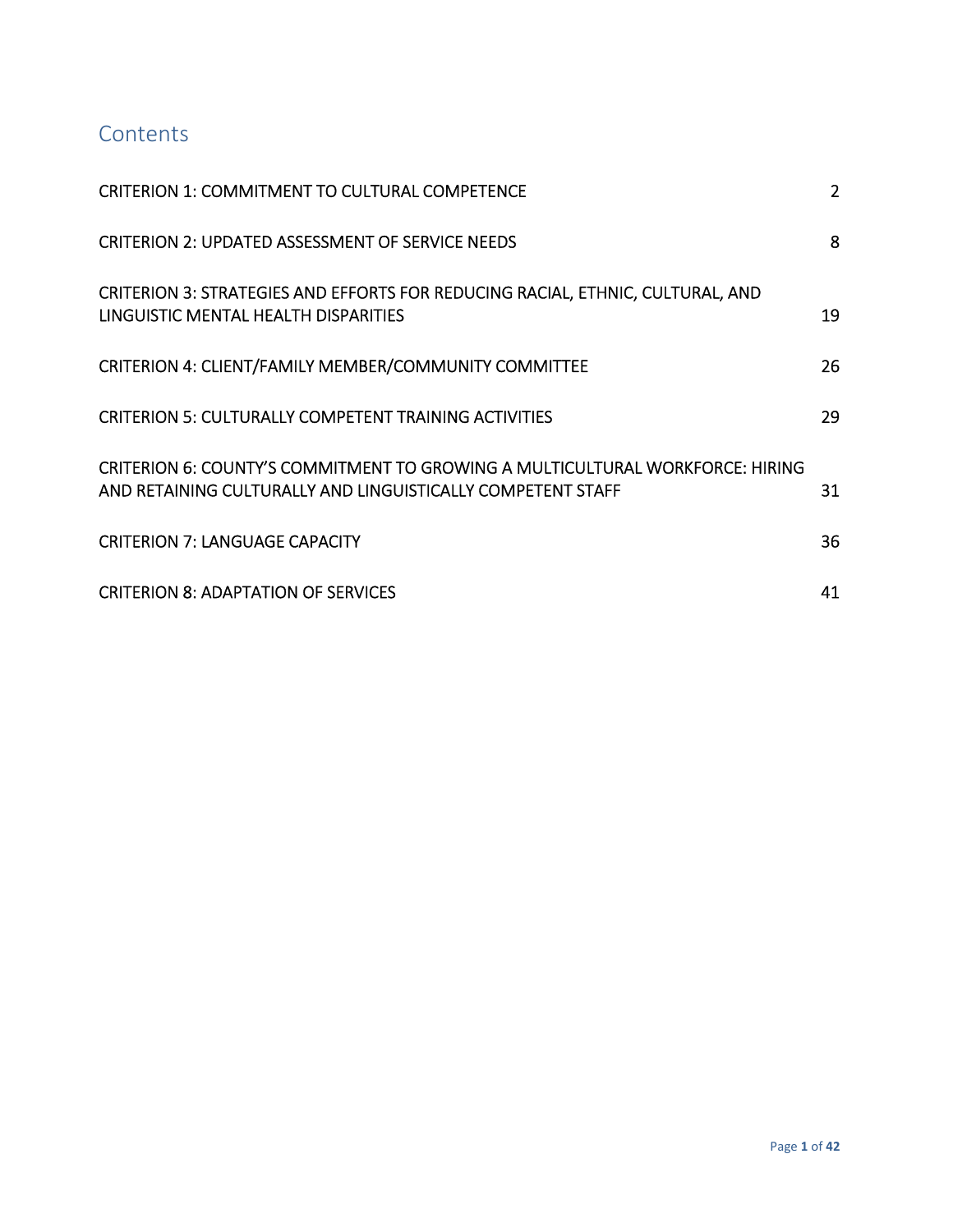# **Contents**

| <b>CRITERION 1: COMMITMENT TO CULTURAL COMPETENCE</b>                                                                                               | $\overline{2}$ |
|-----------------------------------------------------------------------------------------------------------------------------------------------------|----------------|
| <b>CRITERION 2: UPDATED ASSESSMENT OF SERVICE NEEDS</b>                                                                                             | 8              |
| CRITERION 3: STRATEGIES AND EFFORTS FOR REDUCING RACIAL, ETHNIC, CULTURAL, AND<br>LINGUISTIC MENTAL HEALTH DISPARITIES                              | 19             |
| CRITERION 4: CLIENT/FAMILY MEMBER/COMMUNITY COMMITTEE                                                                                               | 26             |
| <b>CRITERION 5: CULTURALLY COMPETENT TRAINING ACTIVITIES</b>                                                                                        | 29             |
| <b>CRITERION 6: COUNTY'S COMMITMENT TO GROWING A MULTICULTURAL WORKFORCE: HIRING</b><br>AND RETAINING CULTURALLY AND LINGUISTICALLY COMPETENT STAFF | 31             |
| <b>CRITERION 7: LANGUAGE CAPACITY</b>                                                                                                               | 36             |
| <b>CRITERION 8: ADAPTATION OF SERVICES</b>                                                                                                          | 41             |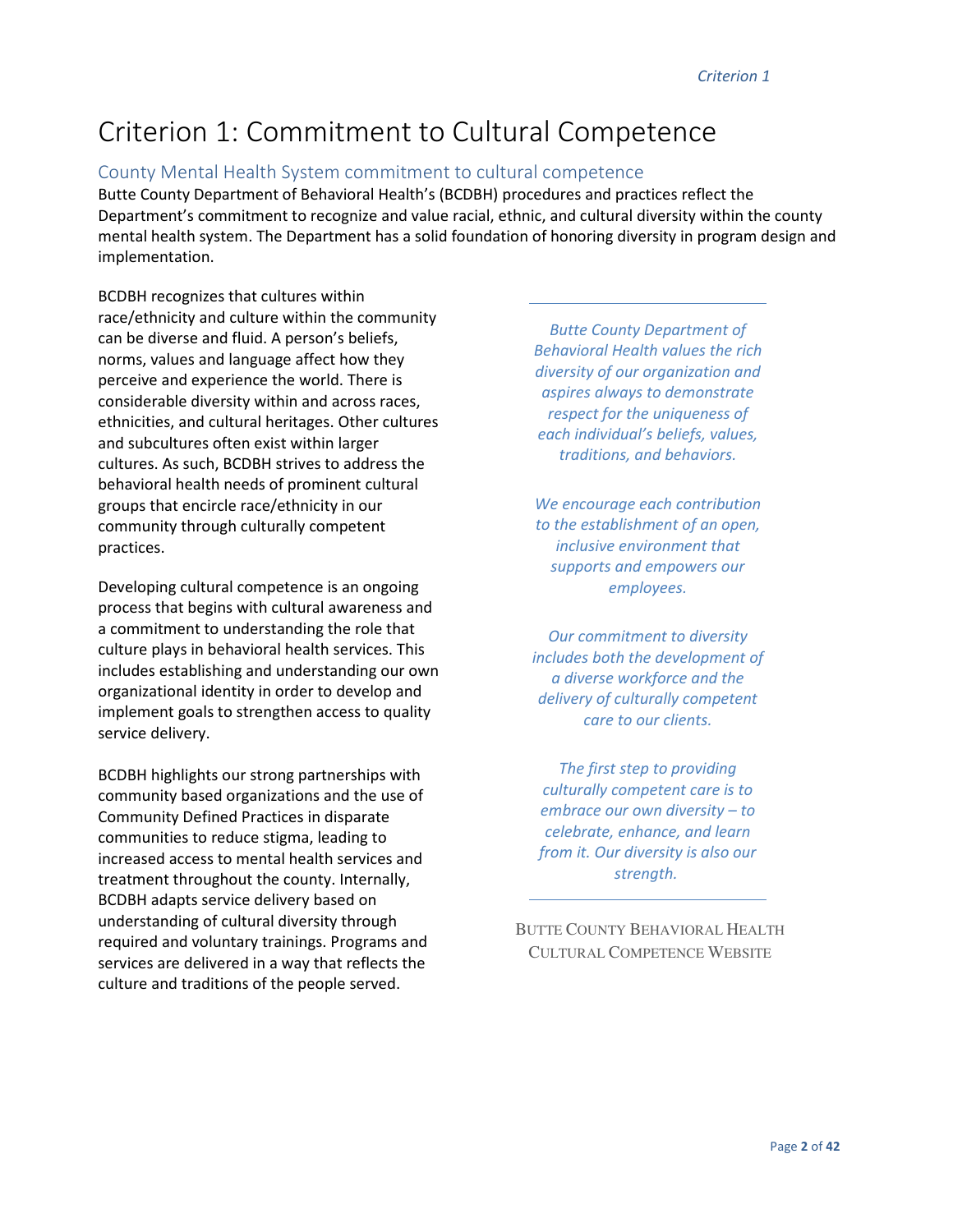# Criterion 1: Commitment to Cultural Competence

### County Mental Health System commitment to cultural competence

Butte County Department of Behavioral Health's (BCDBH) procedures and practices reflect the Department's commitment to recognize and value racial, ethnic, and cultural diversity within the county mental health system. The Department has a solid foundation of honoring diversity in program design and implementation.

BCDBH recognizes that cultures within race/ethnicity and culture within the community can be diverse and fluid. A person's beliefs, norms, values and language affect how they perceive and experience the world. There is considerable diversity within and across races, ethnicities, and cultural heritages. Other cultures and subcultures often exist within larger cultures. As such, BCDBH strives to address the behavioral health needs of prominent cultural groups that encircle race/ethnicity in our community through culturally competent practices.

Developing cultural competence is an ongoing process that begins with cultural awareness and a commitment to understanding the role that culture plays in behavioral health services. This includes establishing and understanding our own organizational identity in order to develop and implement goals to strengthen access to quality service delivery.

BCDBH highlights our strong partnerships with community based organizations and the use of Community Defined Practices in disparate communities to reduce stigma, leading to increased access to mental health services and treatment throughout the county. Internally, BCDBH adapts service delivery based on understanding of cultural diversity through required and voluntary trainings. Programs and services are delivered in a way that reflects the culture and traditions of the people served.

*Butte County Department of Behavioral Health values the rich diversity of our organization and aspires always to demonstrate respect for the uniqueness of each individual's beliefs, values, traditions, and behaviors.* 

*We encourage each contribution to the establishment of an open, inclusive environment that supports and empowers our employees.* 

*Our commitment to diversity includes both the development of a diverse workforce and the delivery of culturally competent care to our clients.* 

*The first step to providing culturally competent care is to embrace our own diversity – to celebrate, enhance, and learn from it. Our diversity is also our strength.* 

BUTTE COUNTY BEHAVIORAL HEALTH CULTURAL COMPETENCE WEBSITE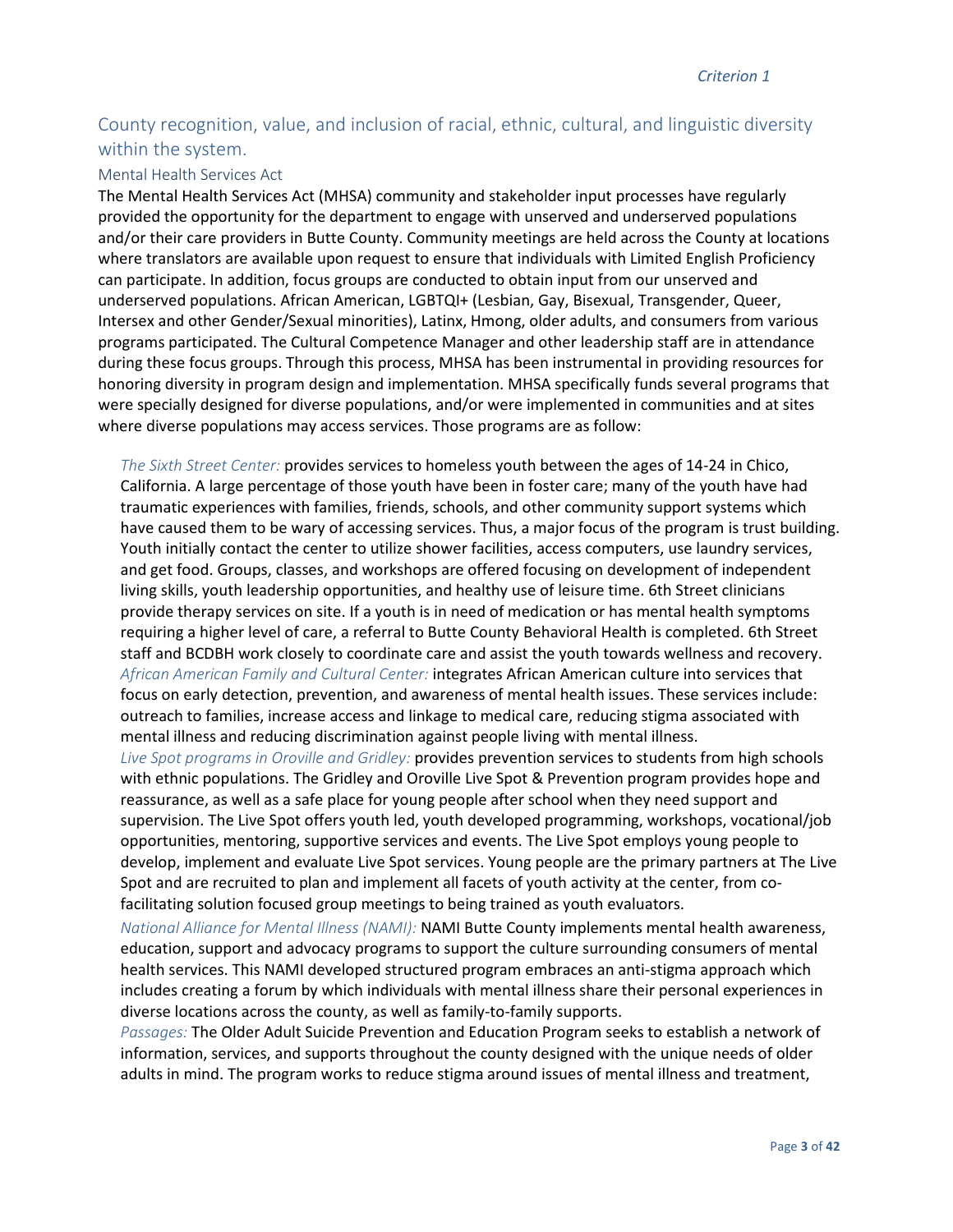# County recognition, value, and inclusion of racial, ethnic, cultural, and linguistic diversity within the system.

#### Mental Health Services Act

The Mental Health Services Act (MHSA) community and stakeholder input processes have regularly provided the opportunity for the department to engage with unserved and underserved populations and/or their care providers in Butte County. Community meetings are held across the County at locations where translators are available upon request to ensure that individuals with Limited English Proficiency can participate. In addition, focus groups are conducted to obtain input from our unserved and underserved populations. African American, LGBTQI+ (Lesbian, Gay, Bisexual, Transgender, Queer, Intersex and other Gender/Sexual minorities), Latinx, Hmong, older adults, and consumers from various programs participated. The Cultural Competence Manager and other leadership staff are in attendance during these focus groups. Through this process, MHSA has been instrumental in providing resources for honoring diversity in program design and implementation. MHSA specifically funds several programs that were specially designed for diverse populations, and/or were implemented in communities and at sites where diverse populations may access services. Those programs are as follow:

*The Sixth Street Center:* provides services to homeless youth between the ages of 14-24 in Chico, California. A large percentage of those youth have been in foster care; many of the youth have had traumatic experiences with families, friends, schools, and other community support systems which have caused them to be wary of accessing services. Thus, a major focus of the program is trust building. Youth initially contact the center to utilize shower facilities, access computers, use laundry services, and get food. Groups, classes, and workshops are offered focusing on development of independent living skills, youth leadership opportunities, and healthy use of leisure time. 6th Street clinicians provide therapy services on site. If a youth is in need of medication or has mental health symptoms requiring a higher level of care, a referral to Butte County Behavioral Health is completed. 6th Street staff and BCDBH work closely to coordinate care and assist the youth towards wellness and recovery. *African American Family and Cultural Center:* integrates African American culture into services that focus on early detection, prevention, and awareness of mental health issues. These services include: outreach to families, increase access and linkage to medical care, reducing stigma associated with mental illness and reducing discrimination against people living with mental illness.

*Live Spot programs in Oroville and Gridley:* provides prevention services to students from high schools with ethnic populations. The Gridley and Oroville Live Spot & Prevention program provides hope and reassurance, as well as a safe place for young people after school when they need support and supervision. The Live Spot offers youth led, youth developed programming, workshops, vocational/job opportunities, mentoring, supportive services and events. The Live Spot employs young people to develop, implement and evaluate Live Spot services. Young people are the primary partners at The Live Spot and are recruited to plan and implement all facets of youth activity at the center, from cofacilitating solution focused group meetings to being trained as youth evaluators.

*National Alliance for Mental Illness (NAMI):* NAMI Butte County implements mental health awareness, education, support and advocacy programs to support the culture surrounding consumers of mental health services. This NAMI developed structured program embraces an anti-stigma approach which includes creating a forum by which individuals with mental illness share their personal experiences in diverse locations across the county, as well as family-to-family supports.

*Passages:* The Older Adult Suicide Prevention and Education Program seeks to establish a network of information, services, and supports throughout the county designed with the unique needs of older adults in mind. The program works to reduce stigma around issues of mental illness and treatment,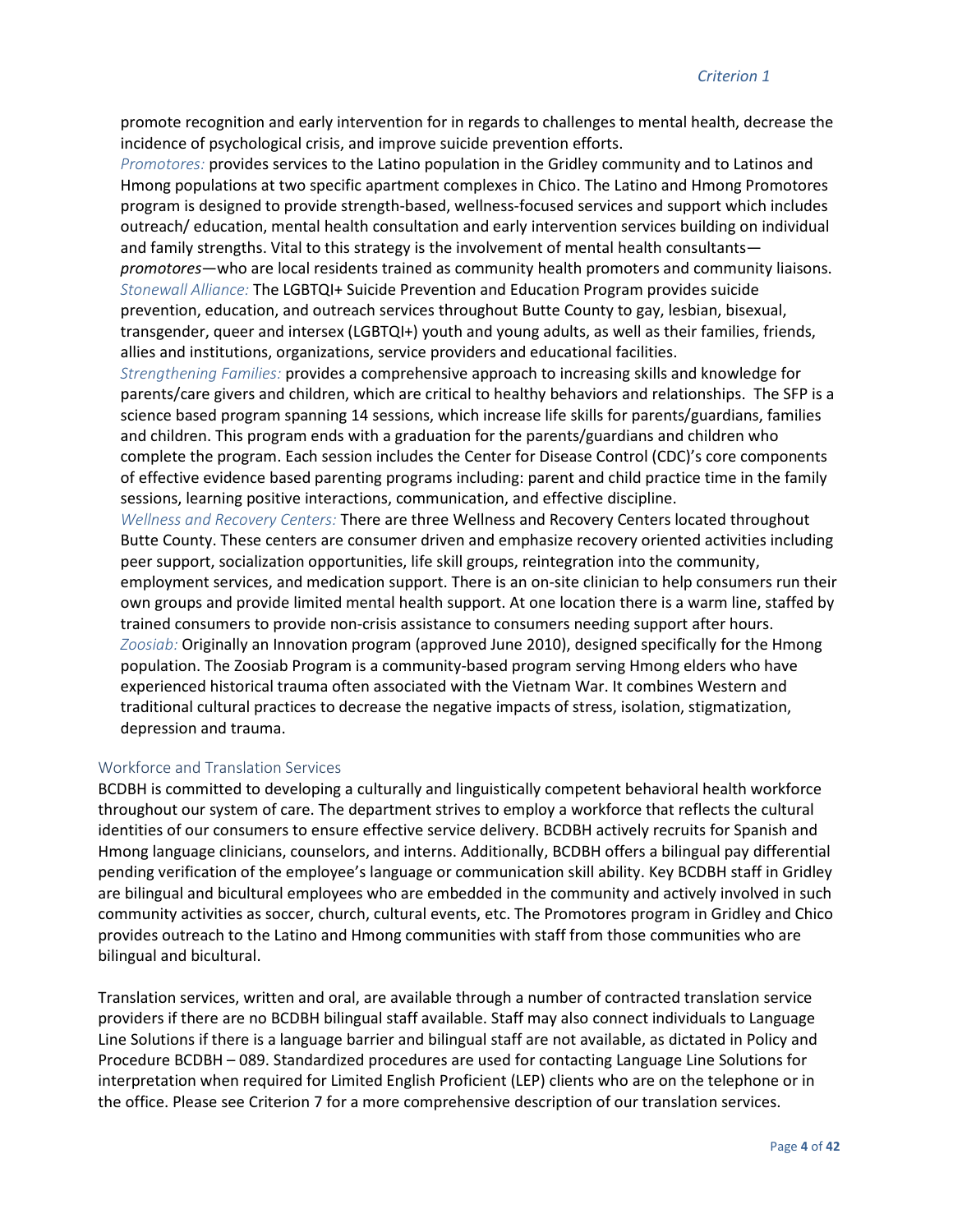promote recognition and early intervention for in regards to challenges to mental health, decrease the incidence of psychological crisis, and improve suicide prevention efforts.

*Promotores:* provides services to the Latino population in the Gridley community and to Latinos and Hmong populations at two specific apartment complexes in Chico. The Latino and Hmong Promotores program is designed to provide strength-based, wellness-focused services and support which includes outreach/ education, mental health consultation and early intervention services building on individual and family strengths. Vital to this strategy is the involvement of mental health consultants *promotores*—who are local residents trained as community health promoters and community liaisons. *Stonewall Alliance:* The LGBTQI+ Suicide Prevention and Education Program provides suicide prevention, education, and outreach services throughout Butte County to gay, lesbian, bisexual, transgender, queer and intersex (LGBTQI+) youth and young adults, as well as their families, friends, allies and institutions, organizations, service providers and educational facilities.

*Strengthening Families:* provides a comprehensive approach to increasing skills and knowledge for parents/care givers and children, which are critical to healthy behaviors and relationships. The SFP is a science based program spanning 14 sessions, which increase life skills for parents/guardians, families and children. This program ends with a graduation for the parents/guardians and children who complete the program. Each session includes the Center for Disease Control (CDC)'s core components of effective evidence based parenting programs including: parent and child practice time in the family sessions, learning positive interactions, communication, and effective discipline.

*Wellness and Recovery Centers:* There are three Wellness and Recovery Centers located throughout Butte County. These centers are consumer driven and emphasize recovery oriented activities including peer support, socialization opportunities, life skill groups, reintegration into the community, employment services, and medication support. There is an on-site clinician to help consumers run their own groups and provide limited mental health support. At one location there is a warm line, staffed by trained consumers to provide non-crisis assistance to consumers needing support after hours. *Zoosiab:* Originally an Innovation program (approved June 2010), designed specifically for the Hmong population. The Zoosiab Program is a community-based program serving Hmong elders who have experienced historical trauma often associated with the Vietnam War. It combines Western and traditional cultural practices to decrease the negative impacts of stress, isolation, stigmatization, depression and trauma.

#### Workforce and Translation Services

BCDBH is committed to developing a culturally and linguistically competent behavioral health workforce throughout our system of care. The department strives to employ a workforce that reflects the cultural identities of our consumers to ensure effective service delivery. BCDBH actively recruits for Spanish and Hmong language clinicians, counselors, and interns. Additionally, BCDBH offers a bilingual pay differential pending verification of the employee's language or communication skill ability. Key BCDBH staff in Gridley are bilingual and bicultural employees who are embedded in the community and actively involved in such community activities as soccer, church, cultural events, etc. The Promotores program in Gridley and Chico provides outreach to the Latino and Hmong communities with staff from those communities who are bilingual and bicultural.

Translation services, written and oral, are available through a number of contracted translation service providers if there are no BCDBH bilingual staff available. Staff may also connect individuals to Language Line Solutions if there is a language barrier and bilingual staff are not available, as dictated in Policy and Procedure BCDBH – 089. Standardized procedures are used for contacting Language Line Solutions for interpretation when required for Limited English Proficient (LEP) clients who are on the telephone or in the office. Please see Criterion 7 for a more comprehensive description of our translation services.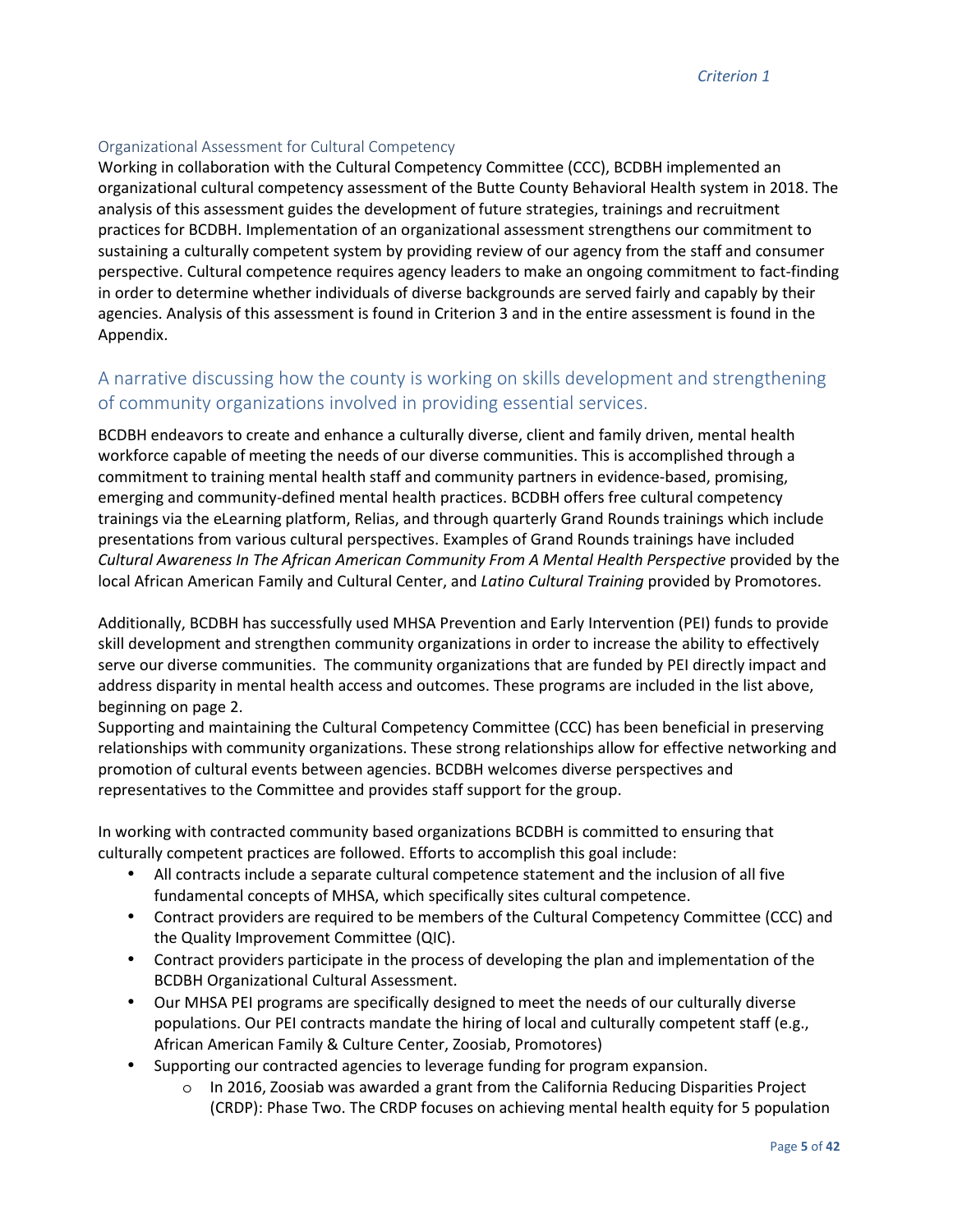#### Organizational Assessment for Cultural Competency

Working in collaboration with the Cultural Competency Committee (CCC), BCDBH implemented an organizational cultural competency assessment of the Butte County Behavioral Health system in 2018. The analysis of this assessment guides the development of future strategies, trainings and recruitment practices for BCDBH. Implementation of an organizational assessment strengthens our commitment to sustaining a culturally competent system by providing review of our agency from the staff and consumer perspective. Cultural competence requires agency leaders to make an ongoing commitment to fact-finding in order to determine whether individuals of diverse backgrounds are served fairly and capably by their agencies. Analysis of this assessment is found in Criterion 3 and in the entire assessment is found in the Appendix.

# A narrative discussing how the county is working on skills development and strengthening of community organizations involved in providing essential services.

BCDBH endeavors to create and enhance a culturally diverse, client and family driven, mental health workforce capable of meeting the needs of our diverse communities. This is accomplished through a commitment to training mental health staff and community partners in evidence-based, promising, emerging and community-defined mental health practices. BCDBH offers free cultural competency trainings via the eLearning platform, Relias, and through quarterly Grand Rounds trainings which include presentations from various cultural perspectives. Examples of Grand Rounds trainings have included *Cultural Awareness In The African American Community From A Mental Health Perspective* provided by the local African American Family and Cultural Center, and *Latino Cultural Training* provided by Promotores.

Additionally, BCDBH has successfully used MHSA Prevention and Early Intervention (PEI) funds to provide skill development and strengthen community organizations in order to increase the ability to effectively serve our diverse communities. The community organizations that are funded by PEI directly impact and address disparity in mental health access and outcomes. These programs are included in the list above, beginning on page 2.

Supporting and maintaining the Cultural Competency Committee (CCC) has been beneficial in preserving relationships with community organizations. These strong relationships allow for effective networking and promotion of cultural events between agencies. BCDBH welcomes diverse perspectives and representatives to the Committee and provides staff support for the group.

In working with contracted community based organizations BCDBH is committed to ensuring that culturally competent practices are followed. Efforts to accomplish this goal include:

- All contracts include a separate cultural competence statement and the inclusion of all five fundamental concepts of MHSA, which specifically sites cultural competence.
- Contract providers are required to be members of the Cultural Competency Committee (CCC) and the Quality Improvement Committee (QIC).
- Contract providers participate in the process of developing the plan and implementation of the BCDBH Organizational Cultural Assessment.
- Our MHSA PEI programs are specifically designed to meet the needs of our culturally diverse populations. Our PEI contracts mandate the hiring of local and culturally competent staff (e.g., African American Family & Culture Center, Zoosiab, Promotores)
- Supporting our contracted agencies to leverage funding for program expansion.
	- $\circ$  In 2016, Zoosiab was awarded a grant from the California Reducing Disparities Project (CRDP): Phase Two. The CRDP focuses on achieving mental health equity for 5 population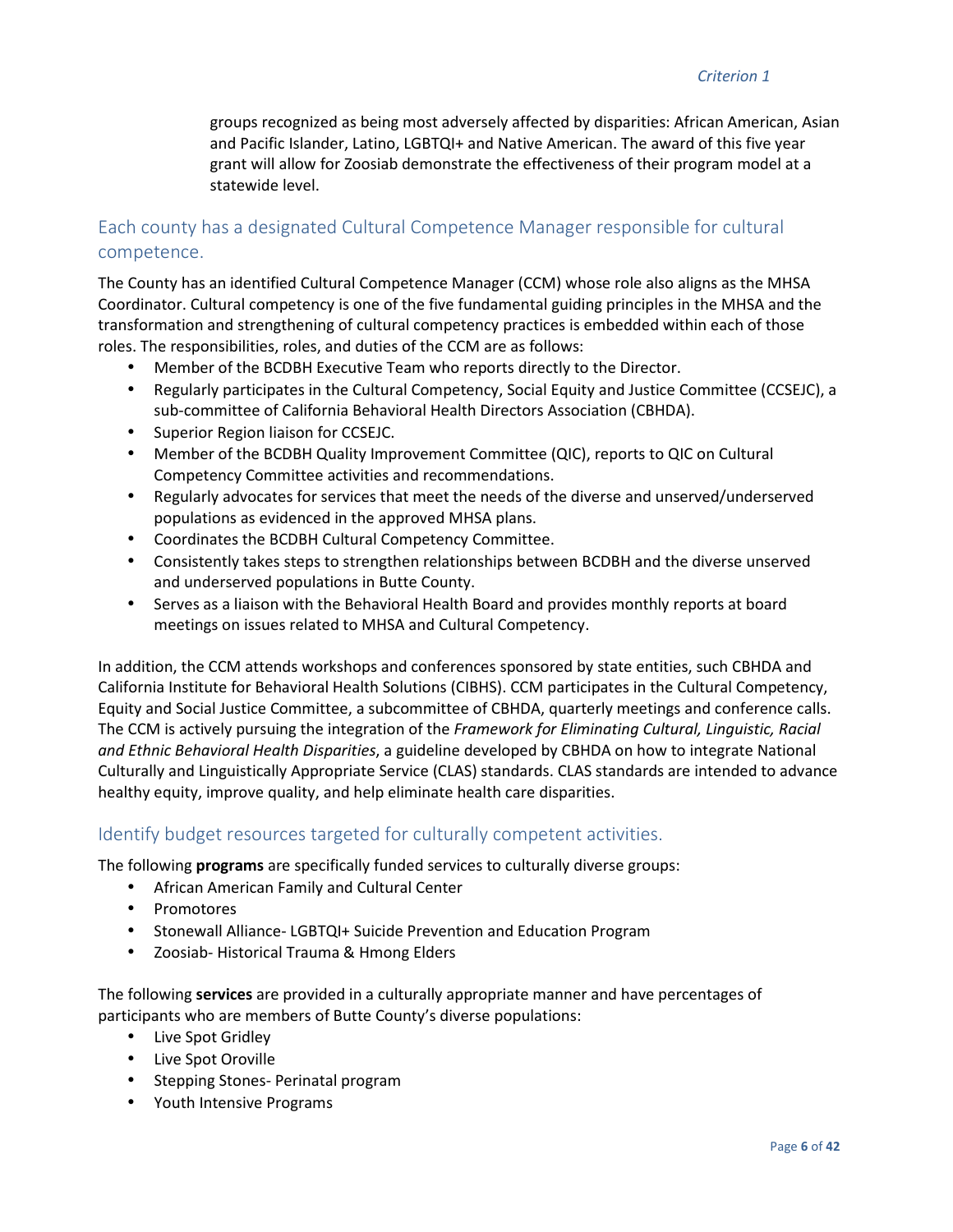groups recognized as being most adversely affected by disparities: African American, Asian and Pacific Islander, Latino, LGBTQI+ and Native American. The award of this five year grant will allow for Zoosiab demonstrate the effectiveness of their program model at a statewide level.

# Each county has a designated Cultural Competence Manager responsible for cultural competence.

The County has an identified Cultural Competence Manager (CCM) whose role also aligns as the MHSA Coordinator. Cultural competency is one of the five fundamental guiding principles in the MHSA and the transformation and strengthening of cultural competency practices is embedded within each of those roles. The responsibilities, roles, and duties of the CCM are as follows:

- Member of the BCDBH Executive Team who reports directly to the Director.
- Regularly participates in the Cultural Competency, Social Equity and Justice Committee (CCSEJC), a sub-committee of California Behavioral Health Directors Association (CBHDA).
- Superior Region liaison for CCSEJC.
- Member of the BCDBH Quality Improvement Committee (QIC), reports to QIC on Cultural Competency Committee activities and recommendations.
- Regularly advocates for services that meet the needs of the diverse and unserved/underserved populations as evidenced in the approved MHSA plans.
- Coordinates the BCDBH Cultural Competency Committee.
- Consistently takes steps to strengthen relationships between BCDBH and the diverse unserved and underserved populations in Butte County.
- Serves as a liaison with the Behavioral Health Board and provides monthly reports at board meetings on issues related to MHSA and Cultural Competency.

In addition, the CCM attends workshops and conferences sponsored by state entities, such CBHDA and California Institute for Behavioral Health Solutions (CIBHS). CCM participates in the Cultural Competency, Equity and Social Justice Committee, a subcommittee of CBHDA, quarterly meetings and conference calls. The CCM is actively pursuing the integration of the *Framework for Eliminating Cultural, Linguistic, Racial and Ethnic Behavioral Health Disparities*, a guideline developed by CBHDA on how to integrate National Culturally and Linguistically Appropriate Service (CLAS) standards. CLAS standards are intended to advance healthy equity, improve quality, and help eliminate health care disparities.

### Identify budget resources targeted for culturally competent activities.

The following **programs** are specifically funded services to culturally diverse groups:

- African American Family and Cultural Center
- Promotores
- Stonewall Alliance- LGBTQI+ Suicide Prevention and Education Program
- Zoosiab- Historical Trauma & Hmong Elders

The following **services** are provided in a culturally appropriate manner and have percentages of participants who are members of Butte County's diverse populations:

- Live Spot Gridley
- Live Spot Oroville
- Stepping Stones- Perinatal program
- Youth Intensive Programs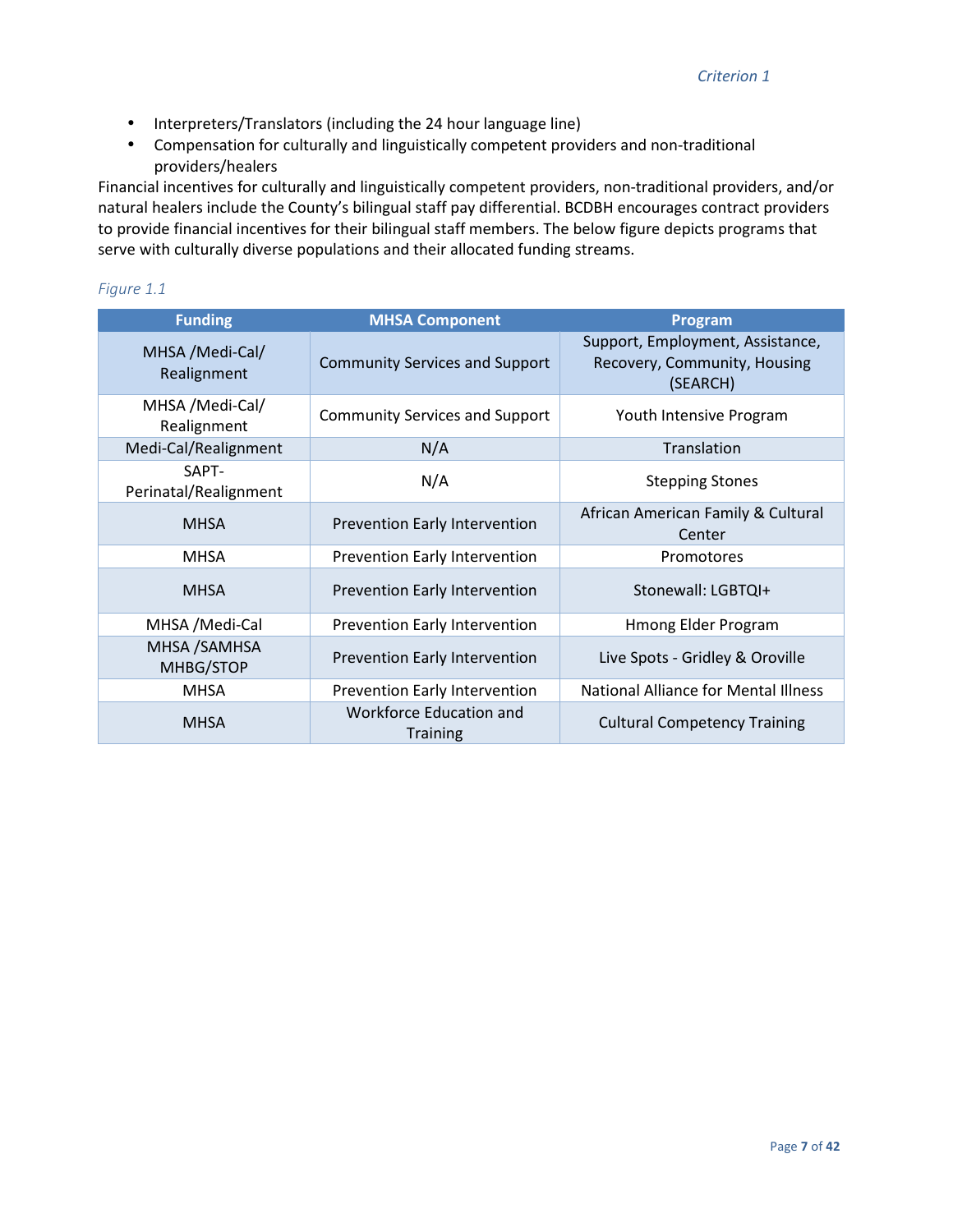- Interpreters/Translators (including the 24 hour language line)
- Compensation for culturally and linguistically competent providers and non-traditional providers/healers

Financial incentives for culturally and linguistically competent providers, non-traditional providers, and/or natural healers include the County's bilingual staff pay differential. BCDBH encourages contract providers to provide financial incentives for their bilingual staff members. The below figure depicts programs that serve with culturally diverse populations and their allocated funding streams.

#### *Figure 1.1*

| <b>Funding</b>                 | <b>MHSA Component</b>                             | <b>Program</b>                                                               |
|--------------------------------|---------------------------------------------------|------------------------------------------------------------------------------|
| MHSA /Medi-Cal/<br>Realignment | <b>Community Services and Support</b>             | Support, Employment, Assistance,<br>Recovery, Community, Housing<br>(SEARCH) |
| MHSA /Medi-Cal/<br>Realignment | <b>Community Services and Support</b>             | Youth Intensive Program                                                      |
| Medi-Cal/Realignment           | N/A                                               | Translation                                                                  |
| SAPT-<br>Perinatal/Realignment | N/A                                               | <b>Stepping Stones</b>                                                       |
| <b>MHSA</b>                    | Prevention Early Intervention                     | African American Family & Cultural<br>Center                                 |
| <b>MHSA</b>                    | Prevention Early Intervention                     | Promotores                                                                   |
| <b>MHSA</b>                    | Prevention Early Intervention                     | Stonewall: LGBTQI+                                                           |
| MHSA / Medi-Cal                | Prevention Early Intervention                     | Hmong Elder Program                                                          |
| MHSA / SAMHSA<br>MHBG/STOP     | Prevention Early Intervention                     | Live Spots - Gridley & Oroville                                              |
| <b>MHSA</b>                    | Prevention Early Intervention                     | National Alliance for Mental Illness                                         |
| <b>MHSA</b>                    | <b>Workforce Education and</b><br><b>Training</b> | <b>Cultural Competency Training</b>                                          |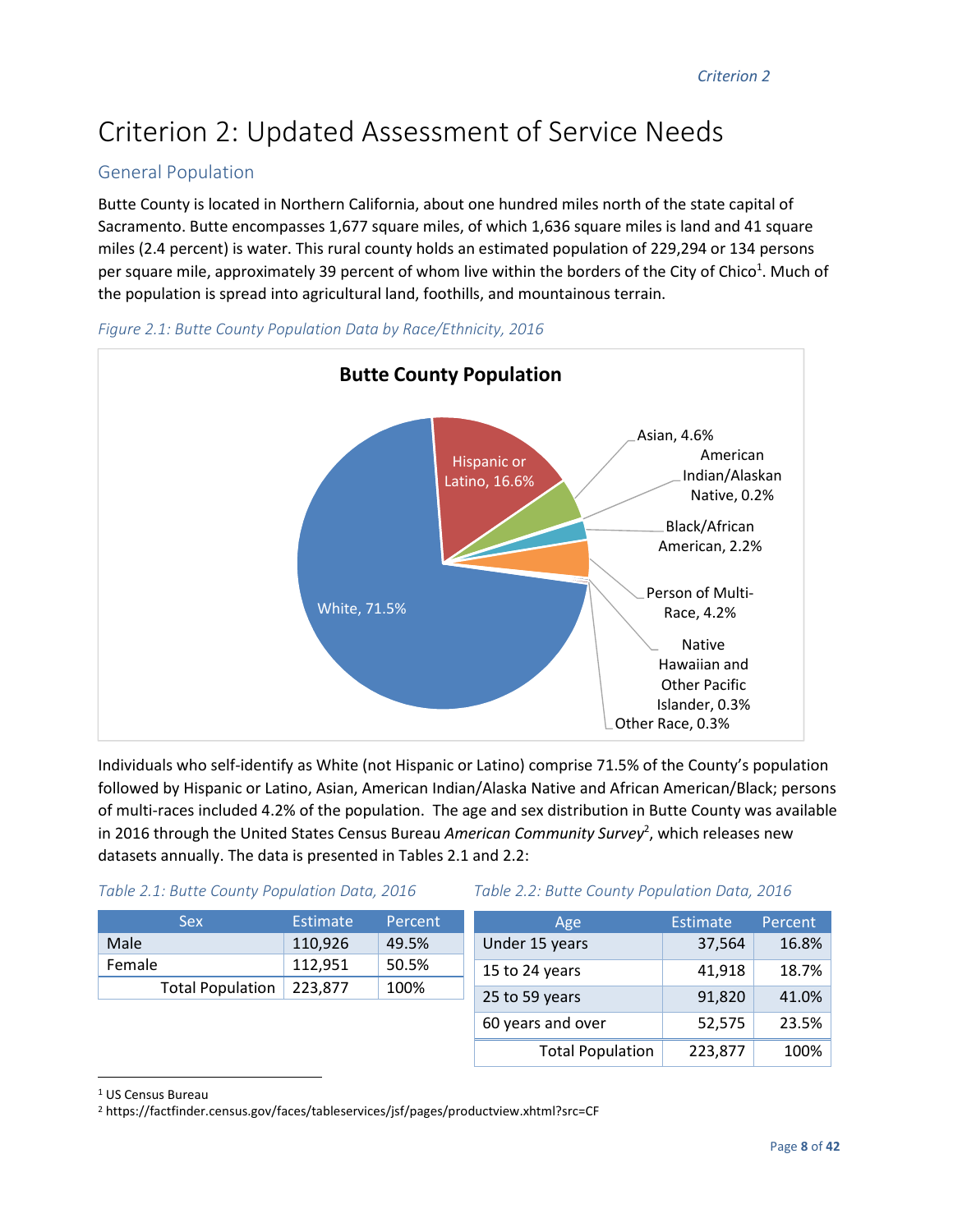# Criterion 2: Updated Assessment of Service Needs

# General Population

Butte County is located in Northern California, about one hundred miles north of the state capital of Sacramento. Butte encompasses 1,677 square miles, of which 1,636 square miles is land and 41 square miles (2.4 percent) is water. This rural county holds an estimated population of 229,294 or 134 persons per square mile, approximately 39 percent of whom live within the borders of the City of Chico<sup>1</sup>. Much of the population is spread into agricultural land, foothills, and mountainous terrain.





Individuals who self-identify as White (not Hispanic or Latino) comprise 71.5% of the County's population followed by Hispanic or Latino, Asian, American Indian/Alaska Native and African American/Black; persons of multi-races included 4.2% of the population. The age and sex distribution in Butte County was available in 2016 through the United States Census Bureau American Community Survey<sup>2</sup>, which releases new datasets annually. The data is presented in Tables 2.1 and 2.2:

#### *Table 2.1: Butte County Population Data, 2016 Table 2.2: Butte County Population Data, 2016*

| <b>Sex</b>              | <b>Estimate</b> | Percent | Age                     | <b>Estimate</b> | <b>Percent</b> |
|-------------------------|-----------------|---------|-------------------------|-----------------|----------------|
| Male                    | 110,926         | 49.5%   | Under 15 years          | 37,564          | 16.8%          |
| Female                  | 112,951         | 50.5%   | 15 to 24 years          | 41,918          | 18.7%          |
| <b>Total Population</b> | 223,877         | 100%    | 25 to 59 years          | 91,820          | 41.0%          |
|                         |                 |         | 60 years and over       | 52,575          | 23.5%          |
|                         |                 |         | <b>Total Population</b> | 223,877         | 100%           |

1 US Census Bureau

<u>.</u>

<sup>2</sup> https://factfinder.census.gov/faces/tableservices/jsf/pages/productview.xhtml?src=CF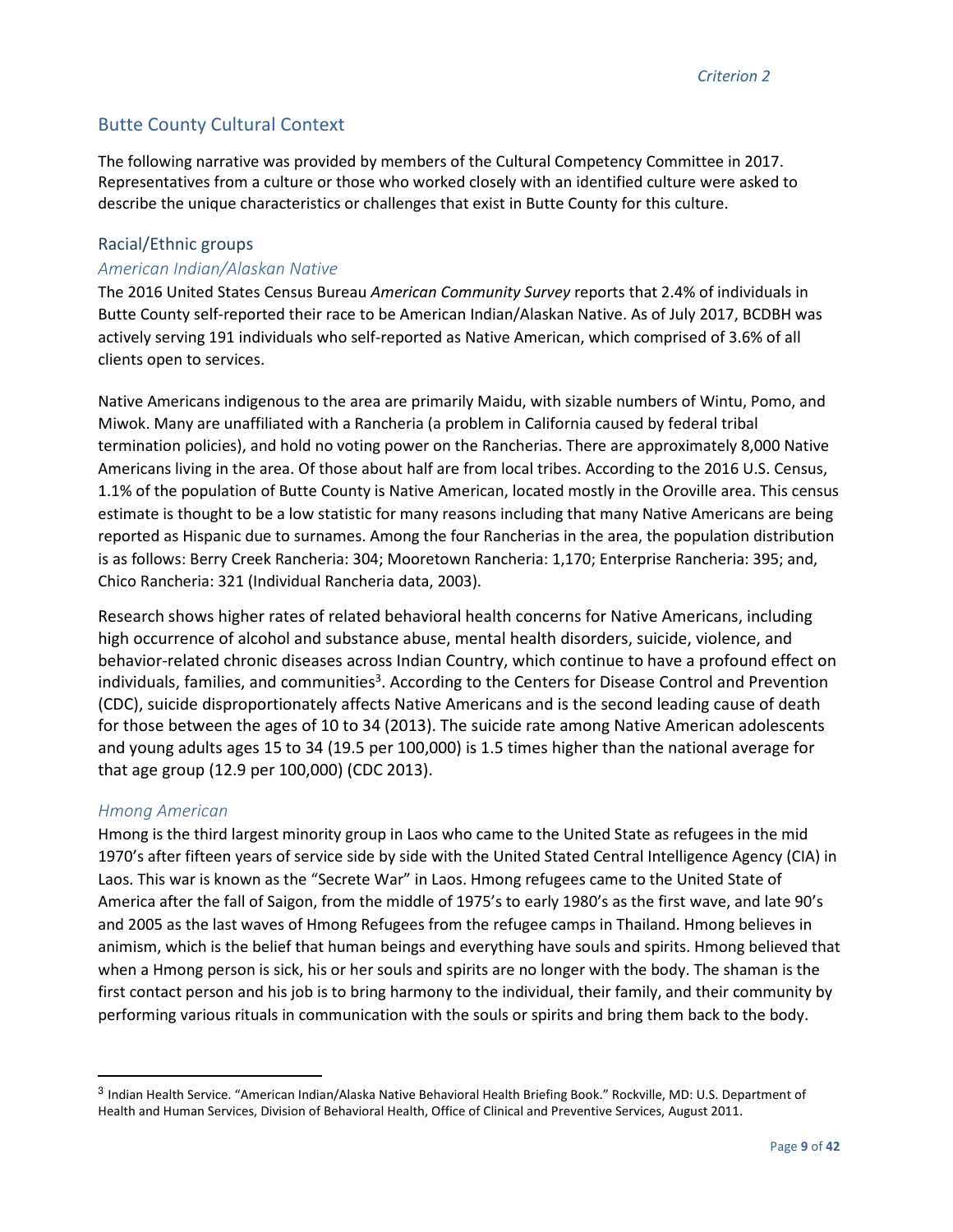# Butte County Cultural Context

The following narrative was provided by members of the Cultural Competency Committee in 2017. Representatives from a culture or those who worked closely with an identified culture were asked to describe the unique characteristics or challenges that exist in Butte County for this culture.

#### Racial/Ethnic groups

#### *American Indian/Alaskan Native*

The 2016 United States Census Bureau *American Community Survey* reports that 2.4% of individuals in Butte County self-reported their race to be American Indian/Alaskan Native. As of July 2017, BCDBH was actively serving 191 individuals who self-reported as Native American, which comprised of 3.6% of all clients open to services.

Native Americans indigenous to the area are primarily Maidu, with sizable numbers of Wintu, Pomo, and Miwok. Many are unaffiliated with a Rancheria (a problem in California caused by federal tribal termination policies), and hold no voting power on the Rancherias. There are approximately 8,000 Native Americans living in the area. Of those about half are from local tribes. According to the 2016 U.S. Census, 1.1% of the population of Butte County is Native American, located mostly in the Oroville area. This census estimate is thought to be a low statistic for many reasons including that many Native Americans are being reported as Hispanic due to surnames. Among the four Rancherias in the area, the population distribution is as follows: Berry Creek Rancheria: 304; Mooretown Rancheria: 1,170; Enterprise Rancheria: 395; and, Chico Rancheria: 321 (Individual Rancheria data, 2003).

Research shows higher rates of related behavioral health concerns for Native Americans, including high occurrence of alcohol and substance abuse, mental health disorders, suicide, violence, and behavior-related chronic diseases across Indian Country, which continue to have a profound effect on individuals, families, and communities<sup>3</sup>. According to the Centers for Disease Control and Prevention (CDC), suicide disproportionately affects Native Americans and is the second leading cause of death for those between the ages of 10 to 34 (2013). The suicide rate among Native American adolescents and young adults ages 15 to 34 (19.5 per 100,000) is 1.5 times higher than the national average for that age group (12.9 per 100,000) (CDC 2013).

#### *Hmong American*

 $\overline{a}$ 

Hmong is the third largest minority group in Laos who came to the United State as refugees in the mid 1970's after fifteen years of service side by side with the United Stated Central Intelligence Agency (CIA) in Laos. This war is known as the "Secrete War" in Laos. Hmong refugees came to the United State of America after the fall of Saigon, from the middle of 1975's to early 1980's as the first wave, and late 90's and 2005 as the last waves of Hmong Refugees from the refugee camps in Thailand. Hmong believes in animism, which is the belief that human beings and everything have souls and spirits. Hmong believed that when a Hmong person is sick, his or her souls and spirits are no longer with the body. The shaman is the first contact person and his job is to bring harmony to the individual, their family, and their community by performing various rituals in communication with the souls or spirits and bring them back to the body.

<sup>&</sup>lt;sup>3</sup> Indian Health Service. "American Indian/Alaska Native Behavioral Health Briefing Book." Rockville, MD: U.S. Department of Health and Human Services, Division of Behavioral Health, Office of Clinical and Preventive Services, August 2011.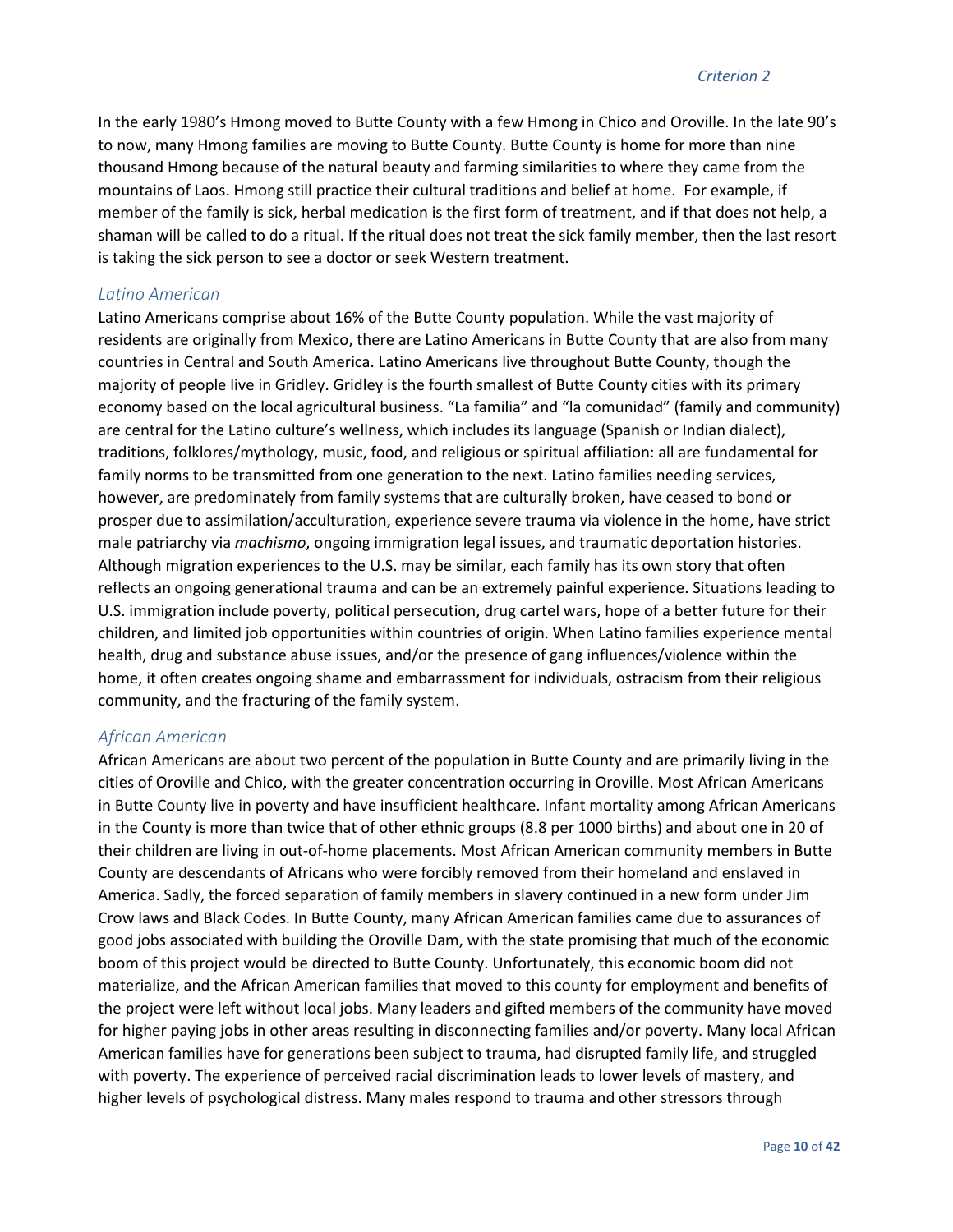#### *Criterion 2*

In the early 1980's Hmong moved to Butte County with a few Hmong in Chico and Oroville. In the late 90's to now, many Hmong families are moving to Butte County. Butte County is home for more than nine thousand Hmong because of the natural beauty and farming similarities to where they came from the mountains of Laos. Hmong still practice their cultural traditions and belief at home. For example, if member of the family is sick, herbal medication is the first form of treatment, and if that does not help, a shaman will be called to do a ritual. If the ritual does not treat the sick family member, then the last resort is taking the sick person to see a doctor or seek Western treatment.

#### *Latino American*

Latino Americans comprise about 16% of the Butte County population. While the vast majority of residents are originally from Mexico, there are Latino Americans in Butte County that are also from many countries in Central and South America. Latino Americans live throughout Butte County, though the majority of people live in Gridley. Gridley is the fourth smallest of Butte County cities with its primary economy based on the local agricultural business. "La familia" and "la comunidad" (family and community) are central for the Latino culture's wellness, which includes its language (Spanish or Indian dialect), traditions, folklores/mythology, music, food, and religious or spiritual affiliation: all are fundamental for family norms to be transmitted from one generation to the next. Latino families needing services, however, are predominately from family systems that are culturally broken, have ceased to bond or prosper due to assimilation/acculturation, experience severe trauma via violence in the home, have strict male patriarchy via *machismo*, ongoing immigration legal issues, and traumatic deportation histories. Although migration experiences to the U.S. may be similar, each family has its own story that often reflects an ongoing generational trauma and can be an extremely painful experience. Situations leading to U.S. immigration include poverty, political persecution, drug cartel wars, hope of a better future for their children, and limited job opportunities within countries of origin. When Latino families experience mental health, drug and substance abuse issues, and/or the presence of gang influences/violence within the home, it often creates ongoing shame and embarrassment for individuals, ostracism from their religious community, and the fracturing of the family system.

#### *African American*

African Americans are about two percent of the population in Butte County and are primarily living in the cities of Oroville and Chico, with the greater concentration occurring in Oroville. Most African Americans in Butte County live in poverty and have insufficient healthcare. Infant mortality among African Americans in the County is more than twice that of other ethnic groups (8.8 per 1000 births) and about one in 20 of their children are living in out-of-home placements. Most African American community members in Butte County are descendants of Africans who were forcibly removed from their homeland and enslaved in America. Sadly, the forced separation of family members in slavery continued in a new form under Jim Crow laws and Black Codes. In Butte County, many African American families came due to assurances of good jobs associated with building the Oroville Dam, with the state promising that much of the economic boom of this project would be directed to Butte County. Unfortunately, this economic boom did not materialize, and the African American families that moved to this county for employment and benefits of the project were left without local jobs. Many leaders and gifted members of the community have moved for higher paying jobs in other areas resulting in disconnecting families and/or poverty. Many local African American families have for generations been subject to trauma, had disrupted family life, and struggled with poverty. The experience of perceived racial discrimination leads to lower levels of mastery, and higher levels of psychological distress. Many males respond to trauma and other stressors through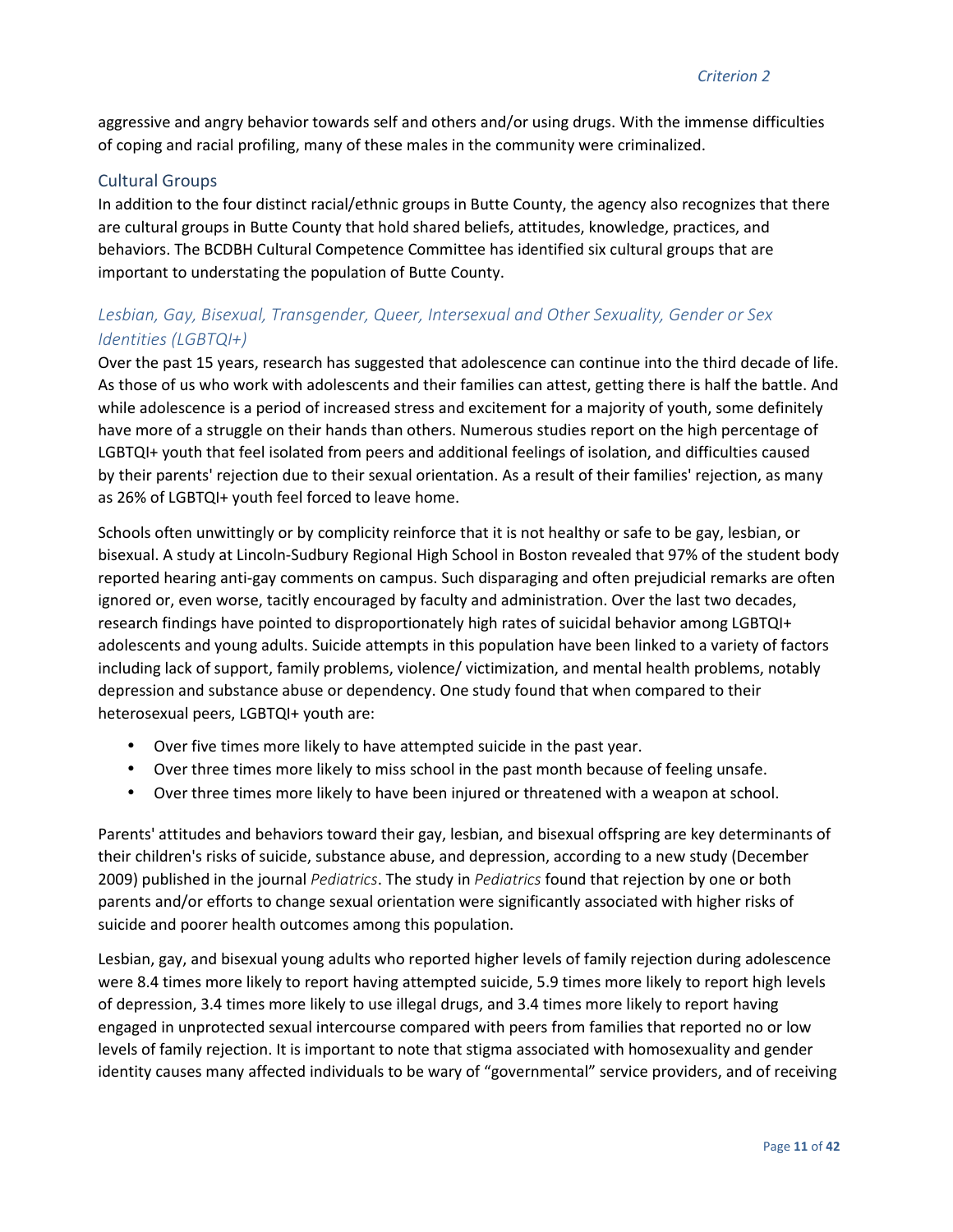aggressive and angry behavior towards self and others and/or using drugs. With the immense difficulties of coping and racial profiling, many of these males in the community were criminalized.

#### Cultural Groups

In addition to the four distinct racial/ethnic groups in Butte County, the agency also recognizes that there are cultural groups in Butte County that hold shared beliefs, attitudes, knowledge, practices, and behaviors. The BCDBH Cultural Competence Committee has identified six cultural groups that are important to understating the population of Butte County.

# *Lesbian, Gay, Bisexual, Transgender, Queer, Intersexual and Other Sexuality, Gender or Sex Identities (LGBTQI+)*

Over the past 15 years, research has suggested that adolescence can continue into the third decade of life. As those of us who work with adolescents and their families can attest, getting there is half the battle. And while adolescence is a period of increased stress and excitement for a majority of youth, some definitely have more of a struggle on their hands than others. Numerous studies report on the high percentage of LGBTQI+ youth that feel isolated from peers and additional feelings of isolation, and difficulties caused by their parents' rejection due to their sexual orientation. As a result of their families' rejection, as many as 26% of LGBTQI+ youth feel forced to leave home.

Schools often unwittingly or by complicity reinforce that it is not healthy or safe to be gay, lesbian, or bisexual. A study at Lincoln-Sudbury Regional High School in Boston revealed that 97% of the student body reported hearing anti-gay comments on campus. Such disparaging and often prejudicial remarks are often ignored or, even worse, tacitly encouraged by faculty and administration. Over the last two decades, research findings have pointed to disproportionately high rates of suicidal behavior among LGBTQI+ adolescents and young adults. Suicide attempts in this population have been linked to a variety of factors including lack of support, family problems, violence/ victimization, and mental health problems, notably depression and substance abuse or dependency. One study found that when compared to their heterosexual peers, LGBTQI+ youth are:

- Over five times more likely to have attempted suicide in the past year.
- Over three times more likely to miss school in the past month because of feeling unsafe.
- Over three times more likely to have been injured or threatened with a weapon at school.

Parents' attitudes and behaviors toward their gay, lesbian, and bisexual offspring are key determinants of their children's risks of suicide, substance abuse, and depression, according to a new study (December 2009) published in the journal *Pediatrics*. The study in *Pediatrics* found that rejection by one or both parents and/or efforts to change sexual orientation were significantly associated with higher risks of suicide and poorer health outcomes among this population.

Lesbian, gay, and bisexual young adults who reported higher levels of family rejection during adolescence were 8.4 times more likely to report having attempted suicide, 5.9 times more likely to report high levels of depression, 3.4 times more likely to use illegal drugs, and 3.4 times more likely to report having engaged in unprotected sexual intercourse compared with peers from families that reported no or low levels of family rejection. It is important to note that stigma associated with homosexuality and gender identity causes many affected individuals to be wary of "governmental" service providers, and of receiving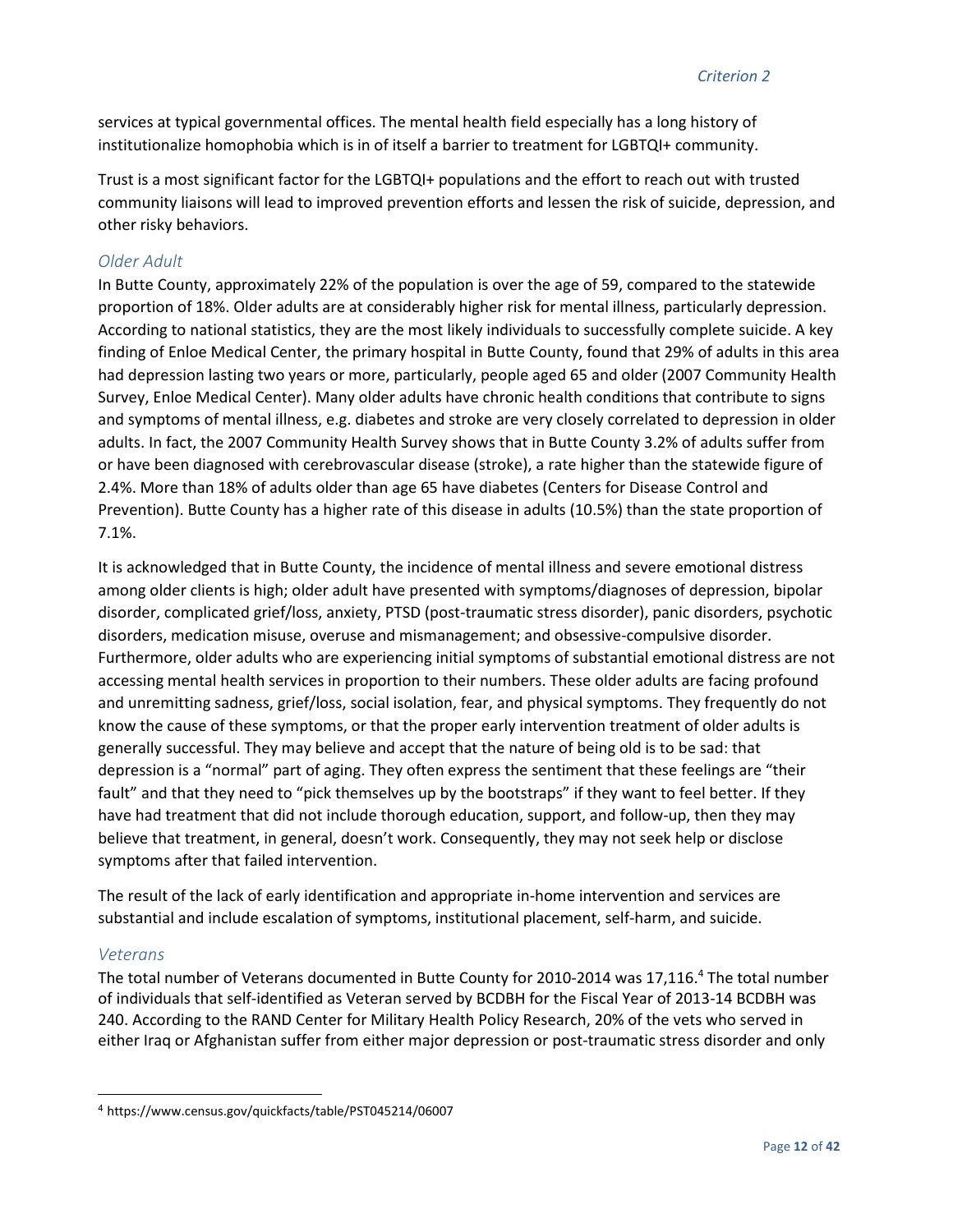services at typical governmental offices. The mental health field especially has a long history of institutionalize homophobia which is in of itself a barrier to treatment for LGBTQI+ community.

Trust is a most significant factor for the LGBTQI+ populations and the effort to reach out with trusted community liaisons will lead to improved prevention efforts and lessen the risk of suicide, depression, and other risky behaviors.

#### *Older Adult*

In Butte County, approximately 22% of the population is over the age of 59, compared to the statewide proportion of 18%. Older adults are at considerably higher risk for mental illness, particularly depression. According to national statistics, they are the most likely individuals to successfully complete suicide. A key finding of Enloe Medical Center, the primary hospital in Butte County, found that 29% of adults in this area had depression lasting two years or more, particularly, people aged 65 and older (2007 Community Health Survey, Enloe Medical Center). Many older adults have chronic health conditions that contribute to signs and symptoms of mental illness, e.g. diabetes and stroke are very closely correlated to depression in older adults. In fact, the 2007 Community Health Survey shows that in Butte County 3.2% of adults suffer from or have been diagnosed with cerebrovascular disease (stroke), a rate higher than the statewide figure of 2.4%. More than 18% of adults older than age 65 have diabetes (Centers for Disease Control and Prevention). Butte County has a higher rate of this disease in adults (10.5%) than the state proportion of 7.1%.

It is acknowledged that in Butte County, the incidence of mental illness and severe emotional distress among older clients is high; older adult have presented with symptoms/diagnoses of depression, bipolar disorder, complicated grief/loss, anxiety, PTSD (post-traumatic stress disorder), panic disorders, psychotic disorders, medication misuse, overuse and mismanagement; and obsessive-compulsive disorder. Furthermore, older adults who are experiencing initial symptoms of substantial emotional distress are not accessing mental health services in proportion to their numbers. These older adults are facing profound and unremitting sadness, grief/loss, social isolation, fear, and physical symptoms. They frequently do not know the cause of these symptoms, or that the proper early intervention treatment of older adults is generally successful. They may believe and accept that the nature of being old is to be sad: that depression is a "normal" part of aging. They often express the sentiment that these feelings are "their fault" and that they need to "pick themselves up by the bootstraps" if they want to feel better. If they have had treatment that did not include thorough education, support, and follow-up, then they may believe that treatment, in general, doesn't work. Consequently, they may not seek help or disclose symptoms after that failed intervention.

The result of the lack of early identification and appropriate in-home intervention and services are substantial and include escalation of symptoms, institutional placement, self-harm, and suicide.

#### *Veterans*

<u>.</u>

The total number of Veterans documented in Butte County for 2010-2014 was 17,116.<sup>4</sup> The total number of individuals that self-identified as Veteran served by BCDBH for the Fiscal Year of 2013-14 BCDBH was 240. According to the RAND Center for Military Health Policy Research, 20% of the vets who served in either Iraq or Afghanistan suffer from either major depression or post-traumatic stress disorder and only

<sup>4</sup> https://www.census.gov/quickfacts/table/PST045214/06007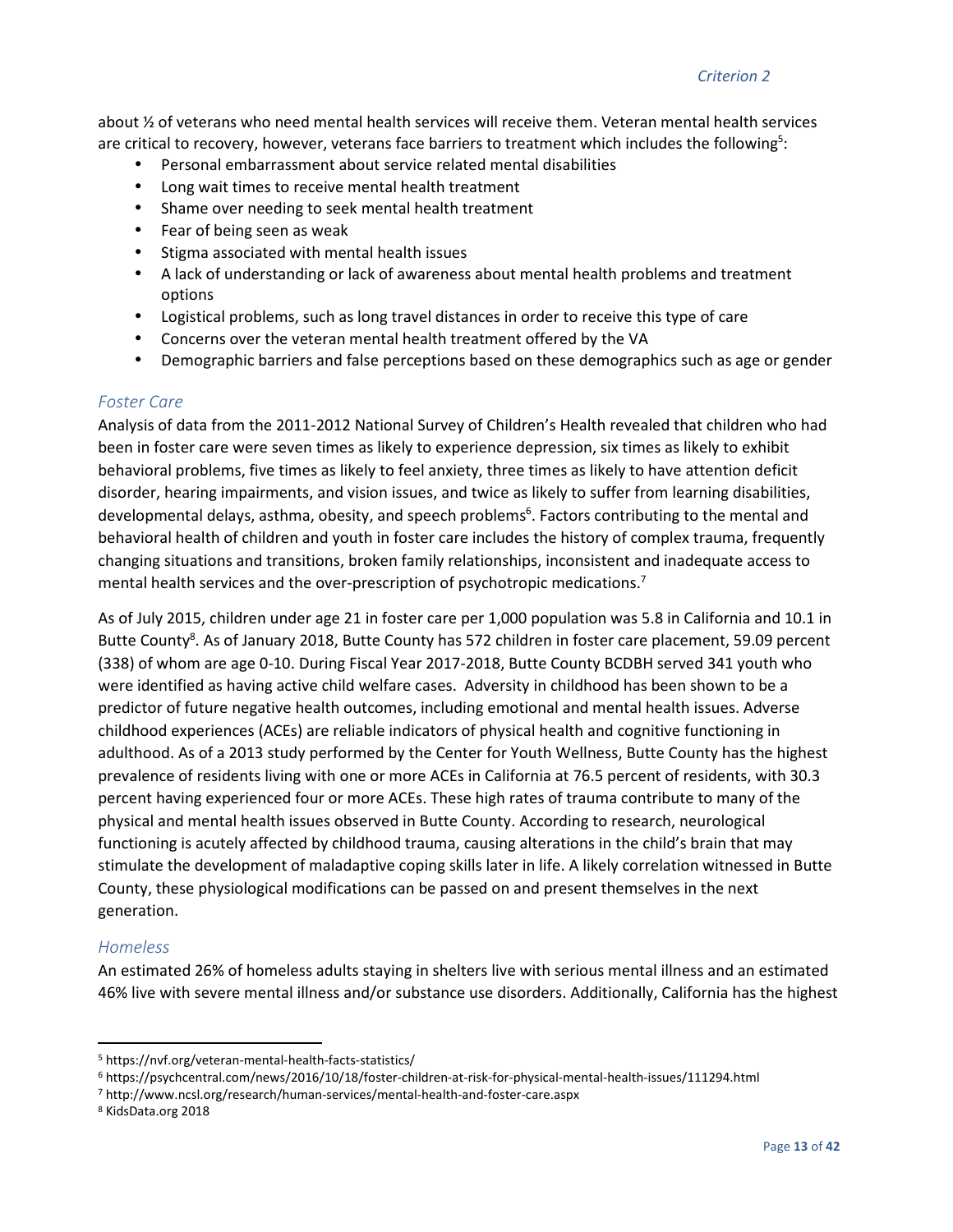about ½ of veterans who need mental health services will receive them. Veteran mental health services are critical to recovery, however, veterans face barriers to treatment which includes the following<sup>5</sup>:

- Personal embarrassment about service related mental disabilities
- Long wait times to receive mental health treatment
- Shame over needing to seek mental health treatment
- Fear of being seen as weak
- Stigma associated with mental health issues
- A lack of understanding or lack of awareness about mental health problems and treatment options
- Logistical problems, such as long travel distances in order to receive this type of care
- Concerns over the veteran mental health treatment offered by the VA
- Demographic barriers and false perceptions based on these demographics such as age or gender

#### *Foster Care*

Analysis of data from the 2011-2012 National Survey of Children's Health revealed that children who had been in foster care were seven times as likely to experience depression, six times as likely to exhibit behavioral problems, five times as likely to feel anxiety, three times as likely to have attention deficit disorder, hearing impairments, and vision issues, and twice as likely to suffer from learning disabilities, developmental delays, asthma, obesity, and speech problems<sup>6</sup>. Factors contributing to the mental and behavioral health of children and youth in foster care includes the history of complex trauma, frequently changing situations and transitions, broken family relationships, inconsistent and inadequate access to mental health services and the over-prescription of psychotropic medications.<sup>7</sup>

As of July 2015, children under age 21 in foster care per 1,000 population was 5.8 in California and 10.1 in Butte County<sup>8</sup>. As of January 2018, Butte County has 572 children in foster care placement, 59.09 percent (338) of whom are age 0-10. During Fiscal Year 2017-2018, Butte County BCDBH served 341 youth who were identified as having active child welfare cases. Adversity in childhood has been shown to be a predictor of future negative health outcomes, including emotional and mental health issues. Adverse childhood experiences (ACEs) are reliable indicators of physical health and cognitive functioning in adulthood. As of a 2013 study performed by the Center for Youth Wellness, Butte County has the highest prevalence of residents living with one or more ACEs in California at 76.5 percent of residents, with 30.3 percent having experienced four or more ACEs. These high rates of trauma contribute to many of the physical and mental health issues observed in Butte County. According to research, neurological functioning is acutely affected by childhood trauma, causing alterations in the child's brain that may stimulate the development of maladaptive coping skills later in life. A likely correlation witnessed in Butte County, these physiological modifications can be passed on and present themselves in the next generation.

#### *Homeless*

 $\overline{a}$ 

An estimated 26% of homeless adults staying in shelters live with serious mental illness and an estimated 46% live with severe mental illness and/or substance use disorders. Additionally, California has the highest

<sup>5</sup> https://nvf.org/veteran-mental-health-facts-statistics/

<sup>6</sup> https://psychcentral.com/news/2016/10/18/foster-children-at-risk-for-physical-mental-health-issues/111294.html

<sup>7</sup> http://www.ncsl.org/research/human-services/mental-health-and-foster-care.aspx

<sup>8</sup> KidsData.org 2018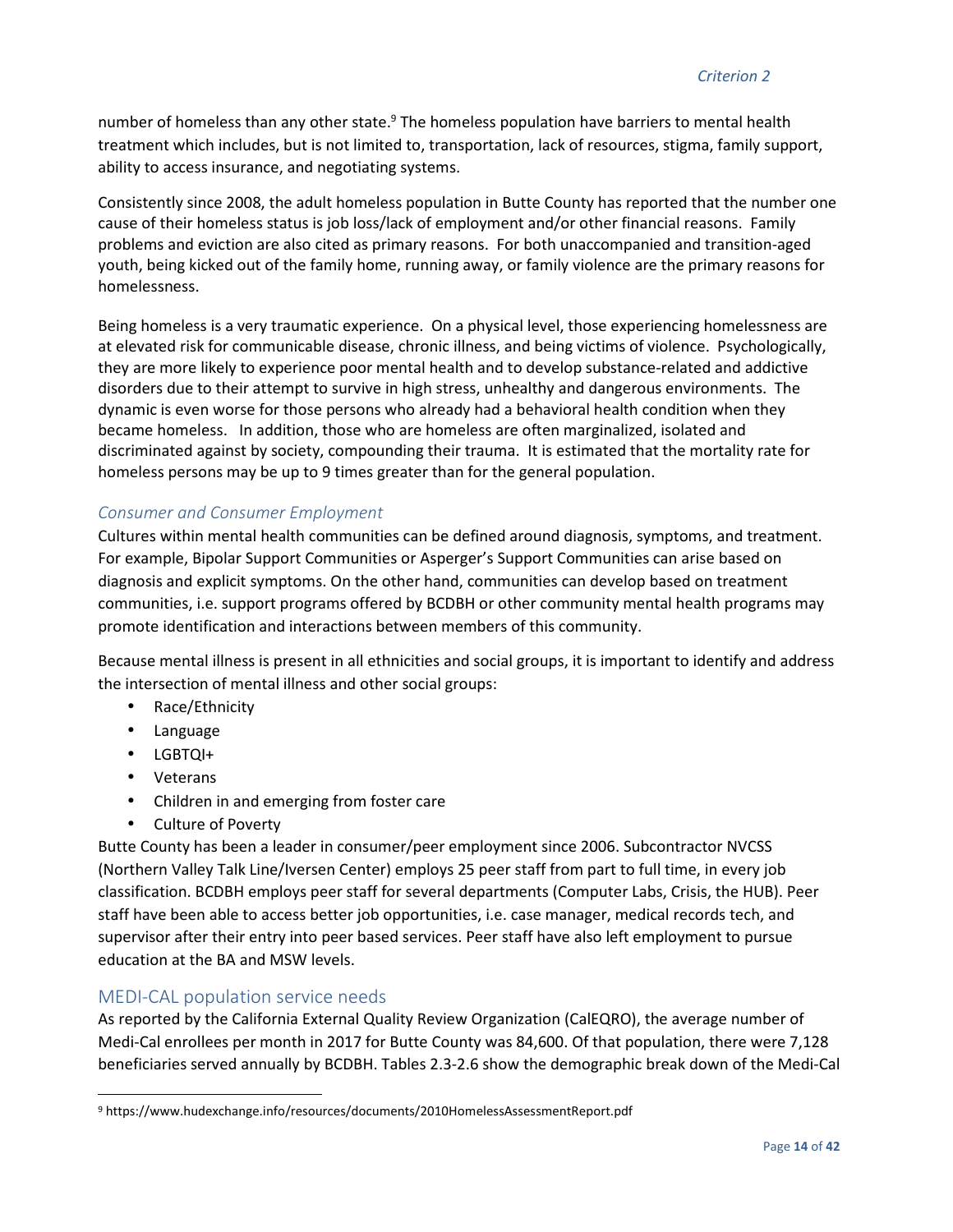number of homeless than any other state.<sup>9</sup> The homeless population have barriers to mental health treatment which includes, but is not limited to, transportation, lack of resources, stigma, family support, ability to access insurance, and negotiating systems.

Consistently since 2008, the adult homeless population in Butte County has reported that the number one cause of their homeless status is job loss/lack of employment and/or other financial reasons. Family problems and eviction are also cited as primary reasons. For both unaccompanied and transition-aged youth, being kicked out of the family home, running away, or family violence are the primary reasons for homelessness.

Being homeless is a very traumatic experience. On a physical level, those experiencing homelessness are at elevated risk for communicable disease, chronic illness, and being victims of violence. Psychologically, they are more likely to experience poor mental health and to develop substance-related and addictive disorders due to their attempt to survive in high stress, unhealthy and dangerous environments. The dynamic is even worse for those persons who already had a behavioral health condition when they became homeless. In addition, those who are homeless are often marginalized, isolated and discriminated against by society, compounding their trauma. It is estimated that the mortality rate for homeless persons may be up to 9 times greater than for the general population.

#### *Consumer and Consumer Employment*

Cultures within mental health communities can be defined around diagnosis, symptoms, and treatment. For example, Bipolar Support Communities or Asperger's Support Communities can arise based on diagnosis and explicit symptoms. On the other hand, communities can develop based on treatment communities, i.e. support programs offered by BCDBH or other community mental health programs may promote identification and interactions between members of this community.

Because mental illness is present in all ethnicities and social groups, it is important to identify and address the intersection of mental illness and other social groups:

- Race/Ethnicity
- Language
- LGBTQI+
- Veterans

 $\overline{a}$ 

- Children in and emerging from foster care
- Culture of Poverty

Butte County has been a leader in consumer/peer employment since 2006. Subcontractor NVCSS (Northern Valley Talk Line/Iversen Center) employs 25 peer staff from part to full time, in every job classification. BCDBH employs peer staff for several departments (Computer Labs, Crisis, the HUB). Peer staff have been able to access better job opportunities, i.e. case manager, medical records tech, and supervisor after their entry into peer based services. Peer staff have also left employment to pursue education at the BA and MSW levels.

#### MEDI-CAL population service needs

As reported by the California External Quality Review Organization (CalEQRO), the average number of Medi-Cal enrollees per month in 2017 for Butte County was 84,600. Of that population, there were 7,128 beneficiaries served annually by BCDBH. Tables 2.3-2.6 show the demographic break down of the Medi-Cal

<sup>9</sup> https://www.hudexchange.info/resources/documents/2010HomelessAssessmentReport.pdf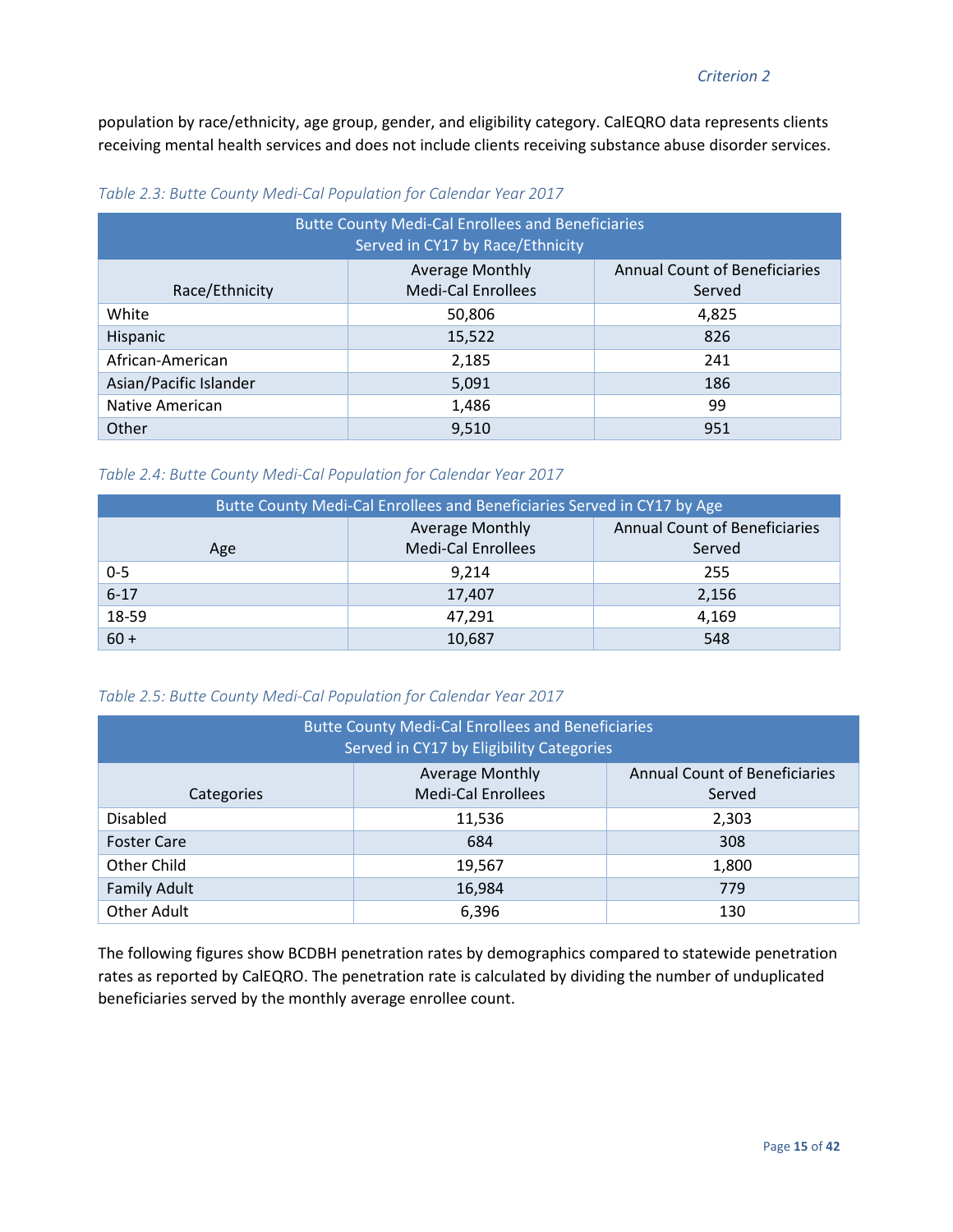population by race/ethnicity, age group, gender, and eligibility category. CalEQRO data represents clients receiving mental health services and does not include clients receiving substance abuse disorder services.

| <b>Butte County Medi-Cal Enrollees and Beneficiaries</b><br>Served in CY17 by Race/Ethnicity |                                                     |                                                |  |
|----------------------------------------------------------------------------------------------|-----------------------------------------------------|------------------------------------------------|--|
| Race/Ethnicity                                                                               | <b>Average Monthly</b><br><b>Medi-Cal Enrollees</b> | <b>Annual Count of Beneficiaries</b><br>Served |  |
| White                                                                                        | 50,806                                              | 4,825                                          |  |
| Hispanic                                                                                     | 15,522                                              | 826                                            |  |
| African-American                                                                             | 2,185                                               | 241                                            |  |
| Asian/Pacific Islander                                                                       | 5,091                                               | 186                                            |  |
| Native American                                                                              | 1,486                                               | 99                                             |  |
| Other                                                                                        | 9,510                                               | 951                                            |  |

*Table 2.3: Butte County Medi-Cal Population for Calendar Year 2017* 

|  |  |  | Table 2.4: Butte County Medi-Cal Population for Calendar Year 2017 |
|--|--|--|--------------------------------------------------------------------|
|--|--|--|--------------------------------------------------------------------|

| Butte County Medi-Cal Enrollees and Beneficiaries Served in CY17 by Age |                                                     |                                                |  |
|-------------------------------------------------------------------------|-----------------------------------------------------|------------------------------------------------|--|
| Age                                                                     | <b>Average Monthly</b><br><b>Medi-Cal Enrollees</b> | <b>Annual Count of Beneficiaries</b><br>Served |  |
| $0 - 5$                                                                 | 9,214                                               | 255                                            |  |
| $6 - 17$                                                                | 17,407<br>2,156                                     |                                                |  |
| 18-59<br>47,291                                                         |                                                     | 4,169                                          |  |
| $60 +$                                                                  | 10,687                                              | 548                                            |  |

*Table 2.5: Butte County Medi-Cal Population for Calendar Year 2017* 

| <b>Butte County Medi-Cal Enrollees and Beneficiaries</b><br>Served in CY17 by Eligibility Categories  |        |       |  |
|-------------------------------------------------------------------------------------------------------|--------|-------|--|
| <b>Annual Count of Beneficiaries</b><br><b>Average Monthly</b><br><b>Medi-Cal Enrollees</b><br>Served |        |       |  |
| Categories                                                                                            |        |       |  |
| <b>Disabled</b>                                                                                       | 11,536 | 2,303 |  |
| <b>Foster Care</b>                                                                                    | 684    | 308   |  |
| Other Child                                                                                           | 19,567 | 1,800 |  |
| <b>Family Adult</b><br>16,984                                                                         |        | 779   |  |
| <b>Other Adult</b>                                                                                    | 6,396  | 130   |  |

The following figures show BCDBH penetration rates by demographics compared to statewide penetration rates as reported by CalEQRO. The penetration rate is calculated by dividing the number of unduplicated beneficiaries served by the monthly average enrollee count.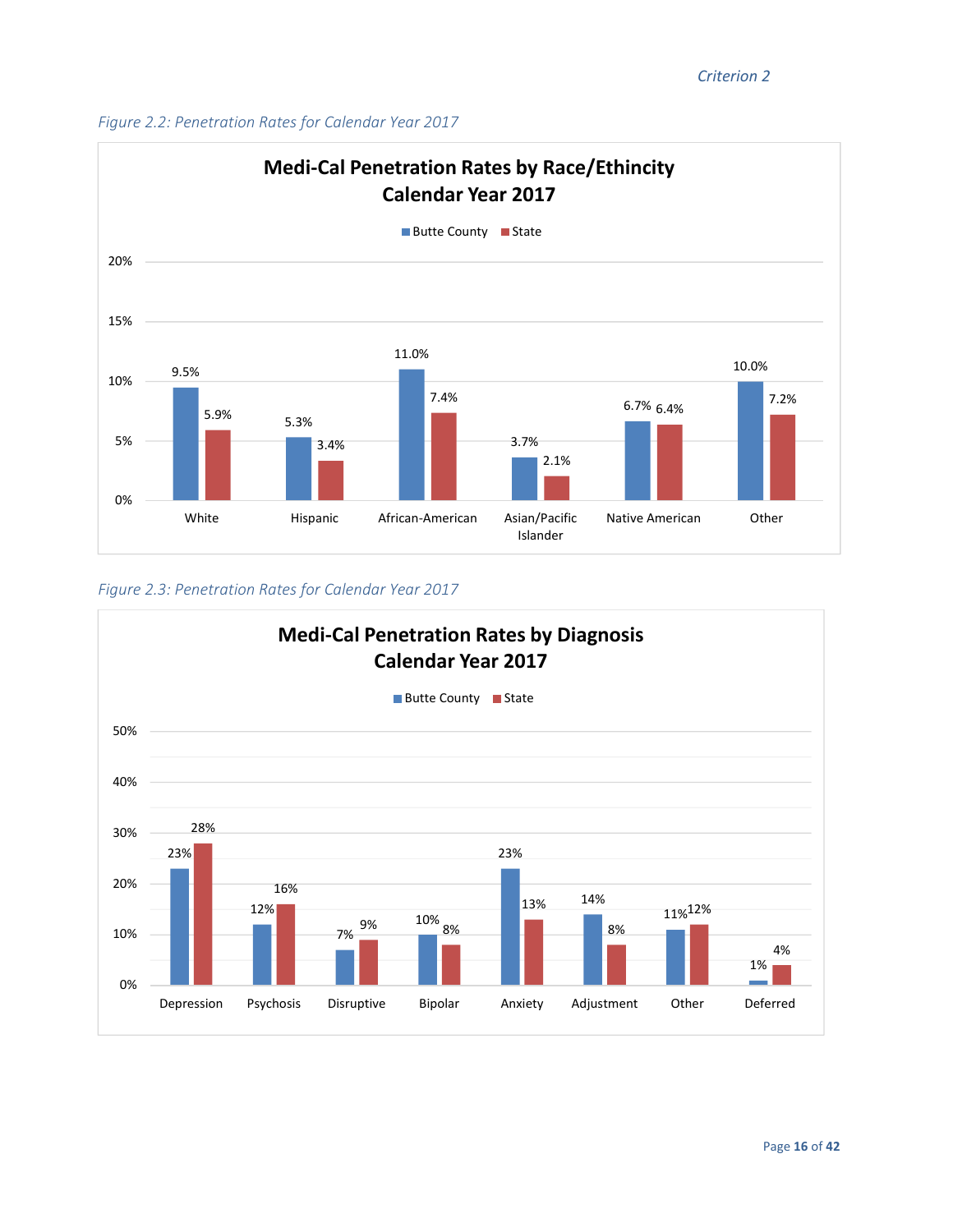



*Figure 2.3: Penetration Rates for Calendar Year 2017* 

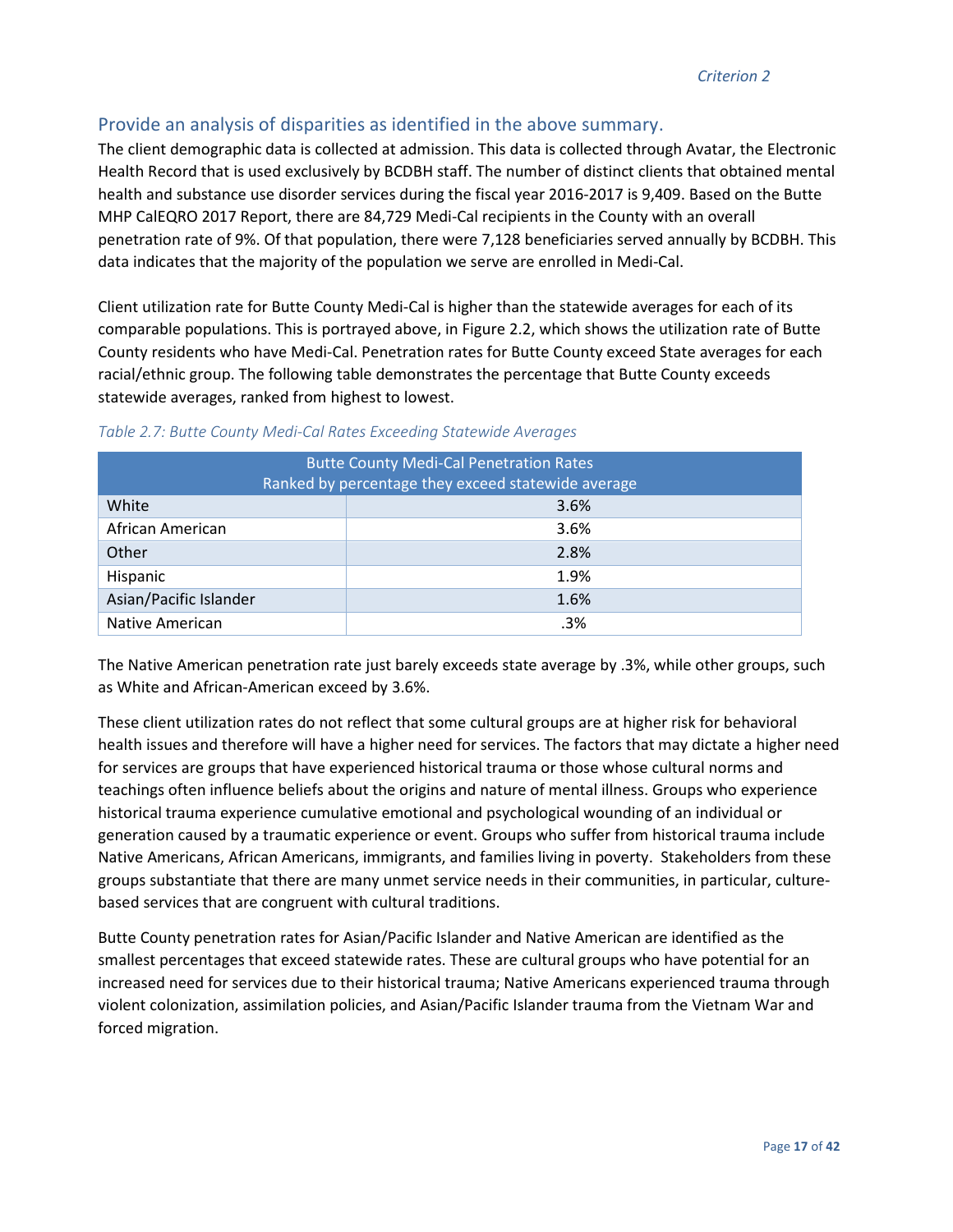# Provide an analysis of disparities as identified in the above summary.

The client demographic data is collected at admission. This data is collected through Avatar, the Electronic Health Record that is used exclusively by BCDBH staff. The number of distinct clients that obtained mental health and substance use disorder services during the fiscal year 2016-2017 is 9,409. Based on the Butte MHP CalEQRO 2017 Report, there are 84,729 Medi-Cal recipients in the County with an overall penetration rate of 9%. Of that population, there were 7,128 beneficiaries served annually by BCDBH. This data indicates that the majority of the population we serve are enrolled in Medi-Cal.

Client utilization rate for Butte County Medi-Cal is higher than the statewide averages for each of its comparable populations. This is portrayed above, in Figure 2.2, which shows the utilization rate of Butte County residents who have Medi-Cal. Penetration rates for Butte County exceed State averages for each racial/ethnic group. The following table demonstrates the percentage that Butte County exceeds statewide averages, ranked from highest to lowest.

| <b>Butte County Medi-Cal Penetration Rates</b><br>Ranked by percentage they exceed statewide average |      |  |
|------------------------------------------------------------------------------------------------------|------|--|
| White<br>3.6%                                                                                        |      |  |
| African American                                                                                     | 3.6% |  |
| Other                                                                                                | 2.8% |  |
| Hispanic                                                                                             | 1.9% |  |
| Asian/Pacific Islander<br>1.6%                                                                       |      |  |
| Native American                                                                                      | .3%  |  |

#### *Table 2.7: Butte County Medi-Cal Rates Exceeding Statewide Averages*

The Native American penetration rate just barely exceeds state average by .3%, while other groups, such as White and African-American exceed by 3.6%.

These client utilization rates do not reflect that some cultural groups are at higher risk for behavioral health issues and therefore will have a higher need for services. The factors that may dictate a higher need for services are groups that have experienced historical trauma or those whose cultural norms and teachings often influence beliefs about the origins and nature of mental illness. Groups who experience historical trauma experience cumulative emotional and psychological wounding of an individual or generation caused by a traumatic experience or event. Groups who suffer from historical trauma include Native Americans, African Americans, immigrants, and families living in poverty. Stakeholders from these groups substantiate that there are many unmet service needs in their communities, in particular, culturebased services that are congruent with cultural traditions.

Butte County penetration rates for Asian/Pacific Islander and Native American are identified as the smallest percentages that exceed statewide rates. These are cultural groups who have potential for an increased need for services due to their historical trauma; Native Americans experienced trauma through violent colonization, assimilation policies, and Asian/Pacific Islander trauma from the Vietnam War and forced migration.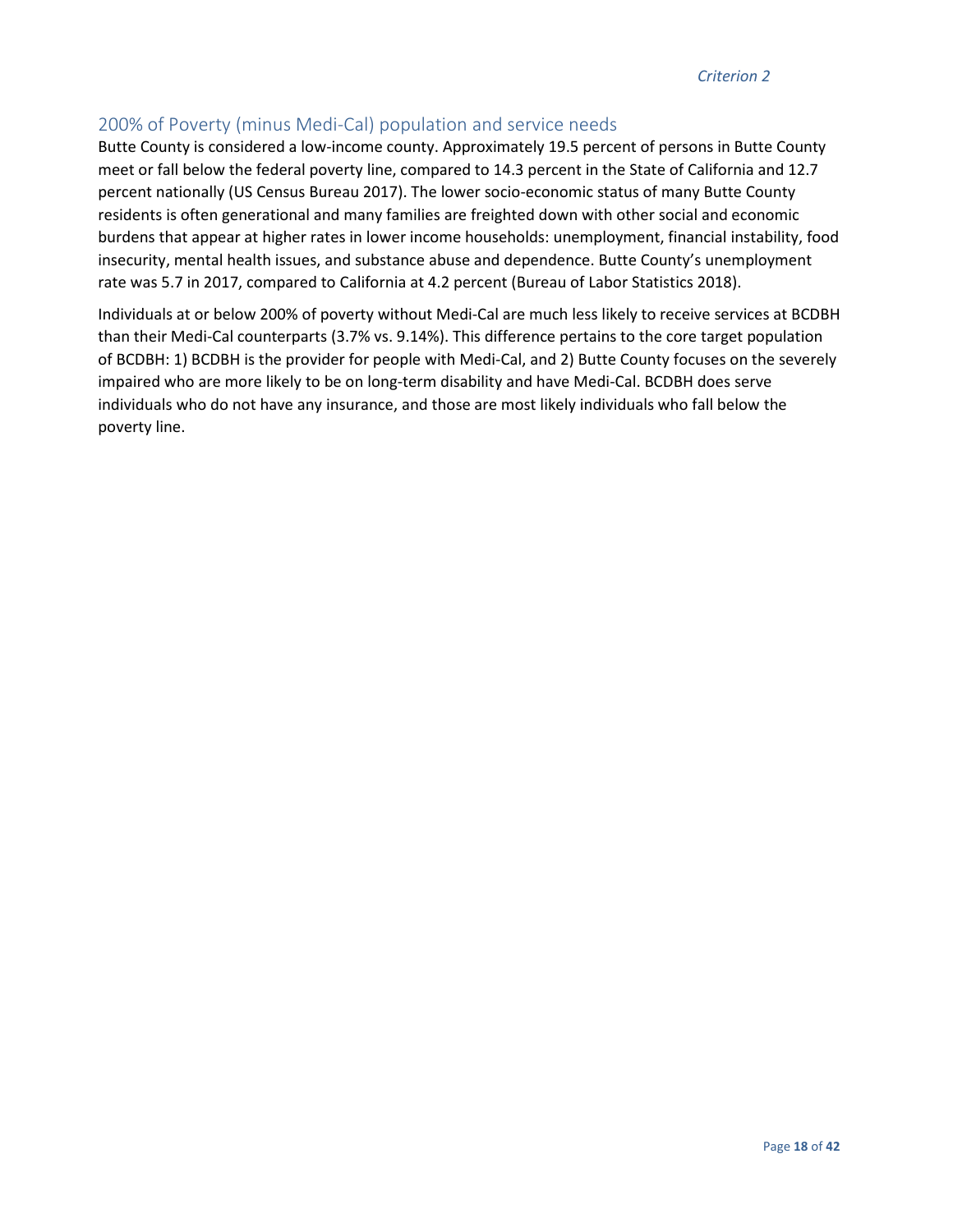### 200% of Poverty (minus Medi-Cal) population and service needs

Butte County is considered a low-income county. Approximately 19.5 percent of persons in Butte County meet or fall below the federal poverty line, compared to 14.3 percent in the State of California and 12.7 percent nationally (US Census Bureau 2017). The lower socio-economic status of many Butte County residents is often generational and many families are freighted down with other social and economic burdens that appear at higher rates in lower income households: unemployment, financial instability, food insecurity, mental health issues, and substance abuse and dependence. Butte County's unemployment rate was 5.7 in 2017, compared to California at 4.2 percent (Bureau of Labor Statistics 2018).

Individuals at or below 200% of poverty without Medi-Cal are much less likely to receive services at BCDBH than their Medi-Cal counterparts (3.7% vs. 9.14%). This difference pertains to the core target population of BCDBH: 1) BCDBH is the provider for people with Medi-Cal, and 2) Butte County focuses on the severely impaired who are more likely to be on long-term disability and have Medi-Cal. BCDBH does serve individuals who do not have any insurance, and those are most likely individuals who fall below the poverty line.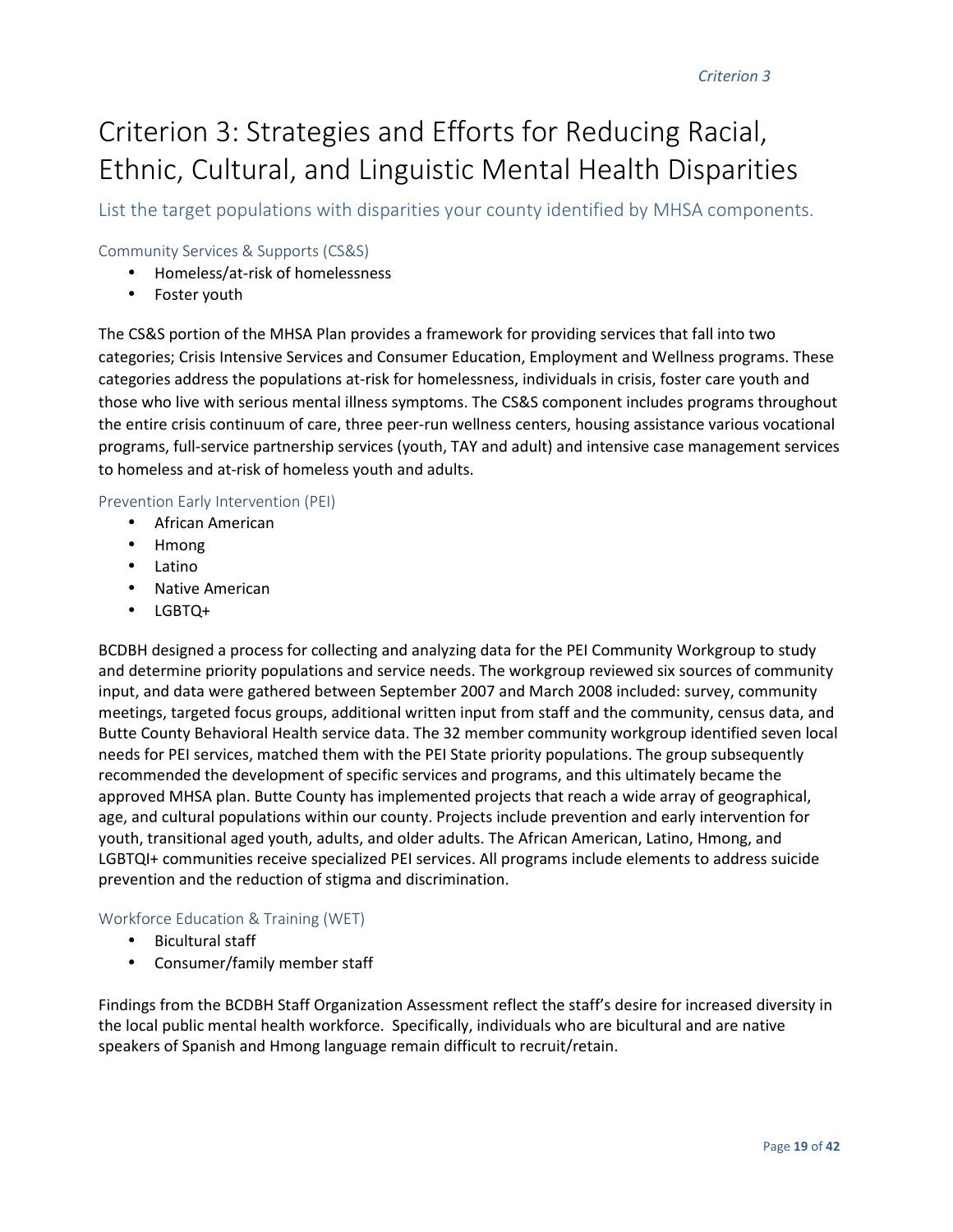# Criterion 3: Strategies and Efforts for Reducing Racial, Ethnic, Cultural, and Linguistic Mental Health Disparities

List the target populations with disparities your county identified by MHSA components.

#### Community Services & Supports (CS&S)

- Homeless/at-risk of homelessness
- Foster youth

The CS&S portion of the MHSA Plan provides a framework for providing services that fall into two categories; Crisis Intensive Services and Consumer Education, Employment and Wellness programs. These categories address the populations at-risk for homelessness, individuals in crisis, foster care youth and those who live with serious mental illness symptoms. The CS&S component includes programs throughout the entire crisis continuum of care, three peer-run wellness centers, housing assistance various vocational programs, full-service partnership services (youth, TAY and adult) and intensive case management services to homeless and at-risk of homeless youth and adults.

#### Prevention Early Intervention (PEI)

- African American
- Hmong
- Latino
- Native American
- LGBTQ+

BCDBH designed a process for collecting and analyzing data for the PEI Community Workgroup to study and determine priority populations and service needs. The workgroup reviewed six sources of community input, and data were gathered between September 2007 and March 2008 included: survey, community meetings, targeted focus groups, additional written input from staff and the community, census data, and Butte County Behavioral Health service data. The 32 member community workgroup identified seven local needs for PEI services, matched them with the PEI State priority populations. The group subsequently recommended the development of specific services and programs, and this ultimately became the approved MHSA plan. Butte County has implemented projects that reach a wide array of geographical, age, and cultural populations within our county. Projects include prevention and early intervention for youth, transitional aged youth, adults, and older adults. The African American, Latino, Hmong, and LGBTQI+ communities receive specialized PEI services. All programs include elements to address suicide prevention and the reduction of stigma and discrimination.

#### Workforce Education & Training (WET)

- Bicultural staff
- Consumer/family member staff

Findings from the BCDBH Staff Organization Assessment reflect the staff's desire for increased diversity in the local public mental health workforce. Specifically, individuals who are bicultural and are native speakers of Spanish and Hmong language remain difficult to recruit/retain.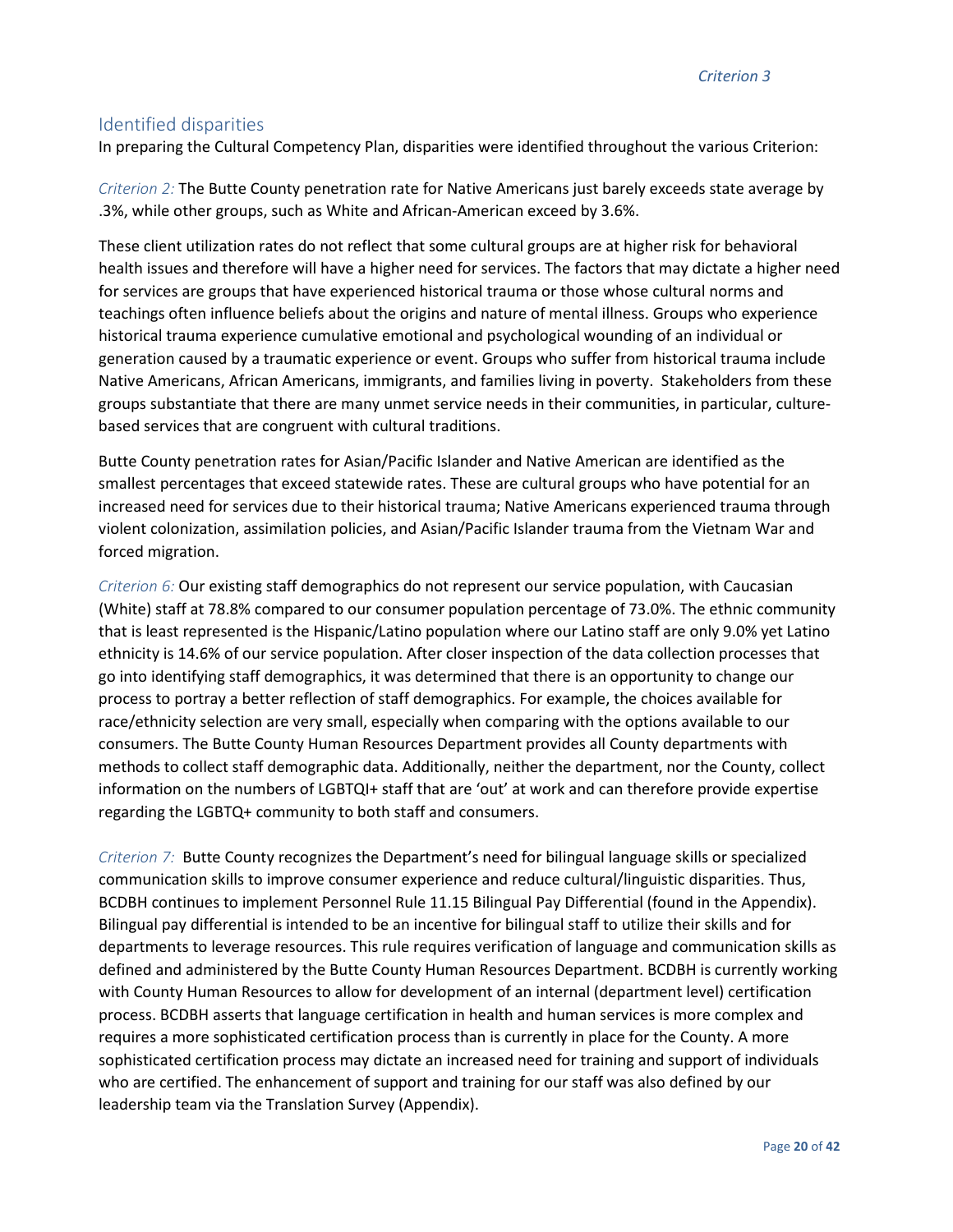*Criterion 3*

### Identified disparities

In preparing the Cultural Competency Plan, disparities were identified throughout the various Criterion:

*Criterion 2:* The Butte County penetration rate for Native Americans just barely exceeds state average by .3%, while other groups, such as White and African-American exceed by 3.6%.

These client utilization rates do not reflect that some cultural groups are at higher risk for behavioral health issues and therefore will have a higher need for services. The factors that may dictate a higher need for services are groups that have experienced historical trauma or those whose cultural norms and teachings often influence beliefs about the origins and nature of mental illness. Groups who experience historical trauma experience cumulative emotional and psychological wounding of an individual or generation caused by a traumatic experience or event. Groups who suffer from historical trauma include Native Americans, African Americans, immigrants, and families living in poverty. Stakeholders from these groups substantiate that there are many unmet service needs in their communities, in particular, culturebased services that are congruent with cultural traditions.

Butte County penetration rates for Asian/Pacific Islander and Native American are identified as the smallest percentages that exceed statewide rates. These are cultural groups who have potential for an increased need for services due to their historical trauma; Native Americans experienced trauma through violent colonization, assimilation policies, and Asian/Pacific Islander trauma from the Vietnam War and forced migration.

*Criterion 6:* Our existing staff demographics do not represent our service population, with Caucasian (White) staff at 78.8% compared to our consumer population percentage of 73.0%. The ethnic community that is least represented is the Hispanic/Latino population where our Latino staff are only 9.0% yet Latino ethnicity is 14.6% of our service population. After closer inspection of the data collection processes that go into identifying staff demographics, it was determined that there is an opportunity to change our process to portray a better reflection of staff demographics. For example, the choices available for race/ethnicity selection are very small, especially when comparing with the options available to our consumers. The Butte County Human Resources Department provides all County departments with methods to collect staff demographic data. Additionally, neither the department, nor the County, collect information on the numbers of LGBTQI+ staff that are 'out' at work and can therefore provide expertise regarding the LGBTQ+ community to both staff and consumers.

*Criterion 7:* Butte County recognizes the Department's need for bilingual language skills or specialized communication skills to improve consumer experience and reduce cultural/linguistic disparities. Thus, BCDBH continues to implement Personnel Rule 11.15 Bilingual Pay Differential (found in the Appendix). Bilingual pay differential is intended to be an incentive for bilingual staff to utilize their skills and for departments to leverage resources. This rule requires verification of language and communication skills as defined and administered by the Butte County Human Resources Department. BCDBH is currently working with County Human Resources to allow for development of an internal (department level) certification process. BCDBH asserts that language certification in health and human services is more complex and requires a more sophisticated certification process than is currently in place for the County. A more sophisticated certification process may dictate an increased need for training and support of individuals who are certified. The enhancement of support and training for our staff was also defined by our leadership team via the Translation Survey (Appendix).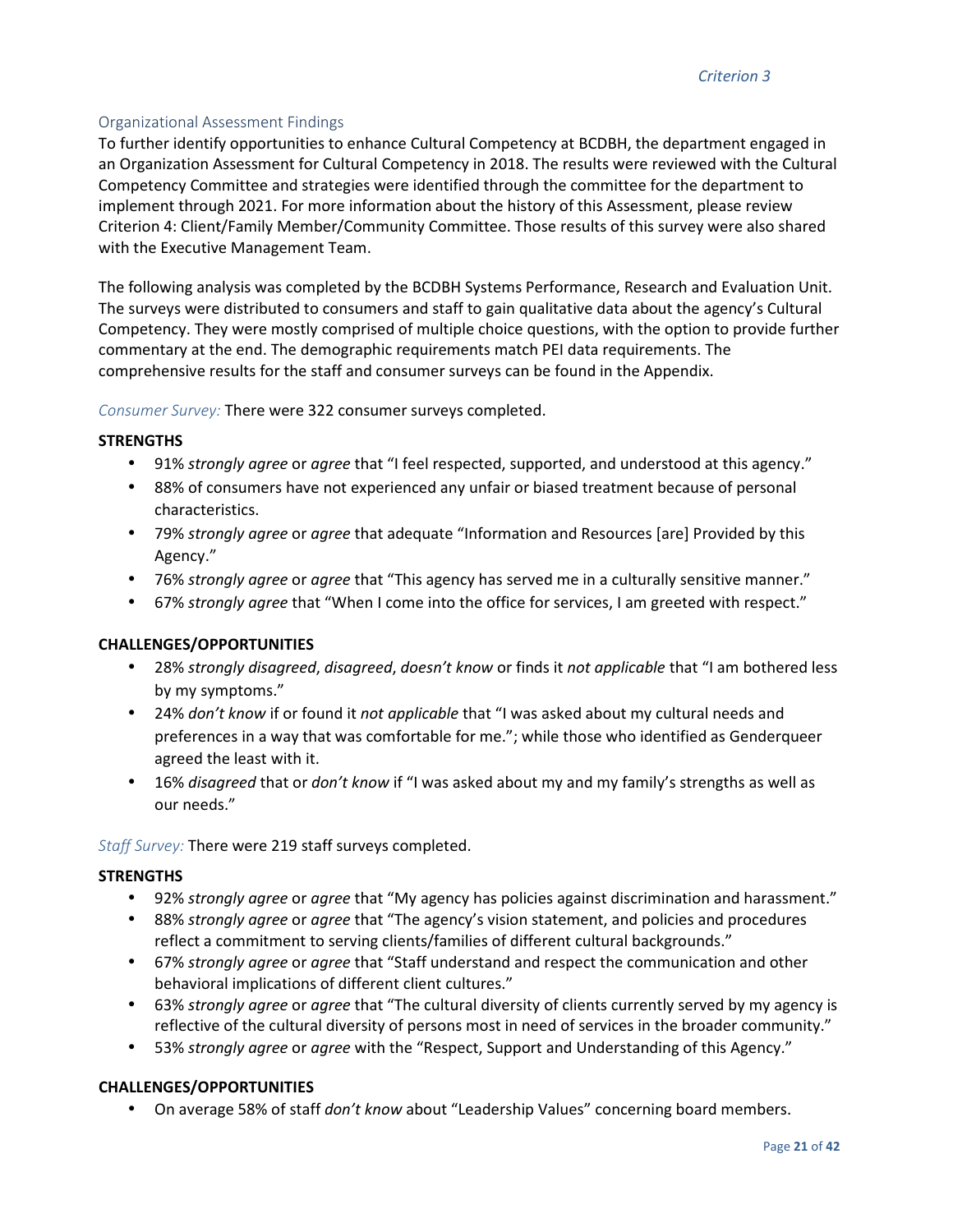#### Organizational Assessment Findings

To further identify opportunities to enhance Cultural Competency at BCDBH, the department engaged in an Organization Assessment for Cultural Competency in 2018. The results were reviewed with the Cultural Competency Committee and strategies were identified through the committee for the department to implement through 2021. For more information about the history of this Assessment, please review Criterion 4: Client/Family Member/Community Committee. Those results of this survey were also shared with the Executive Management Team.

The following analysis was completed by the BCDBH Systems Performance, Research and Evaluation Unit. The surveys were distributed to consumers and staff to gain qualitative data about the agency's Cultural Competency. They were mostly comprised of multiple choice questions, with the option to provide further commentary at the end. The demographic requirements match PEI data requirements. The comprehensive results for the staff and consumer surveys can be found in the Appendix.

*Consumer Survey:* There were 322 consumer surveys completed.

#### **STRENGTHS**

- 91% *strongly agree* or *agree* that "I feel respected, supported, and understood at this agency."
- 88% of consumers have not experienced any unfair or biased treatment because of personal characteristics.
- 79% *strongly agree* or *agree* that adequate "Information and Resources [are] Provided by this Agency."
- 76% *strongly agree* or *agree* that "This agency has served me in a culturally sensitive manner."
- 67% *strongly agree* that "When I come into the office for services, I am greeted with respect."

#### **CHALLENGES/OPPORTUNITIES**

- 28% *strongly disagreed*, *disagreed*, *doesn't know* or finds it *not applicable* that "I am bothered less by my symptoms."
- 24% *don't know* if or found it *not applicable* that "I was asked about my cultural needs and preferences in a way that was comfortable for me."; while those who identified as Genderqueer agreed the least with it.
- 16% *disagreed* that or *don't know* if "I was asked about my and my family's strengths as well as our needs."

*Staff Survey:* There were 219 staff surveys completed.

#### **STRENGTHS**

- 92% *strongly agree* or *agree* that "My agency has policies against discrimination and harassment."
- 88% *strongly agree* or *agree* that "The agency's vision statement, and policies and procedures reflect a commitment to serving clients/families of different cultural backgrounds."
- 67% *strongly agree* or *agree* that "Staff understand and respect the communication and other behavioral implications of different client cultures."
- 63% *strongly agree* or *agree* that "The cultural diversity of clients currently served by my agency is reflective of the cultural diversity of persons most in need of services in the broader community."
- 53% *strongly agree* or *agree* with the "Respect, Support and Understanding of this Agency."

#### **CHALLENGES/OPPORTUNITIES**

• On average 58% of staff *don't know* about "Leadership Values" concerning board members.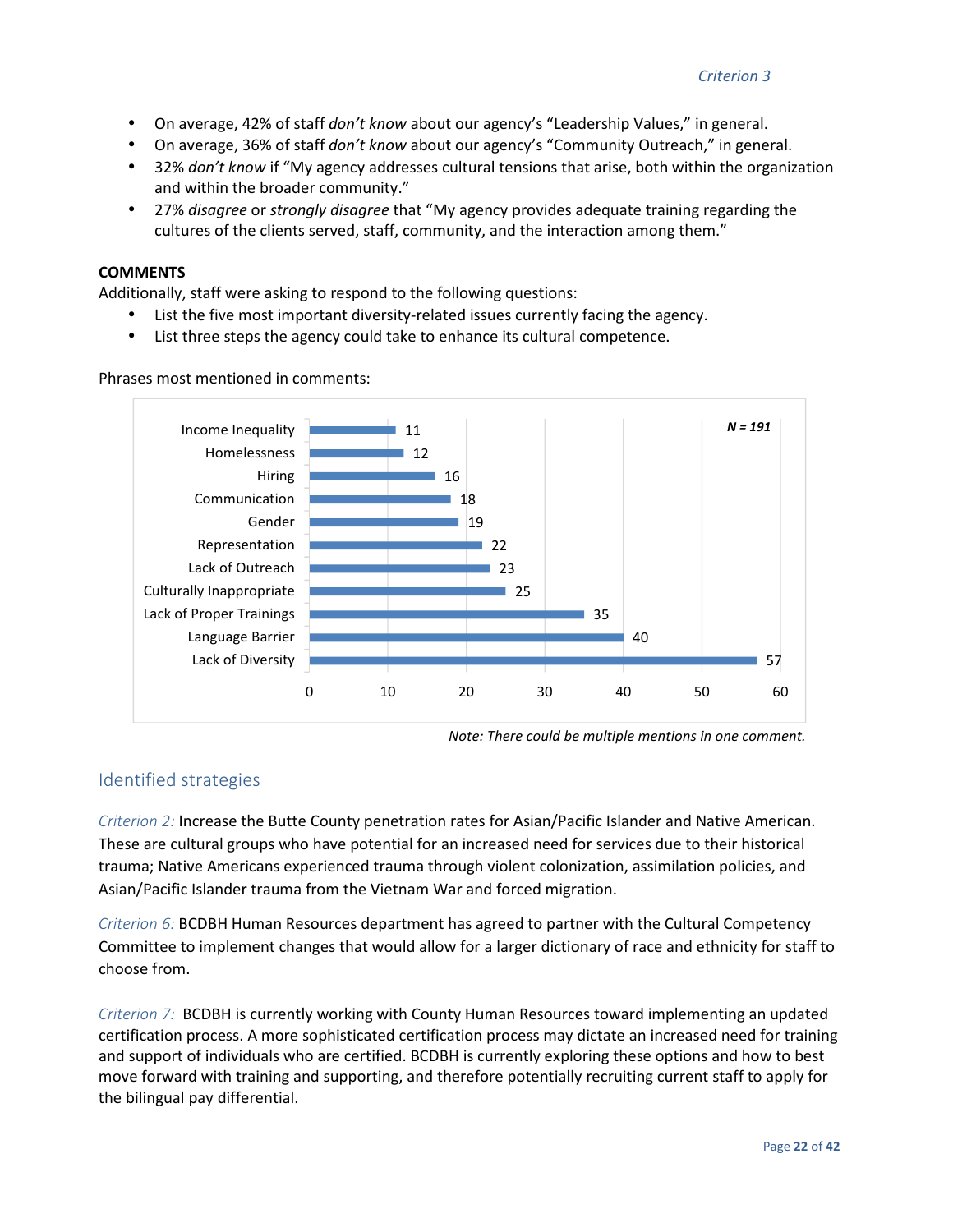- On average, 42% of staff *don't know* about our agency's "Leadership Values," in general.
- On average, 36% of staff *don't know* about our agency's "Community Outreach," in general.
- 32% *don't know* if "My agency addresses cultural tensions that arise, both within the organization and within the broader community."
- 27% *disagree* or *strongly disagree* that "My agency provides adequate training regarding the cultures of the clients served, staff, community, and the interaction among them."

#### **COMMENTS**

Additionally, staff were asking to respond to the following questions:

- List the five most important diversity-related issues currently facing the agency.
- List three steps the agency could take to enhance its cultural competence.



Phrases most mentioned in comments:

#### Identified strategies

*Criterion 2:* Increase the Butte County penetration rates for Asian/Pacific Islander and Native American. These are cultural groups who have potential for an increased need for services due to their historical trauma; Native Americans experienced trauma through violent colonization, assimilation policies, and Asian/Pacific Islander trauma from the Vietnam War and forced migration.

*Criterion 6:* BCDBH Human Resources department has agreed to partner with the Cultural Competency Committee to implement changes that would allow for a larger dictionary of race and ethnicity for staff to choose from.

*Criterion 7:* BCDBH is currently working with County Human Resources toward implementing an updated certification process. A more sophisticated certification process may dictate an increased need for training and support of individuals who are certified. BCDBH is currently exploring these options and how to best move forward with training and supporting, and therefore potentially recruiting current staff to apply for the bilingual pay differential.

*Note: There could be multiple mentions in one comment.*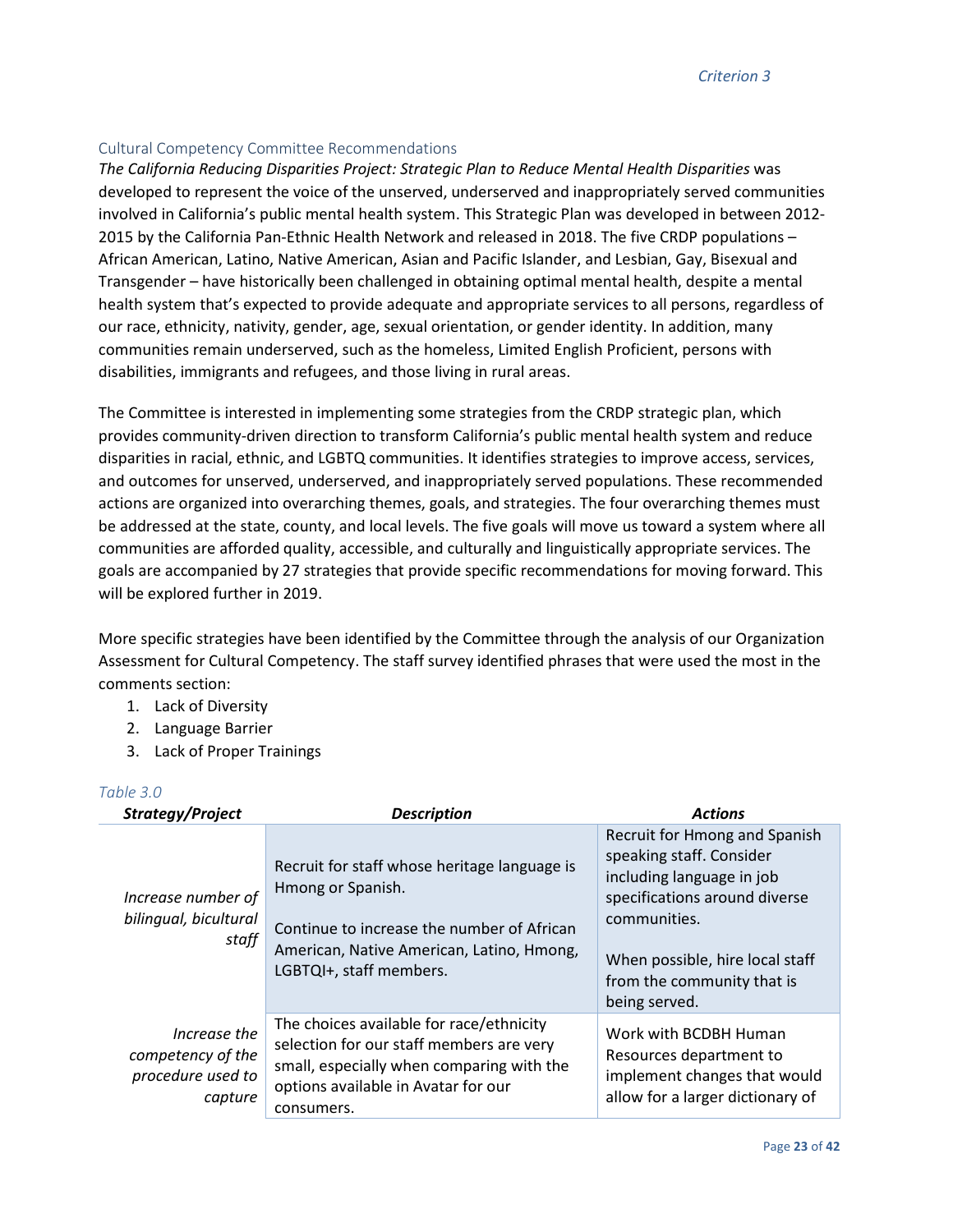#### Cultural Competency Committee Recommendations

*The California Reducing Disparities Project: Strategic Plan to Reduce Mental Health Disparities* was developed to represent the voice of the unserved, underserved and inappropriately served communities involved in California's public mental health system. This Strategic Plan was developed in between 2012- 2015 by the California Pan-Ethnic Health Network and released in 2018. The five CRDP populations – African American, Latino, Native American, Asian and Pacific Islander, and Lesbian, Gay, Bisexual and Transgender – have historically been challenged in obtaining optimal mental health, despite a mental health system that's expected to provide adequate and appropriate services to all persons, regardless of our race, ethnicity, nativity, gender, age, sexual orientation, or gender identity. In addition, many communities remain underserved, such as the homeless, Limited English Proficient, persons with disabilities, immigrants and refugees, and those living in rural areas.

The Committee is interested in implementing some strategies from the CRDP strategic plan, which provides community-driven direction to transform California's public mental health system and reduce disparities in racial, ethnic, and LGBTQ communities. It identifies strategies to improve access, services, and outcomes for unserved, underserved, and inappropriately served populations. These recommended actions are organized into overarching themes, goals, and strategies. The four overarching themes must be addressed at the state, county, and local levels. The five goals will move us toward a system where all communities are afforded quality, accessible, and culturally and linguistically appropriate services. The goals are accompanied by 27 strategies that provide specific recommendations for moving forward. This will be explored further in 2019.

More specific strategies have been identified by the Committee through the analysis of our Organization Assessment for Cultural Competency. The staff survey identified phrases that were used the most in the comments section:

- 1. Lack of Diversity
- 2. Language Barrier
- 3. Lack of Proper Trainings

#### *Table 3.0*

| Strategy/Project                                                  | <b>Description</b>                                                                                                                                                                      | <b>Actions</b>                                                                                                                                                                                                            |
|-------------------------------------------------------------------|-----------------------------------------------------------------------------------------------------------------------------------------------------------------------------------------|---------------------------------------------------------------------------------------------------------------------------------------------------------------------------------------------------------------------------|
| Increase number of<br>bilingual, bicultural<br>staff              | Recruit for staff whose heritage language is<br>Hmong or Spanish.<br>Continue to increase the number of African<br>American, Native American, Latino, Hmong,<br>LGBTQI+, staff members. | Recruit for Hmong and Spanish<br>speaking staff. Consider<br>including language in job<br>specifications around diverse<br>communities.<br>When possible, hire local staff<br>from the community that is<br>being served. |
| Increase the<br>competency of the<br>procedure used to<br>capture | The choices available for race/ethnicity<br>selection for our staff members are very<br>small, especially when comparing with the<br>options available in Avatar for our<br>consumers.  | Work with BCDBH Human<br>Resources department to<br>implement changes that would<br>allow for a larger dictionary of                                                                                                      |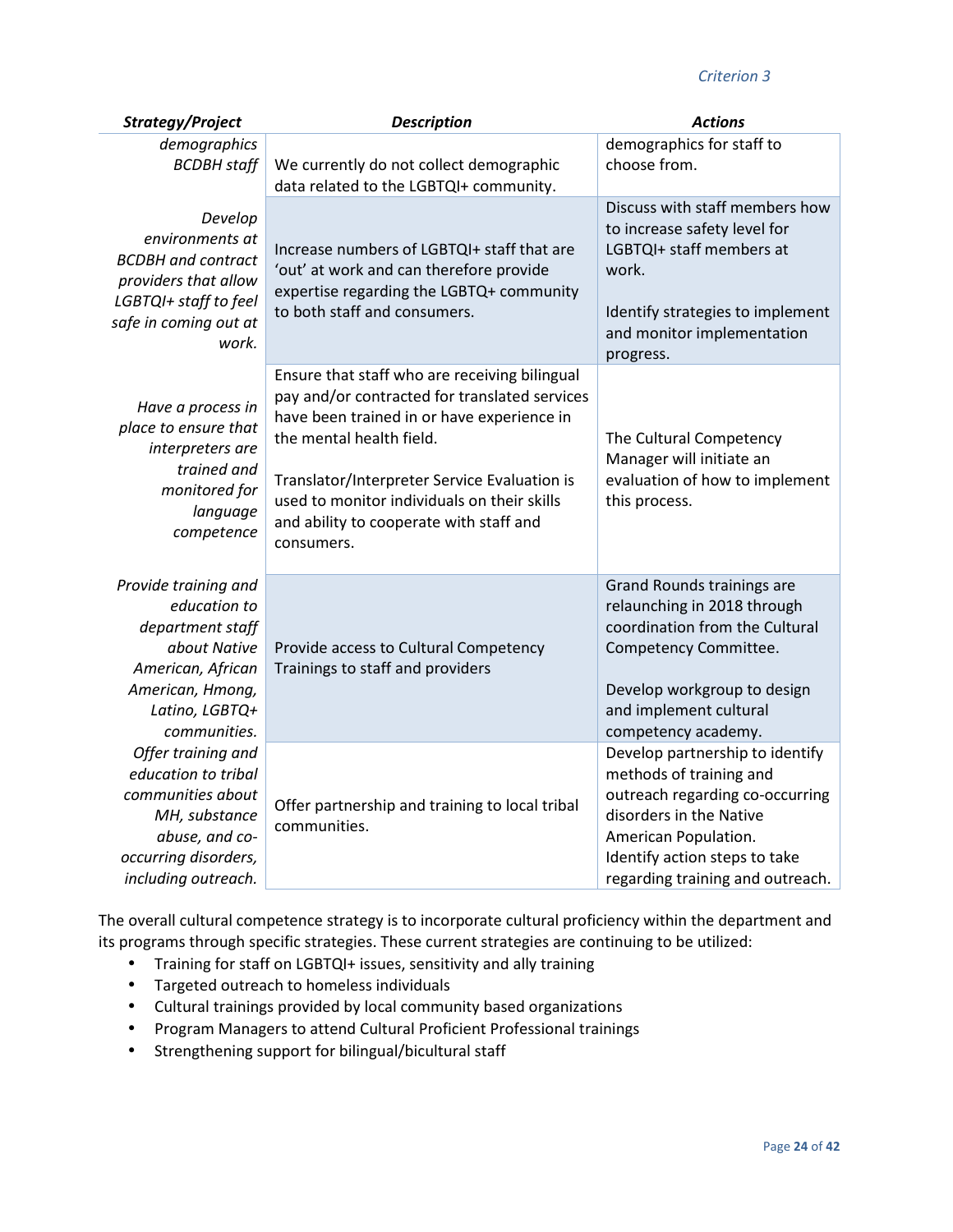#### *Criterion 3*

| Strategy/Project                                                                                                                                    | <b>Description</b>                                                                                                                                                                                                                                                                                                               | <b>Actions</b>                                                                                                                                                                                                        |
|-----------------------------------------------------------------------------------------------------------------------------------------------------|----------------------------------------------------------------------------------------------------------------------------------------------------------------------------------------------------------------------------------------------------------------------------------------------------------------------------------|-----------------------------------------------------------------------------------------------------------------------------------------------------------------------------------------------------------------------|
| demographics<br><b>BCDBH</b> staff                                                                                                                  | We currently do not collect demographic<br>data related to the LGBTQI+ community.                                                                                                                                                                                                                                                | demographics for staff to<br>choose from.                                                                                                                                                                             |
| Develop<br>environments at<br><b>BCDBH</b> and contract<br>providers that allow<br>LGBTQI+ staff to feel<br>safe in coming out at<br>work.          | Increase numbers of LGBTQI+ staff that are<br>'out' at work and can therefore provide<br>expertise regarding the LGBTQ+ community<br>to both staff and consumers.                                                                                                                                                                | Discuss with staff members how<br>to increase safety level for<br>LGBTQI+ staff members at<br>work.<br>Identify strategies to implement<br>and monitor implementation<br>progress.                                    |
| Have a process in<br>place to ensure that<br>interpreters are<br>trained and<br>monitored for<br>language<br>competence                             | Ensure that staff who are receiving bilingual<br>pay and/or contracted for translated services<br>have been trained in or have experience in<br>the mental health field.<br>Translator/Interpreter Service Evaluation is<br>used to monitor individuals on their skills<br>and ability to cooperate with staff and<br>consumers. | The Cultural Competency<br>Manager will initiate an<br>evaluation of how to implement<br>this process.                                                                                                                |
| Provide training and<br>education to<br>department staff<br>about Native<br>American, African<br>American, Hmong,<br>Latino, LGBTQ+<br>communities. | Provide access to Cultural Competency<br>Trainings to staff and providers                                                                                                                                                                                                                                                        | Grand Rounds trainings are<br>relaunching in 2018 through<br>coordination from the Cultural<br>Competency Committee.<br>Develop workgroup to design<br>and implement cultural<br>competency academy.                  |
| Offer training and<br>education to tribal<br>communities about<br>MH, substance<br>abuse, and co-<br>occurring disorders,<br>including outreach.    | Offer partnership and training to local tribal<br>communities.                                                                                                                                                                                                                                                                   | Develop partnership to identify<br>methods of training and<br>outreach regarding co-occurring<br>disorders in the Native<br>American Population.<br>Identify action steps to take<br>regarding training and outreach. |

The overall cultural competence strategy is to incorporate cultural proficiency within the department and its programs through specific strategies. These current strategies are continuing to be utilized:

- Training for staff on LGBTQI+ issues, sensitivity and ally training
- Targeted outreach to homeless individuals
- Cultural trainings provided by local community based organizations
- Program Managers to attend Cultural Proficient Professional trainings
- Strengthening support for bilingual/bicultural staff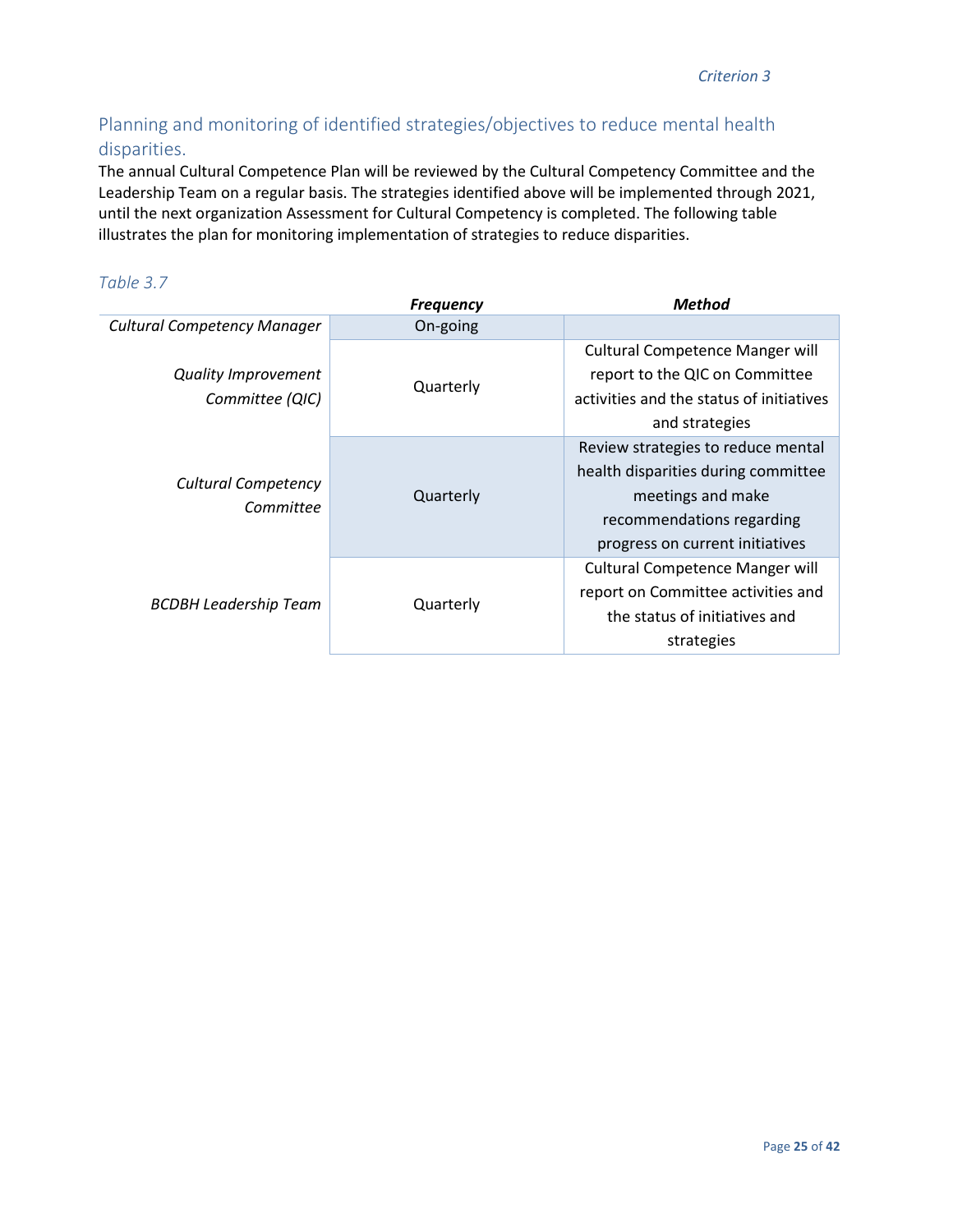# Planning and monitoring of identified strategies/objectives to reduce mental health disparities.

The annual Cultural Competence Plan will be reviewed by the Cultural Competency Committee and the Leadership Team on a regular basis. The strategies identified above will be implemented through 2021, until the next organization Assessment for Cultural Competency is completed. The following table illustrates the plan for monitoring implementation of strategies to reduce disparities.

|                                         | <b>Frequency</b> | <b>Method</b>                                                                                                                                                  |
|-----------------------------------------|------------------|----------------------------------------------------------------------------------------------------------------------------------------------------------------|
| <b>Cultural Competency Manager</b>      | On-going         |                                                                                                                                                                |
| Quality Improvement<br>Committee (QIC)  | Quarterly        | <b>Cultural Competence Manger will</b><br>report to the QIC on Committee<br>activities and the status of initiatives<br>and strategies                         |
| <b>Cultural Competency</b><br>Committee | Quarterly        | Review strategies to reduce mental<br>health disparities during committee<br>meetings and make<br>recommendations regarding<br>progress on current initiatives |
| <b>BCDBH Leadership Team</b>            | Quarterly        | <b>Cultural Competence Manger will</b><br>report on Committee activities and<br>the status of initiatives and<br>strategies                                    |

### *Table 3.7*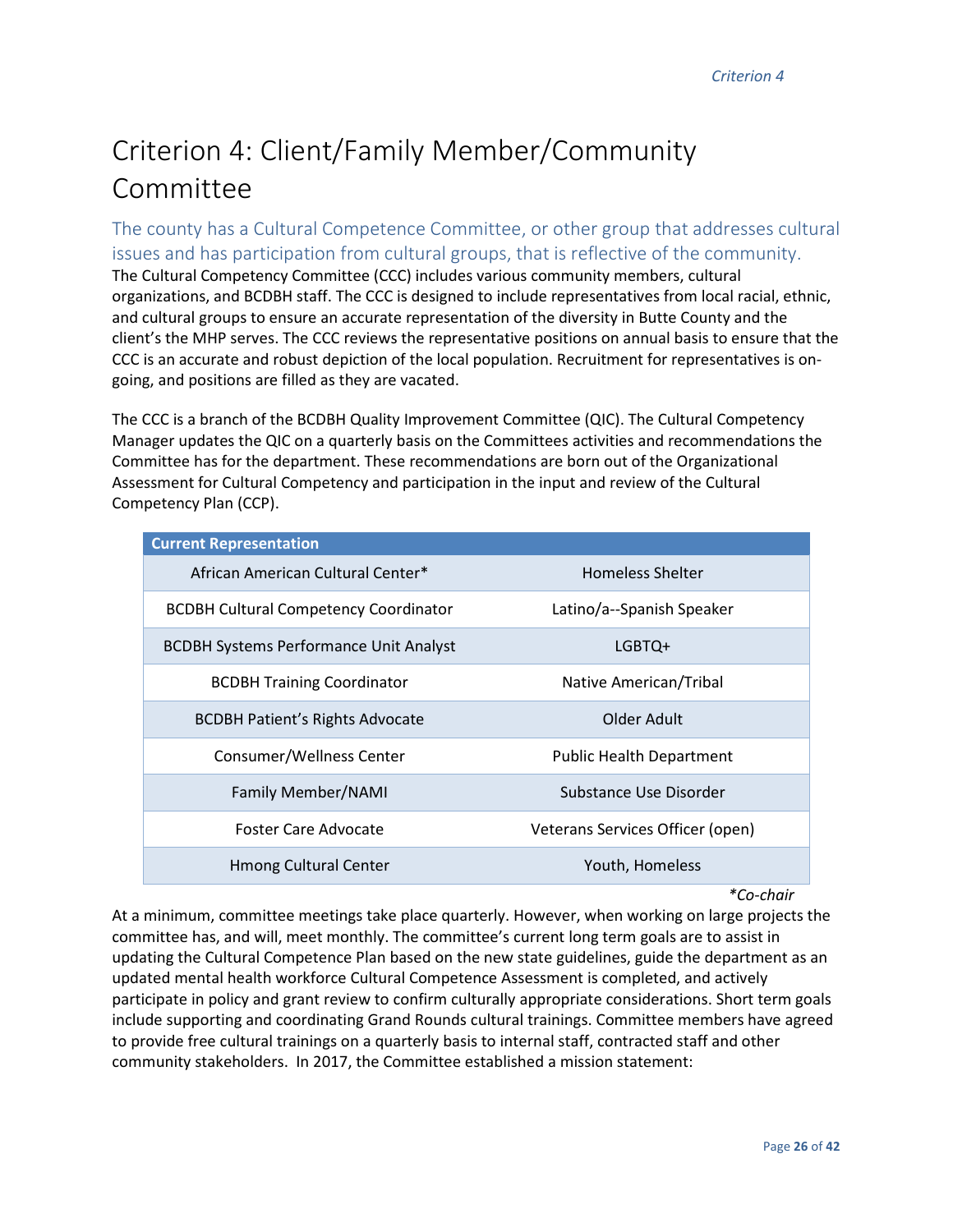# Criterion 4: Client/Family Member/Community Committee

The county has a Cultural Competence Committee, or other group that addresses cultural issues and has participation from cultural groups, that is reflective of the community. The Cultural Competency Committee (CCC) includes various community members, cultural organizations, and BCDBH staff. The CCC is designed to include representatives from local racial, ethnic, and cultural groups to ensure an accurate representation of the diversity in Butte County and the client's the MHP serves. The CCC reviews the representative positions on annual basis to ensure that the CCC is an accurate and robust depiction of the local population. Recruitment for representatives is ongoing, and positions are filled as they are vacated.

The CCC is a branch of the BCDBH Quality Improvement Committee (QIC). The Cultural Competency Manager updates the QIC on a quarterly basis on the Committees activities and recommendations the Committee has for the department. These recommendations are born out of the Organizational Assessment for Cultural Competency and participation in the input and review of the Cultural Competency Plan (CCP).

| <b>Current Representation</b>                 |                                  |
|-----------------------------------------------|----------------------------------|
| African American Cultural Center*             | <b>Homeless Shelter</b>          |
| <b>BCDBH Cultural Competency Coordinator</b>  | Latino/a--Spanish Speaker        |
| <b>BCDBH Systems Performance Unit Analyst</b> | LGBTQ+                           |
| <b>BCDBH Training Coordinator</b>             | Native American/Tribal           |
| <b>BCDBH Patient's Rights Advocate</b>        | Older Adult                      |
| Consumer/Wellness Center                      | <b>Public Health Department</b>  |
| <b>Family Member/NAMI</b>                     | Substance Use Disorder           |
| Foster Care Advocate                          | Veterans Services Officer (open) |
| <b>Hmong Cultural Center</b>                  | Youth, Homeless                  |

*\*Co-chair* 

At a minimum, committee meetings take place quarterly. However, when working on large projects the committee has, and will, meet monthly. The committee's current long term goals are to assist in updating the Cultural Competence Plan based on the new state guidelines, guide the department as an updated mental health workforce Cultural Competence Assessment is completed, and actively participate in policy and grant review to confirm culturally appropriate considerations. Short term goals include supporting and coordinating Grand Rounds cultural trainings. Committee members have agreed to provide free cultural trainings on a quarterly basis to internal staff, contracted staff and other community stakeholders. In 2017, the Committee established a mission statement: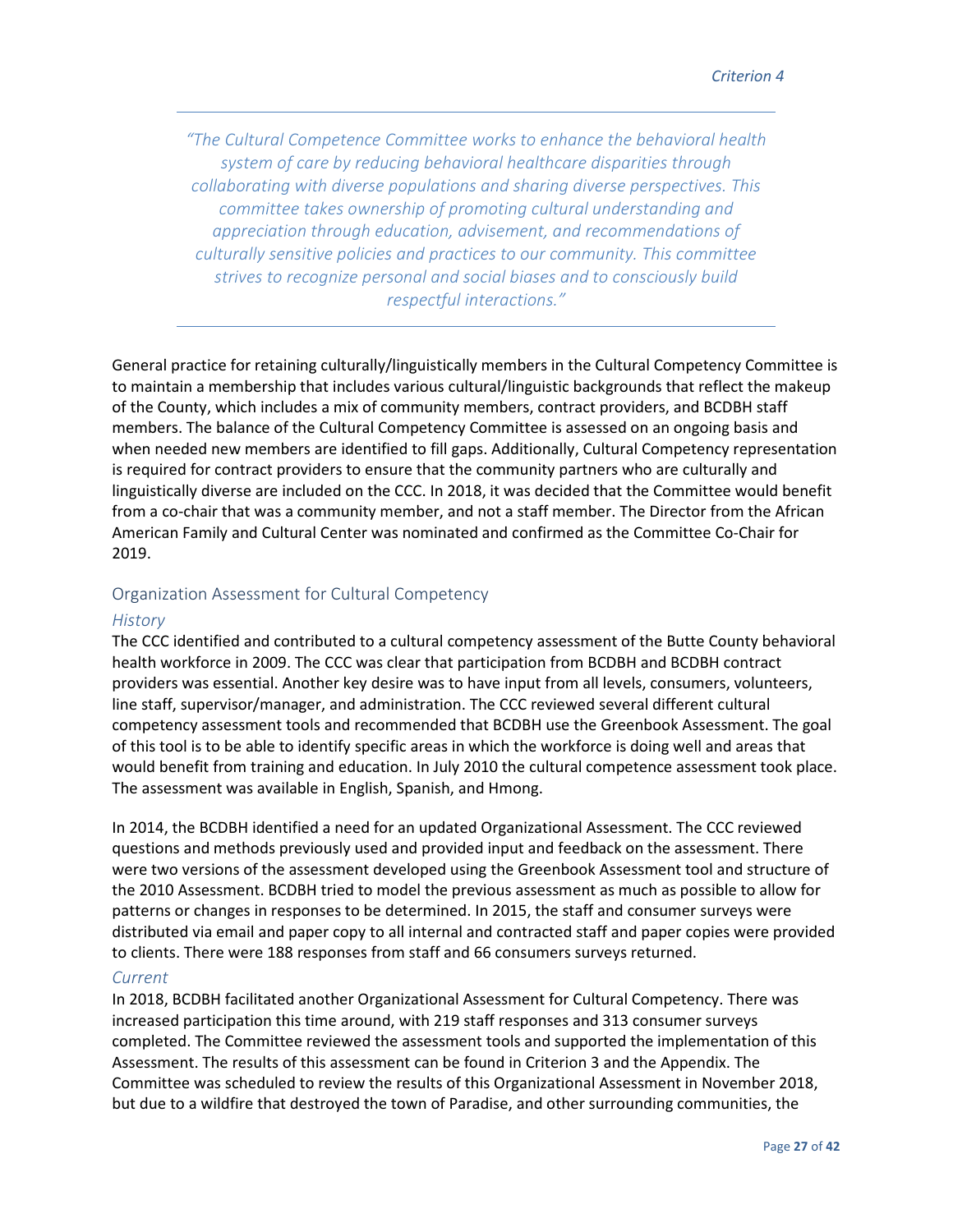*"The Cultural Competence Committee works to enhance the behavioral health system of care by reducing behavioral healthcare disparities through collaborating with diverse populations and sharing diverse perspectives. This committee takes ownership of promoting cultural understanding and appreciation through education, advisement, and recommendations of culturally sensitive policies and practices to our community. This committee strives to recognize personal and social biases and to consciously build respectful interactions."* 

General practice for retaining culturally/linguistically members in the Cultural Competency Committee is to maintain a membership that includes various cultural/linguistic backgrounds that reflect the makeup of the County, which includes a mix of community members, contract providers, and BCDBH staff members. The balance of the Cultural Competency Committee is assessed on an ongoing basis and when needed new members are identified to fill gaps. Additionally, Cultural Competency representation is required for contract providers to ensure that the community partners who are culturally and linguistically diverse are included on the CCC. In 2018, it was decided that the Committee would benefit from a co-chair that was a community member, and not a staff member. The Director from the African American Family and Cultural Center was nominated and confirmed as the Committee Co-Chair for 2019.

#### Organization Assessment for Cultural Competency

#### *History*

The CCC identified and contributed to a cultural competency assessment of the Butte County behavioral health workforce in 2009. The CCC was clear that participation from BCDBH and BCDBH contract providers was essential. Another key desire was to have input from all levels, consumers, volunteers, line staff, supervisor/manager, and administration. The CCC reviewed several different cultural competency assessment tools and recommended that BCDBH use the Greenbook Assessment. The goal of this tool is to be able to identify specific areas in which the workforce is doing well and areas that would benefit from training and education. In July 2010 the cultural competence assessment took place. The assessment was available in English, Spanish, and Hmong.

In 2014, the BCDBH identified a need for an updated Organizational Assessment. The CCC reviewed questions and methods previously used and provided input and feedback on the assessment. There were two versions of the assessment developed using the Greenbook Assessment tool and structure of the 2010 Assessment. BCDBH tried to model the previous assessment as much as possible to allow for patterns or changes in responses to be determined. In 2015, the staff and consumer surveys were distributed via email and paper copy to all internal and contracted staff and paper copies were provided to clients. There were 188 responses from staff and 66 consumers surveys returned.

#### *Current*

In 2018, BCDBH facilitated another Organizational Assessment for Cultural Competency. There was increased participation this time around, with 219 staff responses and 313 consumer surveys completed. The Committee reviewed the assessment tools and supported the implementation of this Assessment. The results of this assessment can be found in Criterion 3 and the Appendix. The Committee was scheduled to review the results of this Organizational Assessment in November 2018, but due to a wildfire that destroyed the town of Paradise, and other surrounding communities, the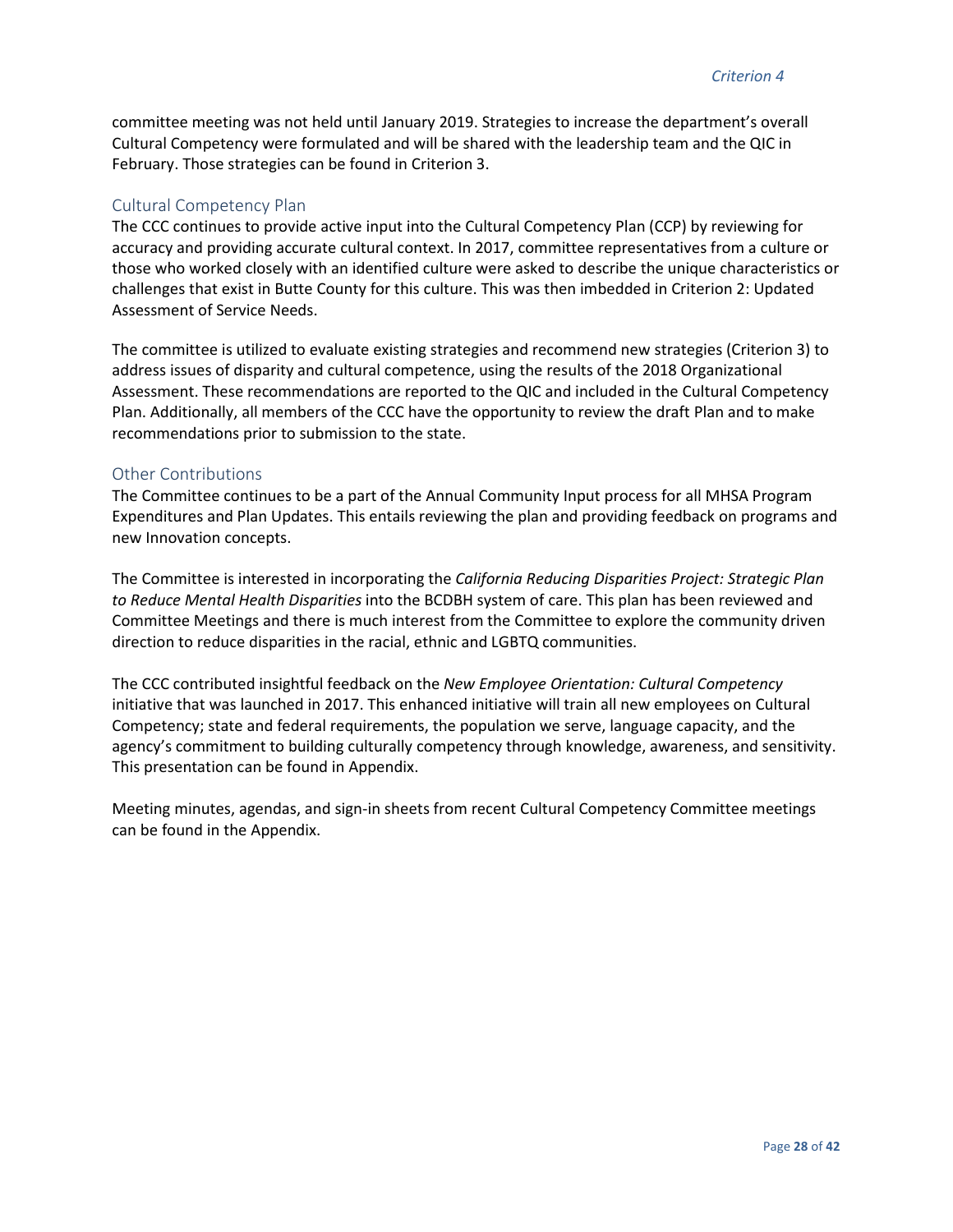committee meeting was not held until January 2019. Strategies to increase the department's overall Cultural Competency were formulated and will be shared with the leadership team and the QIC in February. Those strategies can be found in Criterion 3.

#### Cultural Competency Plan

The CCC continues to provide active input into the Cultural Competency Plan (CCP) by reviewing for accuracy and providing accurate cultural context. In 2017, committee representatives from a culture or those who worked closely with an identified culture were asked to describe the unique characteristics or challenges that exist in Butte County for this culture. This was then imbedded in Criterion 2: Updated Assessment of Service Needs.

The committee is utilized to evaluate existing strategies and recommend new strategies (Criterion 3) to address issues of disparity and cultural competence, using the results of the 2018 Organizational Assessment. These recommendations are reported to the QIC and included in the Cultural Competency Plan. Additionally, all members of the CCC have the opportunity to review the draft Plan and to make recommendations prior to submission to the state.

#### Other Contributions

The Committee continues to be a part of the Annual Community Input process for all MHSA Program Expenditures and Plan Updates. This entails reviewing the plan and providing feedback on programs and new Innovation concepts.

The Committee is interested in incorporating the *California Reducing Disparities Project: Strategic Plan to Reduce Mental Health Disparities* into the BCDBH system of care. This plan has been reviewed and Committee Meetings and there is much interest from the Committee to explore the community driven direction to reduce disparities in the racial, ethnic and LGBTQ communities.

The CCC contributed insightful feedback on the *New Employee Orientation: Cultural Competency* initiative that was launched in 2017. This enhanced initiative will train all new employees on Cultural Competency; state and federal requirements, the population we serve, language capacity, and the agency's commitment to building culturally competency through knowledge, awareness, and sensitivity. This presentation can be found in Appendix.

Meeting minutes, agendas, and sign-in sheets from recent Cultural Competency Committee meetings can be found in the Appendix.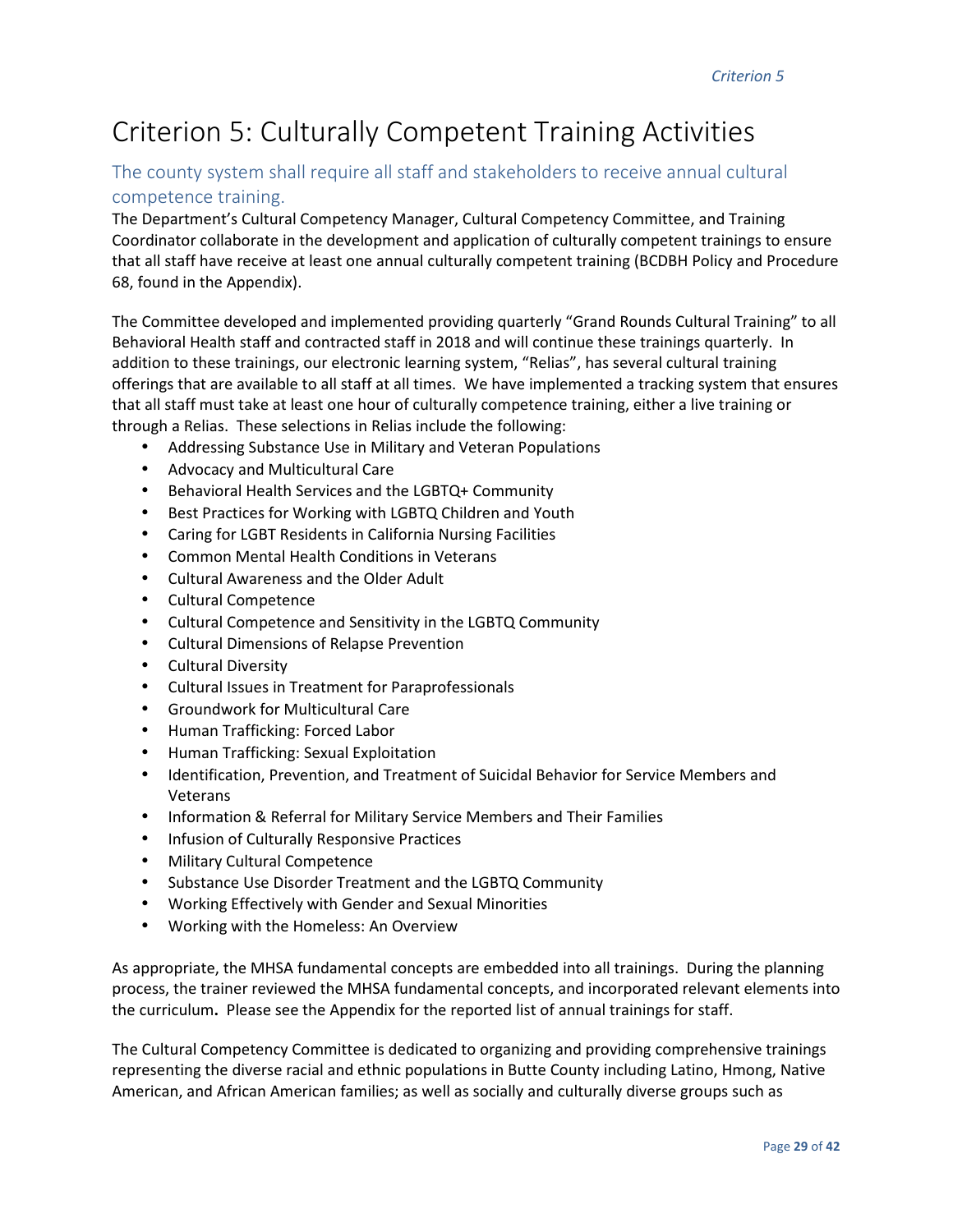# Criterion 5: Culturally Competent Training Activities

# The county system shall require all staff and stakeholders to receive annual cultural competence training.

The Department's Cultural Competency Manager, Cultural Competency Committee, and Training Coordinator collaborate in the development and application of culturally competent trainings to ensure that all staff have receive at least one annual culturally competent training (BCDBH Policy and Procedure 68, found in the Appendix).

The Committee developed and implemented providing quarterly "Grand Rounds Cultural Training" to all Behavioral Health staff and contracted staff in 2018 and will continue these trainings quarterly. In addition to these trainings, our electronic learning system, "Relias", has several cultural training offerings that are available to all staff at all times. We have implemented a tracking system that ensures that all staff must take at least one hour of culturally competence training, either a live training or through a Relias. These selections in Relias include the following:

- Addressing Substance Use in Military and Veteran Populations
- Advocacy and Multicultural Care
- Behavioral Health Services and the LGBTQ+ Community
- Best Practices for Working with LGBTQ Children and Youth
- Caring for LGBT Residents in California Nursing Facilities
- Common Mental Health Conditions in Veterans
- Cultural Awareness and the Older Adult
- Cultural Competence
- Cultural Competence and Sensitivity in the LGBTQ Community
- Cultural Dimensions of Relapse Prevention
- Cultural Diversity
- Cultural Issues in Treatment for Paraprofessionals
- Groundwork for Multicultural Care
- Human Trafficking: Forced Labor
- Human Trafficking: Sexual Exploitation
- Identification, Prevention, and Treatment of Suicidal Behavior for Service Members and Veterans
- Information & Referral for Military Service Members and Their Families
- Infusion of Culturally Responsive Practices
- Military Cultural Competence
- Substance Use Disorder Treatment and the LGBTQ Community
- Working Effectively with Gender and Sexual Minorities
- Working with the Homeless: An Overview

As appropriate, the MHSA fundamental concepts are embedded into all trainings. During the planning process, the trainer reviewed the MHSA fundamental concepts, and incorporated relevant elements into the curriculum**.** Please see the Appendix for the reported list of annual trainings for staff.

The Cultural Competency Committee is dedicated to organizing and providing comprehensive trainings representing the diverse racial and ethnic populations in Butte County including Latino, Hmong, Native American, and African American families; as well as socially and culturally diverse groups such as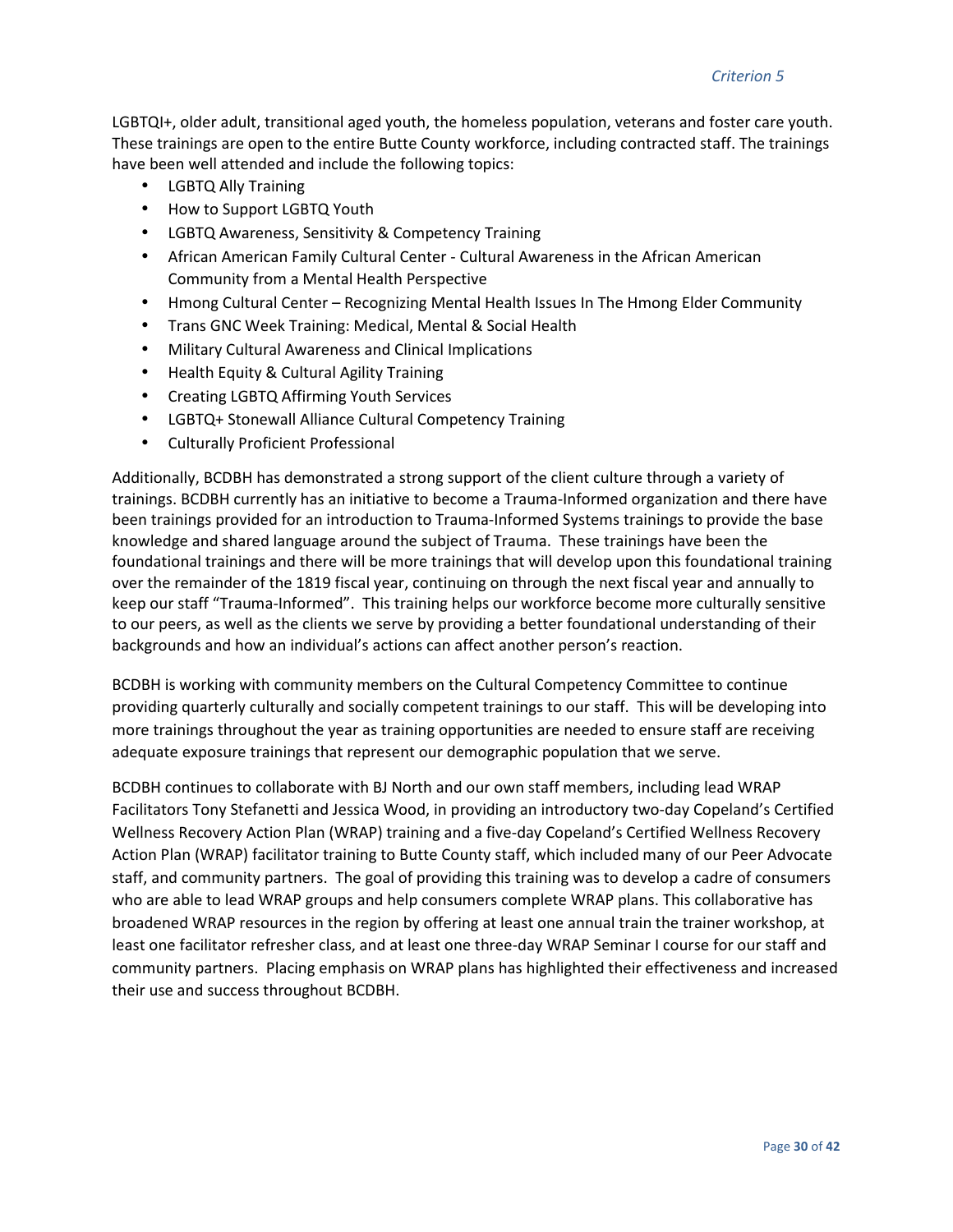LGBTQI+, older adult, transitional aged youth, the homeless population, veterans and foster care youth. These trainings are open to the entire Butte County workforce, including contracted staff. The trainings have been well attended and include the following topics:

- LGBTQ Ally Training
- How to Support LGBTQ Youth
- LGBTQ Awareness, Sensitivity & Competency Training
- African American Family Cultural Center Cultural Awareness in the African American Community from a Mental Health Perspective
- Hmong Cultural Center Recognizing Mental Health Issues In The Hmong Elder Community
- Trans GNC Week Training: Medical, Mental & Social Health
- Military Cultural Awareness and Clinical Implications
- Health Equity & Cultural Agility Training
- Creating LGBTQ Affirming Youth Services
- LGBTQ+ Stonewall Alliance Cultural Competency Training
- Culturally Proficient Professional

Additionally, BCDBH has demonstrated a strong support of the client culture through a variety of trainings. BCDBH currently has an initiative to become a Trauma-Informed organization and there have been trainings provided for an introduction to Trauma-Informed Systems trainings to provide the base knowledge and shared language around the subject of Trauma. These trainings have been the foundational trainings and there will be more trainings that will develop upon this foundational training over the remainder of the 1819 fiscal year, continuing on through the next fiscal year and annually to keep our staff "Trauma-Informed". This training helps our workforce become more culturally sensitive to our peers, as well as the clients we serve by providing a better foundational understanding of their backgrounds and how an individual's actions can affect another person's reaction.

BCDBH is working with community members on the Cultural Competency Committee to continue providing quarterly culturally and socially competent trainings to our staff. This will be developing into more trainings throughout the year as training opportunities are needed to ensure staff are receiving adequate exposure trainings that represent our demographic population that we serve.

BCDBH continues to collaborate with BJ North and our own staff members, including lead WRAP Facilitators Tony Stefanetti and Jessica Wood, in providing an introductory two-day Copeland's Certified Wellness Recovery Action Plan (WRAP) training and a five-day Copeland's Certified Wellness Recovery Action Plan (WRAP) facilitator training to Butte County staff, which included many of our Peer Advocate staff, and community partners. The goal of providing this training was to develop a cadre of consumers who are able to lead WRAP groups and help consumers complete WRAP plans. This collaborative has broadened WRAP resources in the region by offering at least one annual train the trainer workshop, at least one facilitator refresher class, and at least one three-day WRAP Seminar I course for our staff and community partners. Placing emphasis on WRAP plans has highlighted their effectiveness and increased their use and success throughout BCDBH.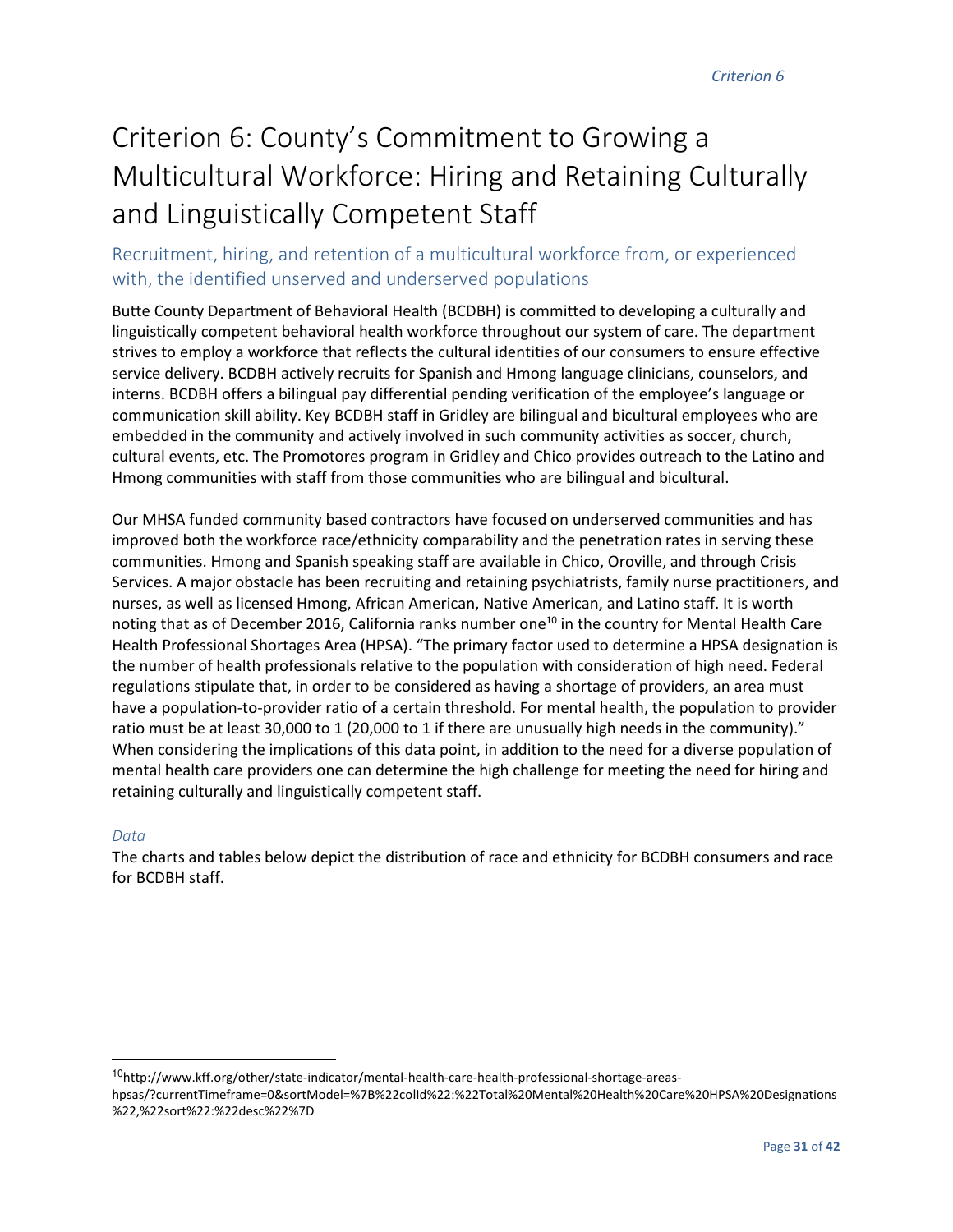# Criterion 6: County's Commitment to Growing a Multicultural Workforce: Hiring and Retaining Culturally and Linguistically Competent Staff

# Recruitment, hiring, and retention of a multicultural workforce from, or experienced with, the identified unserved and underserved populations

Butte County Department of Behavioral Health (BCDBH) is committed to developing a culturally and linguistically competent behavioral health workforce throughout our system of care. The department strives to employ a workforce that reflects the cultural identities of our consumers to ensure effective service delivery. BCDBH actively recruits for Spanish and Hmong language clinicians, counselors, and interns. BCDBH offers a bilingual pay differential pending verification of the employee's language or communication skill ability. Key BCDBH staff in Gridley are bilingual and bicultural employees who are embedded in the community and actively involved in such community activities as soccer, church, cultural events, etc. The Promotores program in Gridley and Chico provides outreach to the Latino and Hmong communities with staff from those communities who are bilingual and bicultural.

Our MHSA funded community based contractors have focused on underserved communities and has improved both the workforce race/ethnicity comparability and the penetration rates in serving these communities. Hmong and Spanish speaking staff are available in Chico, Oroville, and through Crisis Services. A major obstacle has been recruiting and retaining psychiatrists, family nurse practitioners, and nurses, as well as licensed Hmong, African American, Native American, and Latino staff. It is worth noting that as of December 2016, California ranks number one<sup>10</sup> in the country for Mental Health Care Health Professional Shortages Area (HPSA). "The primary factor used to determine a HPSA designation is the number of health professionals relative to the population with consideration of high need. Federal regulations stipulate that, in order to be considered as having a shortage of providers, an area must have a population-to-provider ratio of a certain threshold. For mental health, the population to provider ratio must be at least 30,000 to 1 (20,000 to 1 if there are unusually high needs in the community)." When considering the implications of this data point, in addition to the need for a diverse population of mental health care providers one can determine the high challenge for meeting the need for hiring and retaining culturally and linguistically competent staff.

#### *Data*

<u>.</u>

The charts and tables below depict the distribution of race and ethnicity for BCDBH consumers and race for BCDBH staff.

<sup>10</sup>http://www.kff.org/other/state-indicator/mental-health-care-health-professional-shortage-areas-

hpsas/?currentTimeframe=0&sortModel=%7B%22colId%22:%22Total%20Mental%20Health%20Care%20HPSA%20Designations %22,%22sort%22:%22desc%22%7D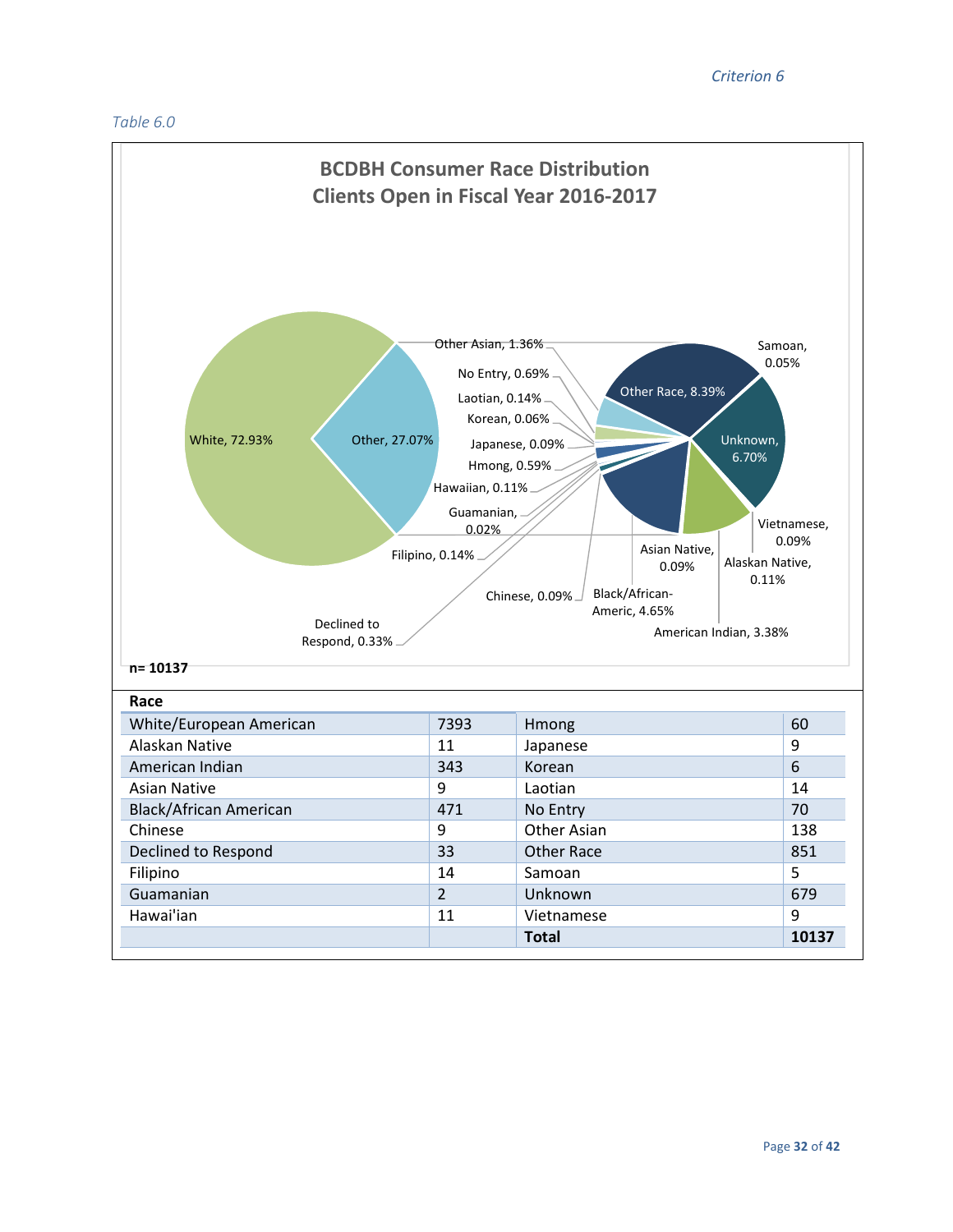

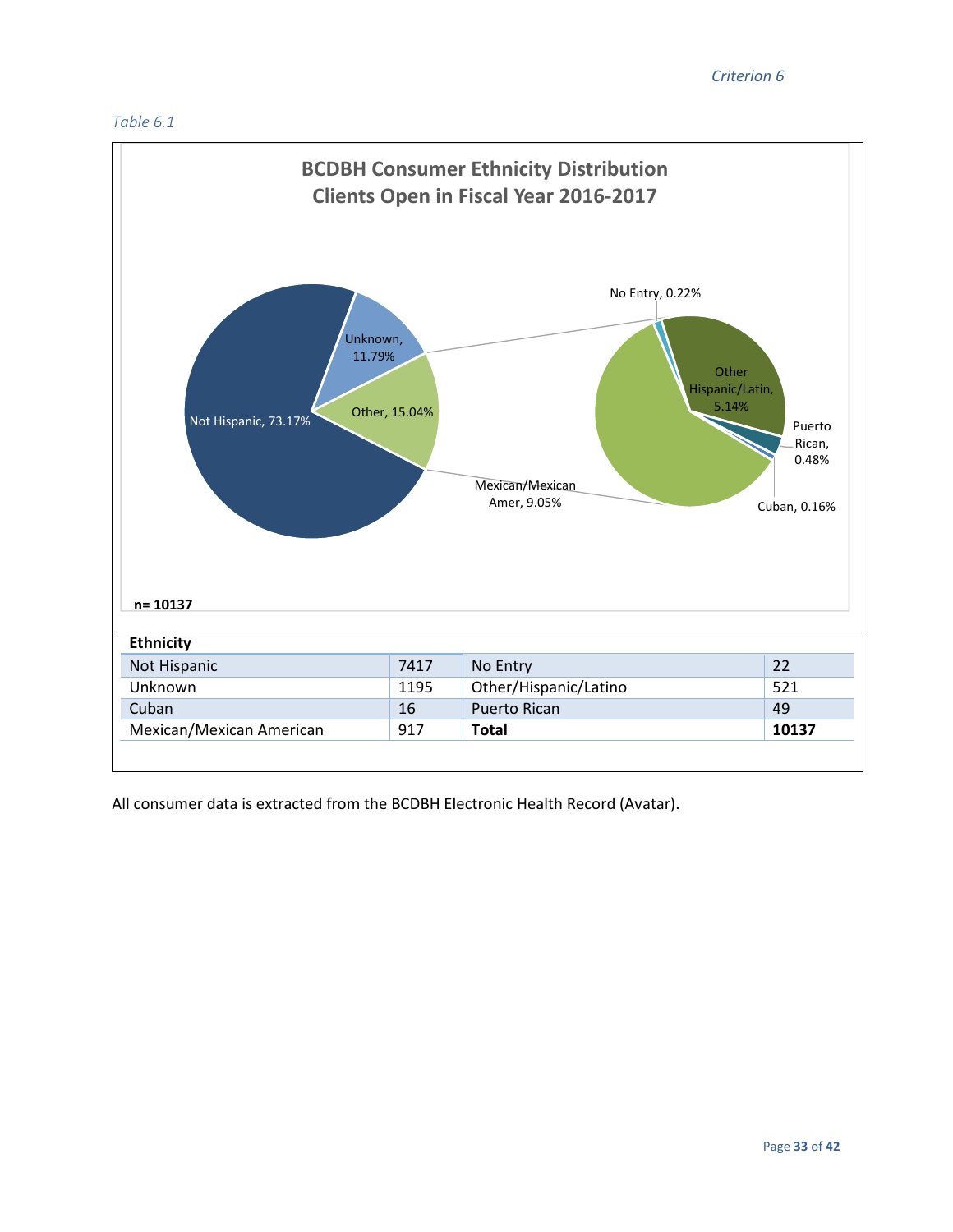#### *Criterion 6*





All consumer data is extracted from the BCDBH Electronic Health Record (Avatar).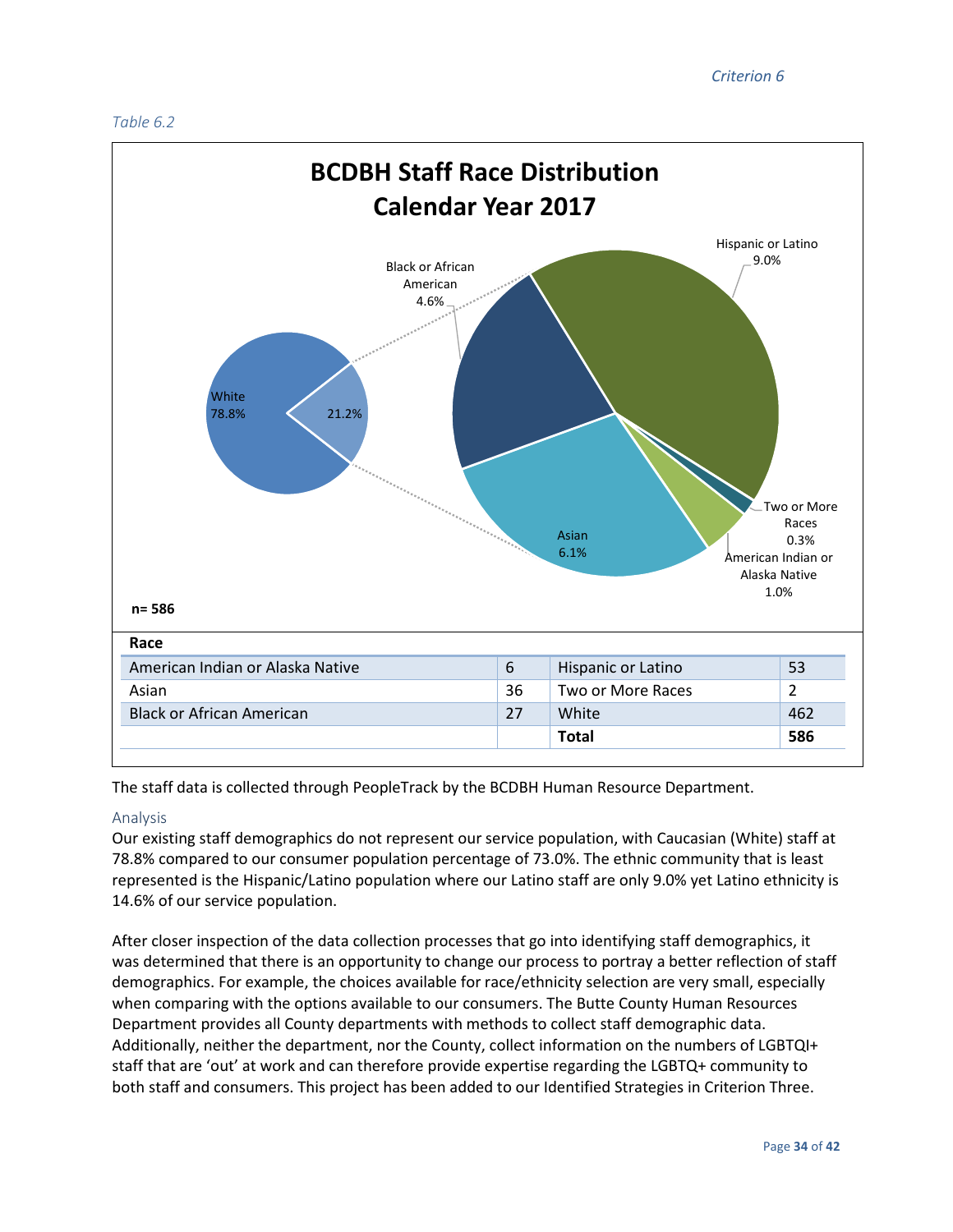#### *Table 6.2*



The staff data is collected through PeopleTrack by the BCDBH Human Resource Department.

#### Analysis

Our existing staff demographics do not represent our service population, with Caucasian (White) staff at 78.8% compared to our consumer population percentage of 73.0%. The ethnic community that is least represented is the Hispanic/Latino population where our Latino staff are only 9.0% yet Latino ethnicity is 14.6% of our service population.

After closer inspection of the data collection processes that go into identifying staff demographics, it was determined that there is an opportunity to change our process to portray a better reflection of staff demographics. For example, the choices available for race/ethnicity selection are very small, especially when comparing with the options available to our consumers. The Butte County Human Resources Department provides all County departments with methods to collect staff demographic data. Additionally, neither the department, nor the County, collect information on the numbers of LGBTQI+ staff that are 'out' at work and can therefore provide expertise regarding the LGBTQ+ community to both staff and consumers. This project has been added to our Identified Strategies in Criterion Three.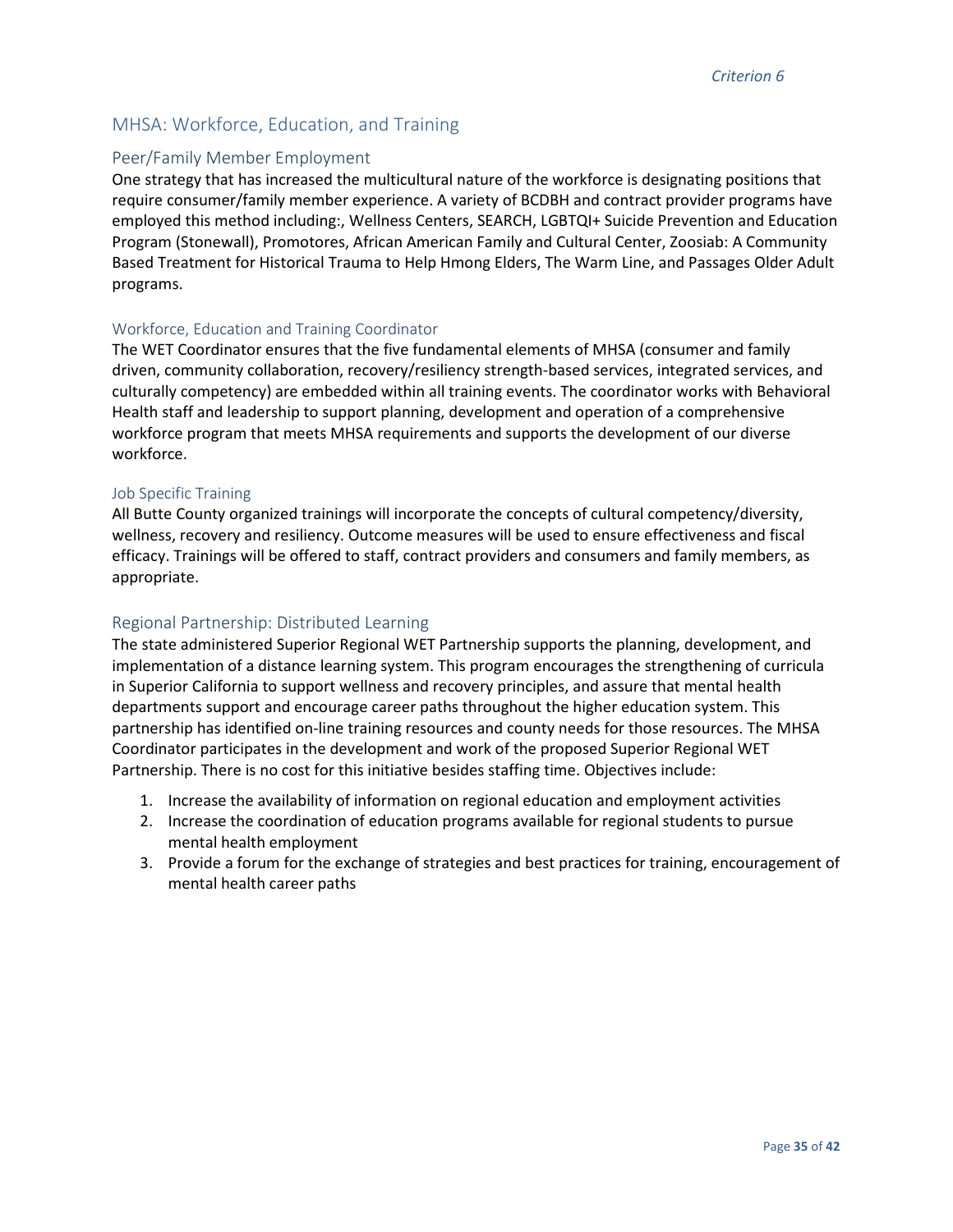## MHSA: Workforce, Education, and Training

#### Peer/Family Member Employment

One strategy that has increased the multicultural nature of the workforce is designating positions that require consumer/family member experience. A variety of BCDBH and contract provider programs have employed this method including:, Wellness Centers, SEARCH, LGBTQI+ Suicide Prevention and Education Program (Stonewall), Promotores, African American Family and Cultural Center, Zoosiab: A Community Based Treatment for Historical Trauma to Help Hmong Elders, The Warm Line, and Passages Older Adult programs.

#### Workforce, Education and Training Coordinator

The WET Coordinator ensures that the five fundamental elements of MHSA (consumer and family driven, community collaboration, recovery/resiliency strength-based services, integrated services, and culturally competency) are embedded within all training events. The coordinator works with Behavioral Health staff and leadership to support planning, development and operation of a comprehensive workforce program that meets MHSA requirements and supports the development of our diverse workforce.

#### Job Specific Training

All Butte County organized trainings will incorporate the concepts of cultural competency/diversity, wellness, recovery and resiliency. Outcome measures will be used to ensure effectiveness and fiscal efficacy. Trainings will be offered to staff, contract providers and consumers and family members, as appropriate.

#### Regional Partnership: Distributed Learning

The state administered Superior Regional WET Partnership supports the planning, development, and implementation of a distance learning system. This program encourages the strengthening of curricula in Superior California to support wellness and recovery principles, and assure that mental health departments support and encourage career paths throughout the higher education system. This partnership has identified on-line training resources and county needs for those resources. The MHSA Coordinator participates in the development and work of the proposed Superior Regional WET Partnership. There is no cost for this initiative besides staffing time. Objectives include:

- 1. Increase the availability of information on regional education and employment activities
- 2. Increase the coordination of education programs available for regional students to pursue mental health employment
- 3. Provide a forum for the exchange of strategies and best practices for training, encouragement of mental health career paths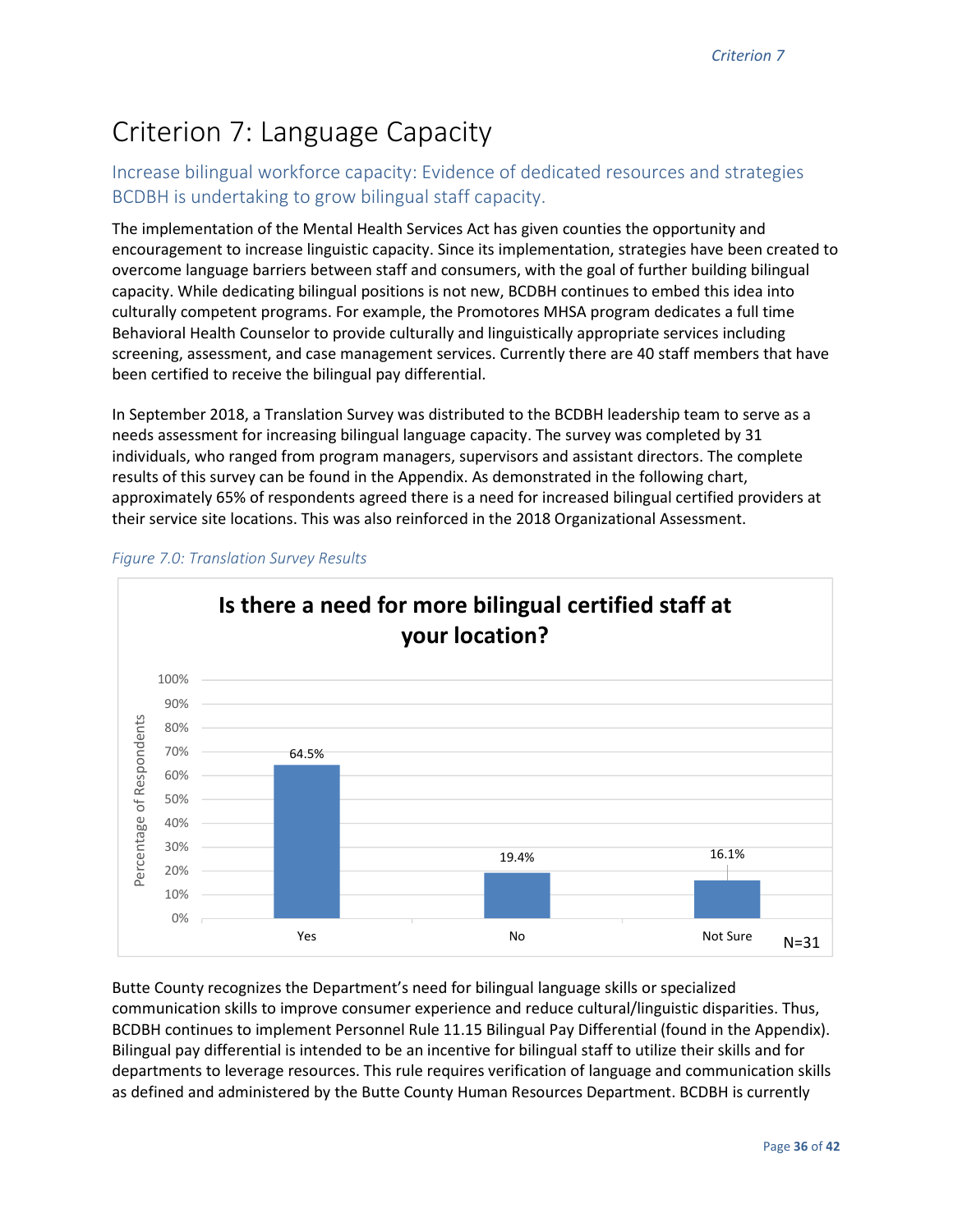# Criterion 7: Language Capacity

# Increase bilingual workforce capacity: Evidence of dedicated resources and strategies BCDBH is undertaking to grow bilingual staff capacity.

The implementation of the Mental Health Services Act has given counties the opportunity and encouragement to increase linguistic capacity. Since its implementation, strategies have been created to overcome language barriers between staff and consumers, with the goal of further building bilingual capacity. While dedicating bilingual positions is not new, BCDBH continues to embed this idea into culturally competent programs. For example, the Promotores MHSA program dedicates a full time Behavioral Health Counselor to provide culturally and linguistically appropriate services including screening, assessment, and case management services. Currently there are 40 staff members that have been certified to receive the bilingual pay differential.

In September 2018, a Translation Survey was distributed to the BCDBH leadership team to serve as a needs assessment for increasing bilingual language capacity. The survey was completed by 31 individuals, who ranged from program managers, supervisors and assistant directors. The complete results of this survey can be found in the Appendix. As demonstrated in the following chart, approximately 65% of respondents agreed there is a need for increased bilingual certified providers at their service site locations. This was also reinforced in the 2018 Organizational Assessment.



*Figure 7.0: Translation Survey Results* 

Butte County recognizes the Department's need for bilingual language skills or specialized communication skills to improve consumer experience and reduce cultural/linguistic disparities. Thus, BCDBH continues to implement Personnel Rule 11.15 Bilingual Pay Differential (found in the Appendix). Bilingual pay differential is intended to be an incentive for bilingual staff to utilize their skills and for departments to leverage resources. This rule requires verification of language and communication skills as defined and administered by the Butte County Human Resources Department. BCDBH is currently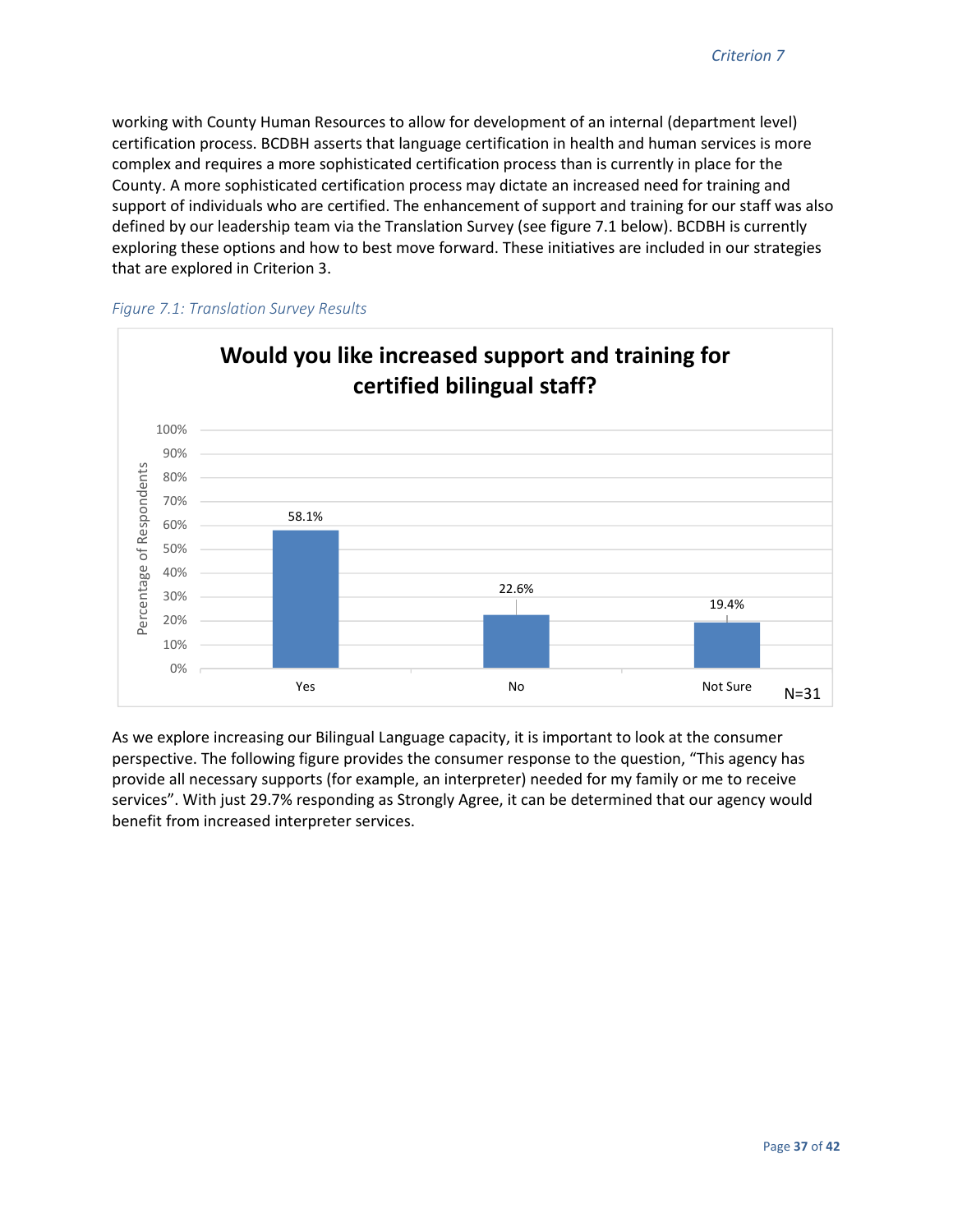working with County Human Resources to allow for development of an internal (department level) certification process. BCDBH asserts that language certification in health and human services is more complex and requires a more sophisticated certification process than is currently in place for the County. A more sophisticated certification process may dictate an increased need for training and support of individuals who are certified. The enhancement of support and training for our staff was also defined by our leadership team via the Translation Survey (see figure 7.1 below). BCDBH is currently exploring these options and how to best move forward. These initiatives are included in our strategies that are explored in Criterion 3.





As we explore increasing our Bilingual Language capacity, it is important to look at the consumer perspective. The following figure provides the consumer response to the question, "This agency has provide all necessary supports (for example, an interpreter) needed for my family or me to receive services". With just 29.7% responding as Strongly Agree, it can be determined that our agency would benefit from increased interpreter services.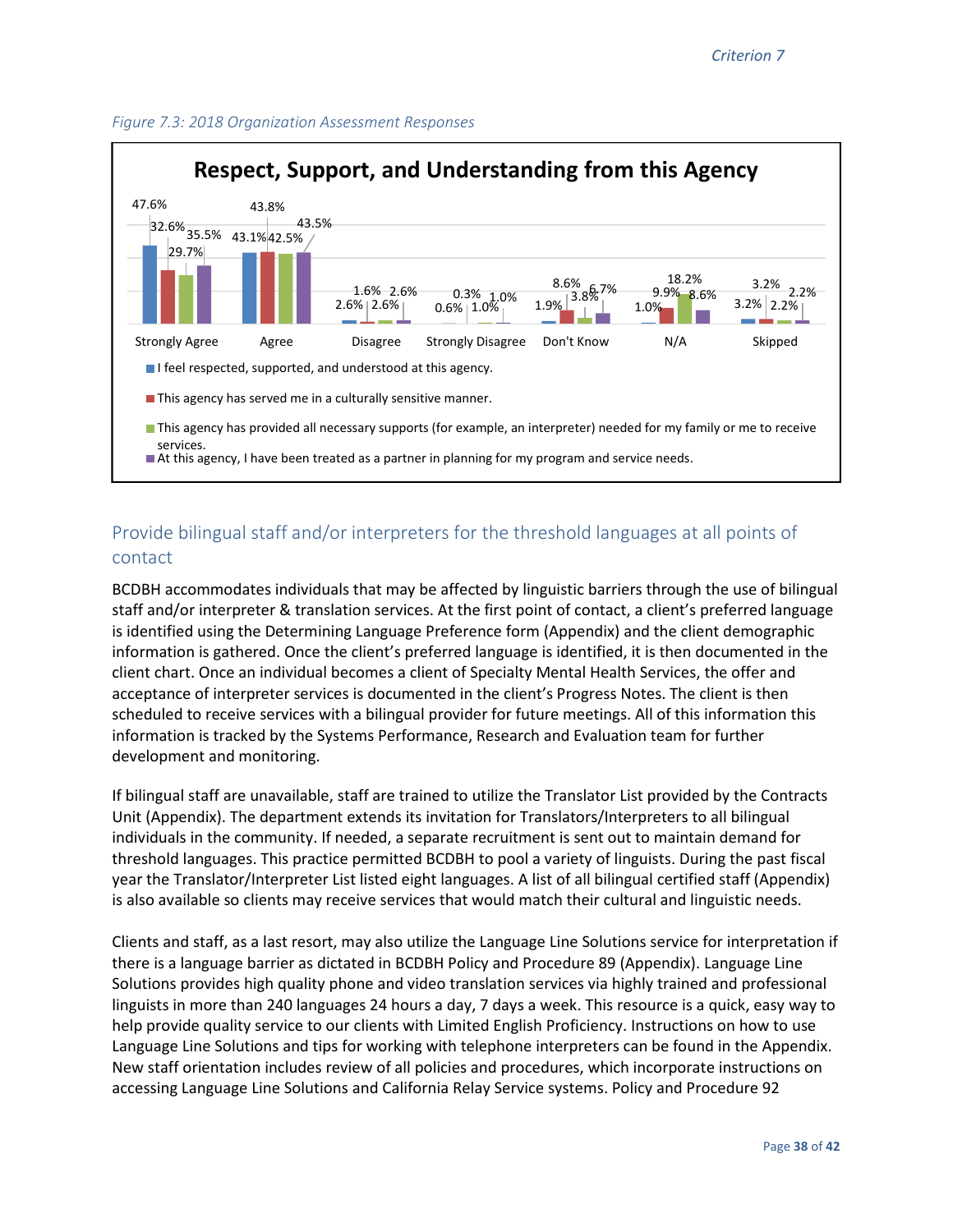



# Provide bilingual staff and/or interpreters for the threshold languages at all points of contact

BCDBH accommodates individuals that may be affected by linguistic barriers through the use of bilingual staff and/or interpreter & translation services. At the first point of contact, a client's preferred language is identified using the Determining Language Preference form (Appendix) and the client demographic information is gathered. Once the client's preferred language is identified, it is then documented in the client chart. Once an individual becomes a client of Specialty Mental Health Services, the offer and acceptance of interpreter services is documented in the client's Progress Notes. The client is then scheduled to receive services with a bilingual provider for future meetings. All of this information this information is tracked by the Systems Performance, Research and Evaluation team for further development and monitoring.

If bilingual staff are unavailable, staff are trained to utilize the Translator List provided by the Contracts Unit (Appendix). The department extends its invitation for Translators/Interpreters to all bilingual individuals in the community. If needed, a separate recruitment is sent out to maintain demand for threshold languages. This practice permitted BCDBH to pool a variety of linguists. During the past fiscal year the Translator/Interpreter List listed eight languages. A list of all bilingual certified staff (Appendix) is also available so clients may receive services that would match their cultural and linguistic needs.

Clients and staff, as a last resort, may also utilize the Language Line Solutions service for interpretation if there is a language barrier as dictated in BCDBH Policy and Procedure 89 (Appendix). Language Line Solutions provides high quality phone and video translation services via highly trained and professional linguists in more than 240 languages 24 hours a day, 7 days a week. This resource is a quick, easy way to help provide quality service to our clients with Limited English Proficiency. Instructions on how to use Language Line Solutions and tips for working with telephone interpreters can be found in the Appendix. New staff orientation includes review of all policies and procedures, which incorporate instructions on accessing Language Line Solutions and California Relay Service systems. Policy and Procedure 92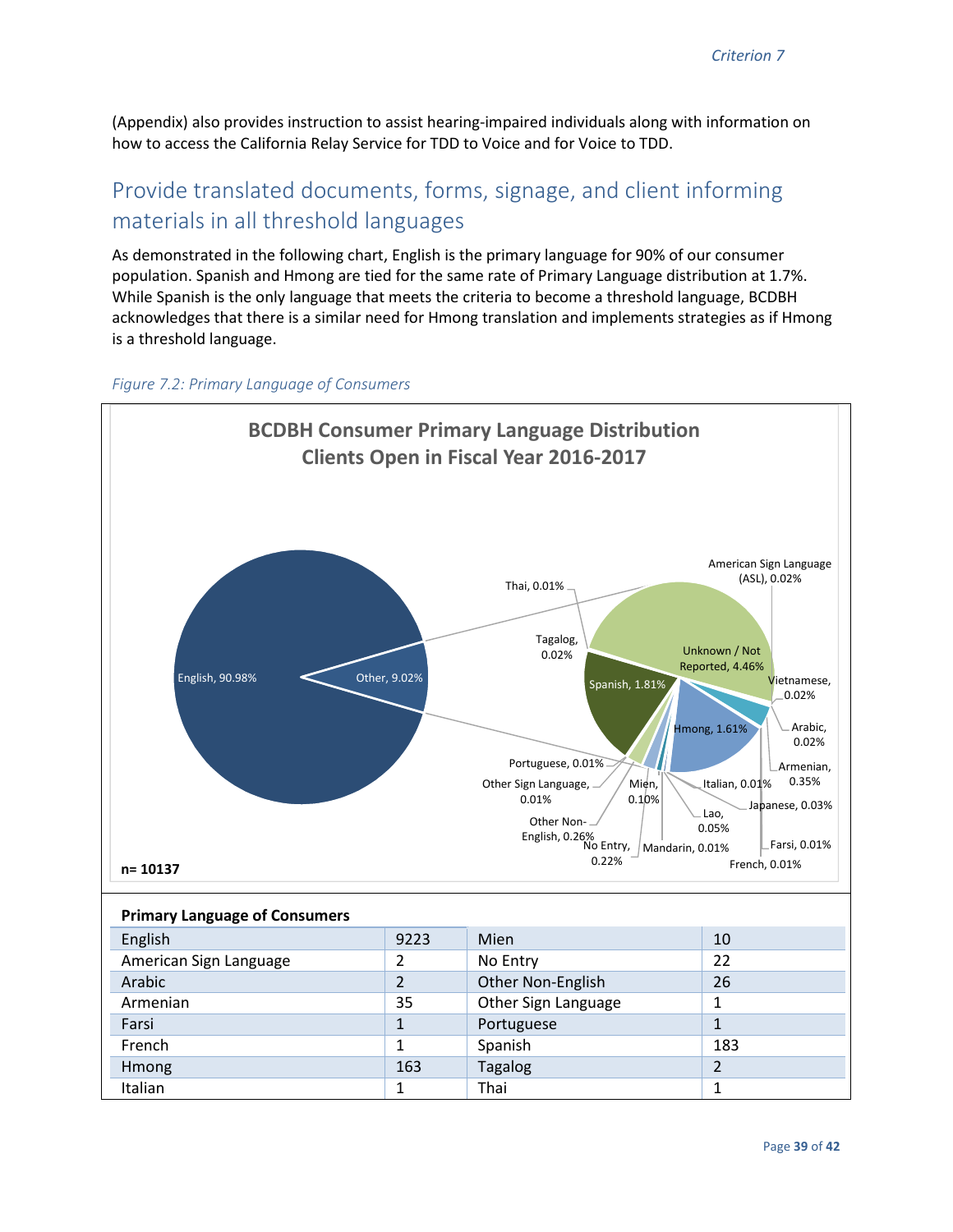(Appendix) also provides instruction to assist hearing-impaired individuals along with information on how to access the California Relay Service for TDD to Voice and for Voice to TDD.

# Provide translated documents, forms, signage, and client informing materials in all threshold languages

As demonstrated in the following chart, English is the primary language for 90% of our consumer population. Spanish and Hmong are tied for the same rate of Primary Language distribution at 1.7%. While Spanish is the only language that meets the criteria to become a threshold language, BCDBH acknowledges that there is a similar need for Hmong translation and implements strategies as if Hmong is a threshold language.



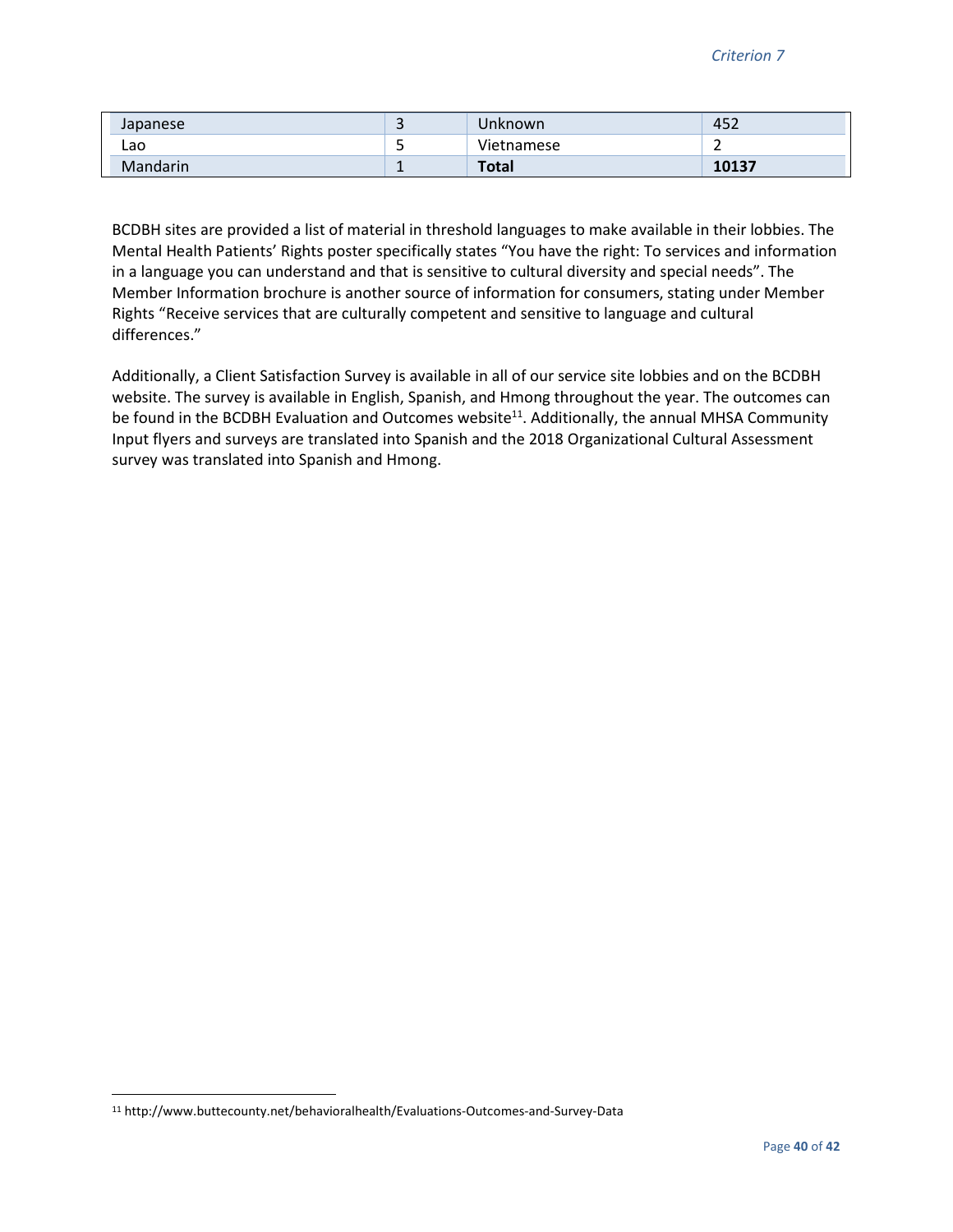| Japanese        |   | Unknown      | 157<br>$\overline{\phantom{a}}$<br>7C+ |
|-----------------|---|--------------|----------------------------------------|
| Lao             |   | Vietnamese   |                                        |
| <b>Mandarin</b> | - | <b>Total</b> | 10137                                  |

BCDBH sites are provided a list of material in threshold languages to make available in their lobbies. The Mental Health Patients' Rights poster specifically states "You have the right: To services and information in a language you can understand and that is sensitive to cultural diversity and special needs". The Member Information brochure is another source of information for consumers, stating under Member Rights "Receive services that are culturally competent and sensitive to language and cultural differences."

Additionally, a Client Satisfaction Survey is available in all of our service site lobbies and on the BCDBH website. The survey is available in English, Spanish, and Hmong throughout the year. The outcomes can be found in the BCDBH Evaluation and Outcomes website<sup>11</sup>. Additionally, the annual MHSA Community Input flyers and surveys are translated into Spanish and the 2018 Organizational Cultural Assessment survey was translated into Spanish and Hmong.

<u>.</u>

<sup>11</sup> http://www.buttecounty.net/behavioralhealth/Evaluations-Outcomes-and-Survey-Data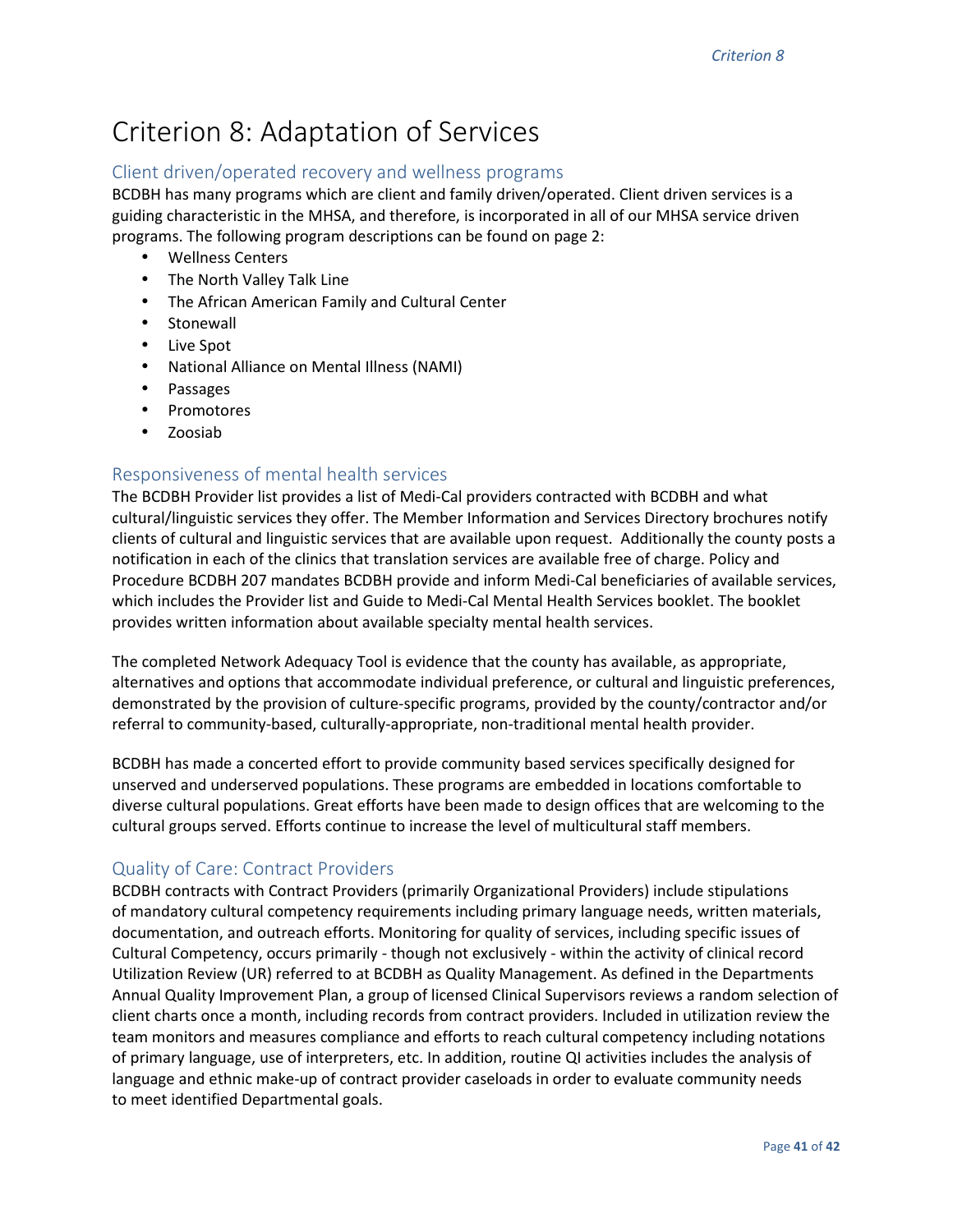# Criterion 8: Adaptation of Services

### Client driven/operated recovery and wellness programs

BCDBH has many programs which are client and family driven/operated. Client driven services is a guiding characteristic in the MHSA, and therefore, is incorporated in all of our MHSA service driven programs. The following program descriptions can be found on page 2:

- Wellness Centers
- The North Valley Talk Line
- The African American Family and Cultural Center
- Stonewall
- Live Spot
- National Alliance on Mental Illness (NAMI)
- Passages
- Promotores
- Zoosiab

### Responsiveness of mental health services

The BCDBH Provider list provides a list of Medi-Cal providers contracted with BCDBH and what cultural/linguistic services they offer. The Member Information and Services Directory brochures notify clients of cultural and linguistic services that are available upon request. Additionally the county posts a notification in each of the clinics that translation services are available free of charge. Policy and Procedure BCDBH 207 mandates BCDBH provide and inform Medi-Cal beneficiaries of available services, which includes the Provider list and Guide to Medi-Cal Mental Health Services booklet. The booklet provides written information about available specialty mental health services.

The completed Network Adequacy Tool is evidence that the county has available, as appropriate, alternatives and options that accommodate individual preference, or cultural and linguistic preferences, demonstrated by the provision of culture-specific programs, provided by the county/contractor and/or referral to community-based, culturally-appropriate, non-traditional mental health provider.

BCDBH has made a concerted effort to provide community based services specifically designed for unserved and underserved populations. These programs are embedded in locations comfortable to diverse cultural populations. Great efforts have been made to design offices that are welcoming to the cultural groups served. Efforts continue to increase the level of multicultural staff members.

#### Quality of Care: Contract Providers

BCDBH contracts with Contract Providers (primarily Organizational Providers) include stipulations of mandatory cultural competency requirements including primary language needs, written materials, documentation, and outreach efforts. Monitoring for quality of services, including specific issues of Cultural Competency, occurs primarily - though not exclusively - within the activity of clinical record Utilization Review (UR) referred to at BCDBH as Quality Management. As defined in the Departments Annual Quality Improvement Plan, a group of licensed Clinical Supervisors reviews a random selection of client charts once a month, including records from contract providers. Included in utilization review the team monitors and measures compliance and efforts to reach cultural competency including notations of primary language, use of interpreters, etc. In addition, routine QI activities includes the analysis of language and ethnic make-up of contract provider caseloads in order to evaluate community needs to meet identified Departmental goals.